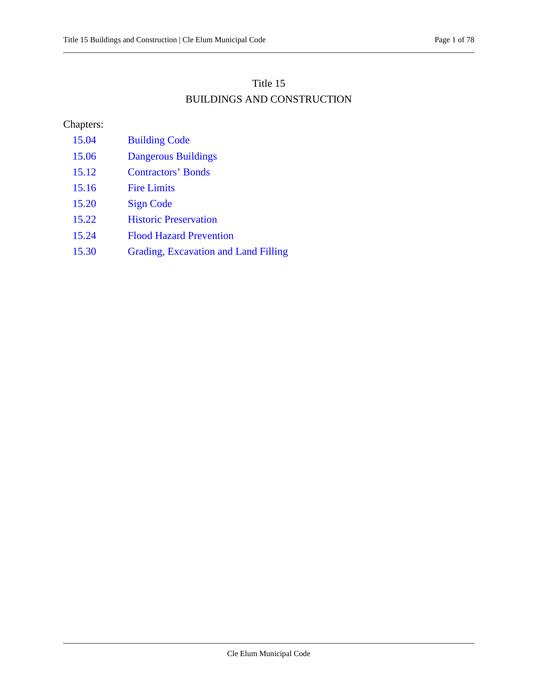## Title 15 BUILDINGS AND CONSTRUCTION

## Chapters:

- [15.04 Building Code](#page-1-0)
- [15.06 Dangerous Buildings](#page-10-0)
- [15.12 Contractors' Bonds](#page-17-0)
- [15.16 Fire Limits](#page-18-0)
- [15.20 Sign Code](#page-19-0)
- [15.22 Historic Preservation](#page-35-0)
- [15.24 Flood Hazard Prevention](#page-52-0)
- [15.30 Grading, Excavation and Land Filling](#page-74-0)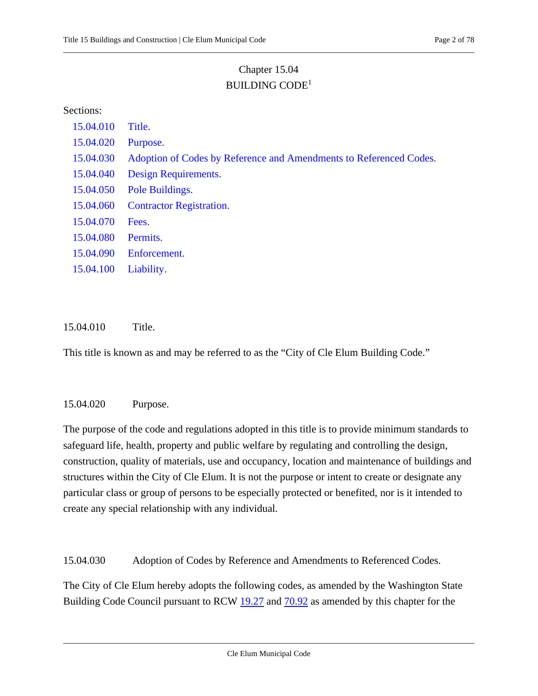# Chapter 15.04 BUILDING CODE1

#### <span id="page-1-0"></span>Sections:

| 15.04.010 | Title.                                                             |
|-----------|--------------------------------------------------------------------|
| 15.04.020 | Purpose.                                                           |
| 15.04.030 | Adoption of Codes by Reference and Amendments to Referenced Codes. |
| 15.04.040 | Design Requirements.                                               |
| 15.04.050 | Pole Buildings.                                                    |
| 15.04.060 | <b>Contractor Registration.</b>                                    |
| 15.04.070 | Fees.                                                              |
| 15.04.080 | Permits.                                                           |
| 15.04.090 | Enforcement.                                                       |
| 15.04.100 | Liability.                                                         |
|           |                                                                    |
|           |                                                                    |

#### 15.04.010 Title.

<span id="page-1-1"></span>This title is known as and may be referred to as the "City of Cle Elum Building Code."

#### 15.04.020 Purpose.

The purpose of the code and regulations adopted in this title is to provide minimum standards to safeguard life, health, property and public welfare by regulating and controlling the design, construction, quality of materials, use and occupancy, location and maintenance of buildings and structures within the City of Cle Elum. It is not the purpose or intent to create or designate any particular class or group of persons to be especially protected or benefited, nor is it intended to create any special relationship with any individual.

<span id="page-1-2"></span>15.04.030 Adoption of Codes by Reference and Amendments to Referenced Codes.

The City of Cle Elum hereby adopts the following codes, as amended by the Washington State Building Code Council pursuant to RCW [19.27](https://cleelum.municipal.codes/WA/RCW/19.27) and  $70.92$  as amended by this chapter for the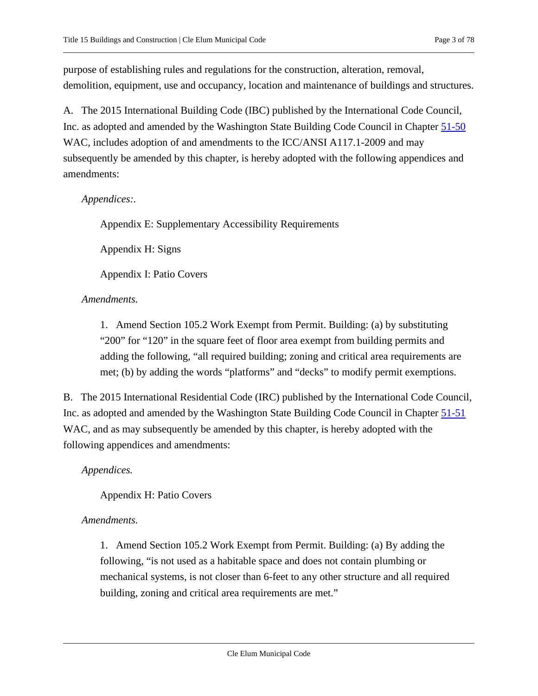purpose of establishing rules and regulations for the construction, alteration, removal, demolition, equipment, use and occupancy, location and maintenance of buildings and structures.

<span id="page-2-0"></span>A. The 2015 International Building Code (IBC) published by the International Code Council, Inc. as adopted and amended by the Washington State Building Code Council in Chapter [51-50](https://cleelum.municipal.codes/WA/WAC/51-50) WAC, includes adoption of and amendments to the ICC/ANSI A117.1-2009 and may subsequently be amended by this chapter, is hereby adopted with the following appendices and amendments:

#### *Appendices:.*

Appendix E: Supplementary Accessibility Requirements

Appendix H: Signs

Appendix I: Patio Covers

### *Amendments.*

1. Amend Section 105.2 Work Exempt from Permit. Building: (a) by substituting "200" for "120" in the square feet of floor area exempt from building permits and adding the following, "all required building; zoning and critical area requirements are met; (b) by adding the words "platforms" and "decks" to modify permit exemptions.

<span id="page-2-1"></span>B. The 2015 International Residential Code (IRC) published by the International Code Council, Inc. as adopted and amended by the Washington State Building Code Council in Chapter [51-51](https://cleelum.municipal.codes/WA/WAC/51-51) WAC, and as may subsequently be amended by this chapter, is hereby adopted with the following appendices and amendments:

### *Appendices.*

Appendix H: Patio Covers

#### *Amendments.*

1. Amend Section 105.2 Work Exempt from Permit. Building: (a) By adding the following, "is not used as a habitable space and does not contain plumbing or mechanical systems, is not closer than 6-feet to any other structure and all required building, zoning and critical area requirements are met."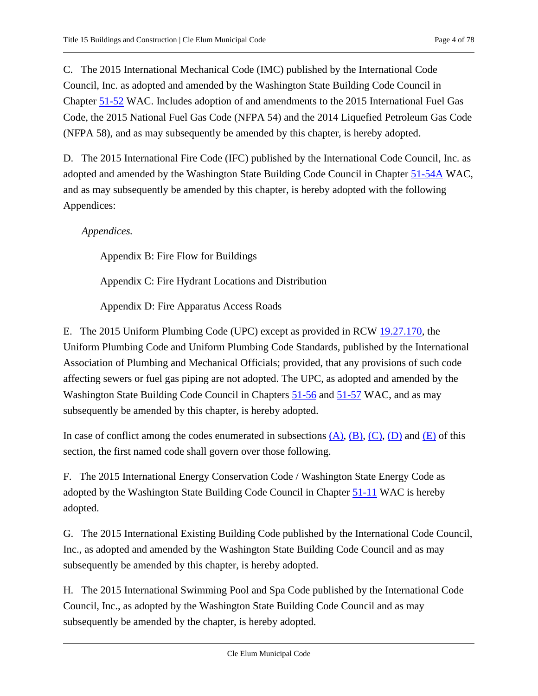<span id="page-3-0"></span>C. The 2015 International Mechanical Code (IMC) published by the International Code Council, Inc. as adopted and amended by the Washington State Building Code Council in Chapter [51-52](https://cleelum.municipal.codes/WA/WAC/51-52) WAC. Includes adoption of and amendments to the 2015 International Fuel Gas Code, the 2015 National Fuel Gas Code (NFPA 54) and the 2014 Liquefied Petroleum Gas Code (NFPA 58), and as may subsequently be amended by this chapter, is hereby adopted.

<span id="page-3-1"></span>D. The 2015 International Fire Code (IFC) published by the International Code Council, Inc. as adopted and amended by the Washington State Building Code Council in Chapter [51-54A](https://cleelum.municipal.codes/WA/WAC/51-54A) WAC, and as may subsequently be amended by this chapter, is hereby adopted with the following Appendices:

*Appendices.*

Appendix B: Fire Flow for Buildings

Appendix C: Fire Hydrant Locations and Distribution

Appendix D: Fire Apparatus Access Roads

<span id="page-3-2"></span>E. The 2015 Uniform Plumbing Code (UPC) except as provided in RCW [19.27.170,](https://cleelum.municipal.codes/WA/RCW/19.27.170) the Uniform Plumbing Code and Uniform Plumbing Code Standards, published by the International Association of Plumbing and Mechanical Officials; provided, that any provisions of such code affecting sewers or fuel gas piping are not adopted. The UPC, as adopted and amended by the Washington State Building Code Council in Chapters [51-56](https://cleelum.municipal.codes/WA/WAC/51-56) and [51-57](https://cleelum.municipal.codes/WA/WAC/51-57) WAC, and as may subsequently be amended by this chapter, is hereby adopted.

In case of conflict among the codes enumerated in subsections  $(A)$ ,  $(B)$ ,  $(C)$ ,  $(D)$  and  $(E)$  of this section, the first named code shall govern over those following.

F. The 2015 International Energy Conservation Code / Washington State Energy Code as adopted by the Washington State Building Code Council in Chapter [51-11](https://cleelum.municipal.codes/WA/WAC/51-11) WAC is hereby adopted.

G. The 2015 International Existing Building Code published by the International Code Council, Inc., as adopted and amended by the Washington State Building Code Council and as may subsequently be amended by this chapter, is hereby adopted.

H. The 2015 International Swimming Pool and Spa Code published by the International Code Council, Inc., as adopted by the Washington State Building Code Council and as may subsequently be amended by the chapter, is hereby adopted.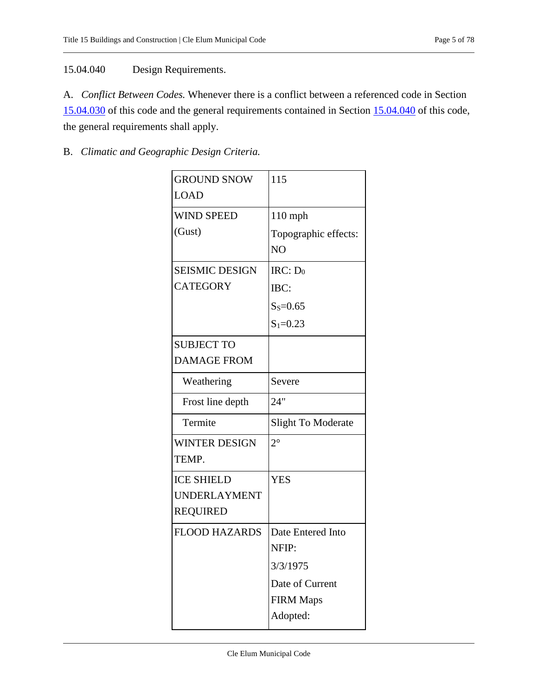## <span id="page-4-0"></span>15.04.040 Design Requirements.

A. *Conflict Between Codes.* Whenever there is a conflict between a referenced code in Section [15.04.030](#page-1-2) of this code and the general requirements contained in Section [15.04.040](#page-4-0) of this code, the general requirements shall apply.

## B. *Climatic and Geographic Design Criteria.*

| <b>GROUND SNOW</b>    | 115                  |
|-----------------------|----------------------|
| <b>LOAD</b>           |                      |
| <b>WIND SPEED</b>     | 110 mph              |
| (Gust)                | Topographic effects: |
|                       | N <sub>O</sub>       |
| <b>SEISMIC DESIGN</b> | $IRC: D_0$           |
| <b>CATEGORY</b>       | IBC:                 |
|                       | $S_s = 0.65$         |
|                       | $S_1 = 0.23$         |
| <b>SUBJECT TO</b>     |                      |
| <b>DAMAGE FROM</b>    |                      |
| Weathering            | Severe               |
| Frost line depth      | 24"                  |
| Termite               | Slight To Moderate   |
| <b>WINTER DESIGN</b>  | $2^{\circ}$          |
| TEMP.                 |                      |
| <b>ICE SHIELD</b>     | <b>YES</b>           |
| <b>UNDERLAYMENT</b>   |                      |
| <b>REQUIRED</b>       |                      |
| <b>FLOOD HAZARDS</b>  | Date Entered Into    |
|                       | NFIP:                |
|                       | 3/3/1975             |
|                       | Date of Current      |
|                       | <b>FIRM Maps</b>     |
|                       | Adopted:             |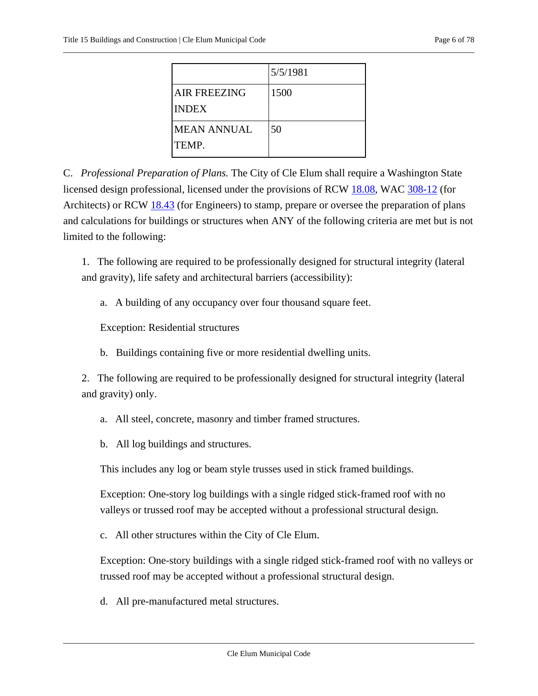|                                     | 5/5/1981 |
|-------------------------------------|----------|
| <b>AIR FREEZING</b><br><b>INDEX</b> | 1500     |
| <b>MEAN ANNUAL</b><br>TEMP.         | 50       |

C. *Professional Preparation of Plans.* The City of Cle Elum shall require a Washington State licensed design professional, licensed under the provisions of RCW [18.08,](https://cleelum.municipal.codes/WA/RCW/18.08) WAC [308-12](https://cleelum.municipal.codes/WA/WAC/308-12) (for Architects) or RCW [18.43](https://cleelum.municipal.codes/WA/RCW/18.43) (for Engineers) to stamp, prepare or oversee the preparation of plans and calculations for buildings or structures when ANY of the following criteria are met but is not limited to the following:

1. The following are required to be professionally designed for structural integrity (lateral and gravity), life safety and architectural barriers (accessibility):

a. A building of any occupancy over four thousand square feet.

Exception: Residential structures

b. Buildings containing five or more residential dwelling units.

2. The following are required to be professionally designed for structural integrity (lateral and gravity) only.

- a. All steel, concrete, masonry and timber framed structures.
- b. All log buildings and structures.

This includes any log or beam style trusses used in stick framed buildings.

Exception: One-story log buildings with a single ridged stick-framed roof with no valleys or trussed roof may be accepted without a professional structural design.

c. All other structures within the City of Cle Elum.

Exception: One-story buildings with a single ridged stick-framed roof with no valleys or trussed roof may be accepted without a professional structural design.

d. All pre-manufactured metal structures.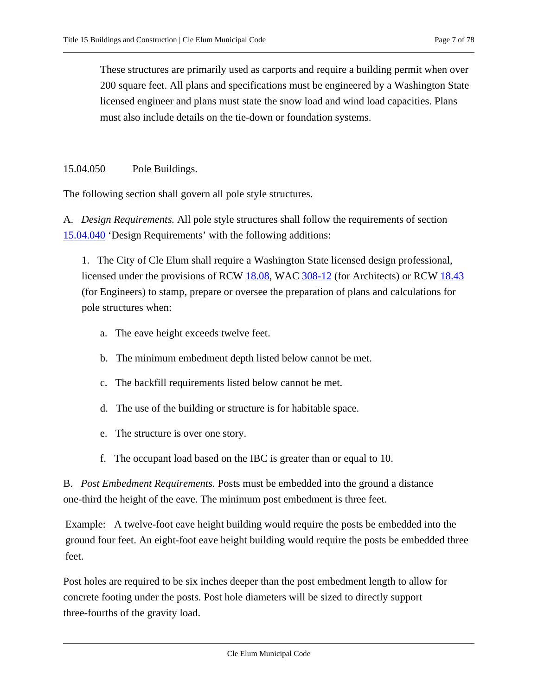These structures are primarily used as carports and require a building permit when over 200 square feet. All plans and specifications must be engineered by a Washington State licensed engineer and plans must state the snow load and wind load capacities. Plans must also include details on the tie-down or foundation systems.

<span id="page-6-0"></span>15.04.050 Pole Buildings.

The following section shall govern all pole style structures.

A. *Design Requirements.* All pole style structures shall follow the requirements of section [15.04.040](#page-4-0) 'Design Requirements' with the following additions:

1. The City of Cle Elum shall require a Washington State licensed design professional, licensed under the provisions of RCW [18.08,](https://cleelum.municipal.codes/WA/RCW/18.08) WAC [308-12](https://cleelum.municipal.codes/WA/WAC/308-12) (for Architects) or RCW [18.43](https://cleelum.municipal.codes/WA/RCW/18.43) (for Engineers) to stamp, prepare or oversee the preparation of plans and calculations for pole structures when:

- a. The eave height exceeds twelve feet.
- b. The minimum embedment depth listed below cannot be met.
- c. The backfill requirements listed below cannot be met.
- d. The use of the building or structure is for habitable space.
- e. The structure is over one story.
- f. The occupant load based on the IBC is greater than or equal to 10.

B. *Post Embedment Requirements.* Posts must be embedded into the ground a distance one-third the height of the eave. The minimum post embedment is three feet.

Example: A twelve-foot eave height building would require the posts be embedded into the ground four feet. An eight-foot eave height building would require the posts be embedded three feet.

Post holes are required to be six inches deeper than the post embedment length to allow for concrete footing under the posts. Post hole diameters will be sized to directly support three-fourths of the gravity load.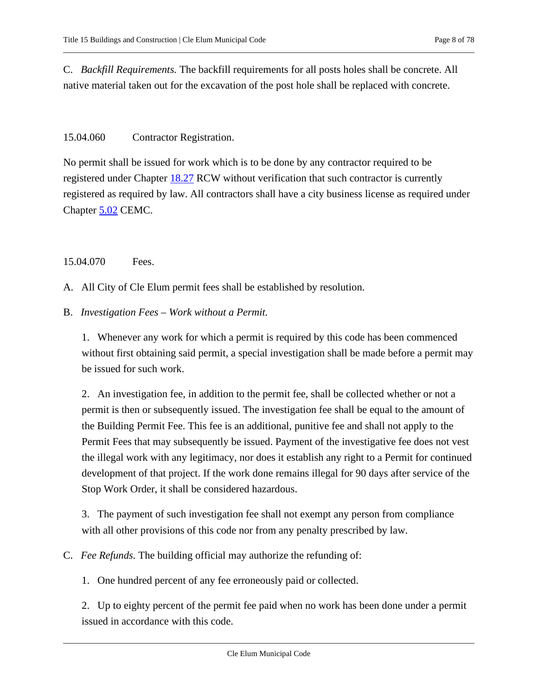C. *Backfill Requirements.* The backfill requirements for all posts holes shall be concrete. All native material taken out for the excavation of the post hole shall be replaced with concrete.

#### <span id="page-7-0"></span>15.04.060 Contractor Registration.

No permit shall be issued for work which is to be done by any contractor required to be registered under Chapter [18.27](https://cleelum.municipal.codes/WA/RCW/18.27) RCW without verification that such contractor is currently registered as required by law. All contractors shall have a city business license as required under Chapter [5.02](https://cleelum.municipal.codes/CEMC/5.02) CEMC.

<span id="page-7-1"></span>15.04.070 Fees.

A. All City of Cle Elum permit fees shall be established by resolution.

#### B. *Investigation Fees – Work without a Permit.*

1. Whenever any work for which a permit is required by this code has been commenced without first obtaining said permit, a special investigation shall be made before a permit may be issued for such work.

2. An investigation fee, in addition to the permit fee, shall be collected whether or not a permit is then or subsequently issued. The investigation fee shall be equal to the amount of the Building Permit Fee. This fee is an additional, punitive fee and shall not apply to the Permit Fees that may subsequently be issued. Payment of the investigative fee does not vest the illegal work with any legitimacy, nor does it establish any right to a Permit for continued development of that project. If the work done remains illegal for 90 days after service of the Stop Work Order, it shall be considered hazardous.

3. The payment of such investigation fee shall not exempt any person from compliance with all other provisions of this code nor from any penalty prescribed by law.

- C. *Fee Refunds.* The building official may authorize the refunding of:
	- 1. One hundred percent of any fee erroneously paid or collected.

2. Up to eighty percent of the permit fee paid when no work has been done under a permit issued in accordance with this code.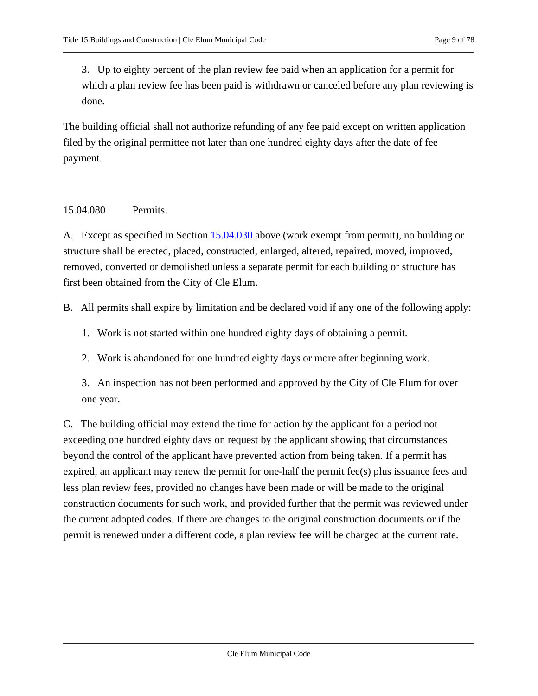3. Up to eighty percent of the plan review fee paid when an application for a permit for which a plan review fee has been paid is withdrawn or canceled before any plan reviewing is done.

The building official shall not authorize refunding of any fee paid except on written application filed by the original permittee not later than one hundred eighty days after the date of fee payment.

### <span id="page-8-0"></span>15.04.080 Permits.

A. Except as specified in Section [15.04.030](#page-1-2) above (work exempt from permit), no building or structure shall be erected, placed, constructed, enlarged, altered, repaired, moved, improved, removed, converted or demolished unless a separate permit for each building or structure has first been obtained from the City of Cle Elum.

B. All permits shall expire by limitation and be declared void if any one of the following apply:

- 1. Work is not started within one hundred eighty days of obtaining a permit.
- 2. Work is abandoned for one hundred eighty days or more after beginning work.

3. An inspection has not been performed and approved by the City of Cle Elum for over one year.

C. The building official may extend the time for action by the applicant for a period not exceeding one hundred eighty days on request by the applicant showing that circumstances beyond the control of the applicant have prevented action from being taken. If a permit has expired, an applicant may renew the permit for one-half the permit fee(s) plus issuance fees and less plan review fees, provided no changes have been made or will be made to the original construction documents for such work, and provided further that the permit was reviewed under the current adopted codes. If there are changes to the original construction documents or if the permit is renewed under a different code, a plan review fee will be charged at the current rate.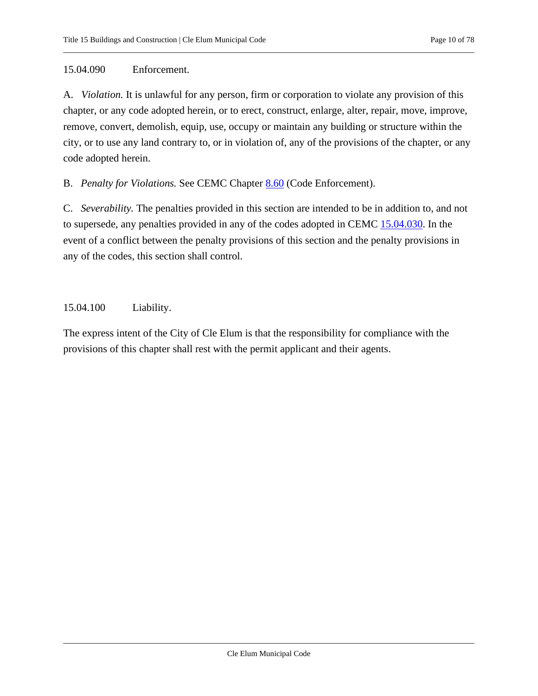#### <span id="page-9-0"></span>15.04.090 Enforcement.

A. *Violation.* It is unlawful for any person, firm or corporation to violate any provision of this chapter, or any code adopted herein, or to erect, construct, enlarge, alter, repair, move, improve, remove, convert, demolish, equip, use, occupy or maintain any building or structure within the city, or to use any land contrary to, or in violation of, any of the provisions of the chapter, or any code adopted herein.

B. *Penalty for Violations.* See CEMC Chapter [8.60](https://cleelum.municipal.codes/CEMC/8.60) (Code Enforcement).

C. *Severability.* The penalties provided in this section are intended to be in addition to, and not to supersede, any penalties provided in any of the codes adopted in CEMC [15.04.030.](#page-1-2) In the event of a conflict between the penalty provisions of this section and the penalty provisions in any of the codes, this section shall control.

#### <span id="page-9-1"></span>15.04.100 Liability.

The express intent of the City of Cle Elum is that the responsibility for compliance with the provisions of this chapter shall rest with the permit applicant and their agents.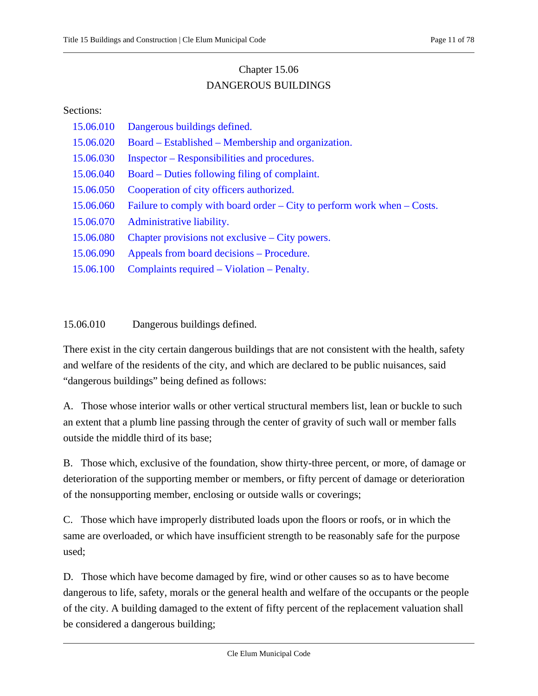## Chapter 15.06 DANGEROUS BUILDINGS

#### <span id="page-10-0"></span>Sections:

- [15.06.010 Dangerous buildings defined.](#page-10-1)
- 15.06.020 Board Established [Membership and organization.](#page-11-0)
- 15.06.030 Inspector [Responsibilities and procedures.](#page-11-1)
- 15.06.040 Board [Duties following filing of complaint.](#page-13-0)
- [15.06.050 Cooperation of city officers authorized.](#page-14-0)
- [15.06.060 Failure to comply with board order](#page-14-1) City to perform work when Costs.
- [15.06.070 Administrative liability.](#page-15-0)
- [15.06.080 Chapter provisions not exclusive](#page-15-1) City powers.
- [15.06.090 Appeals from board decisions](#page-15-2) Procedure.
- <span id="page-10-1"></span>[15.06.100 Complaints required](#page-15-3) – Violation – Penalty.

### 15.06.010 Dangerous buildings defined.

There exist in the city certain dangerous buildings that are not consistent with the health, safety and welfare of the residents of the city, and which are declared to be public nuisances, said "dangerous buildings" being defined as follows:

A. Those whose interior walls or other vertical structural members list, lean or buckle to such an extent that a plumb line passing through the center of gravity of such wall or member falls outside the middle third of its base;

B. Those which, exclusive of the foundation, show thirty-three percent, or more, of damage or deterioration of the supporting member or members, or fifty percent of damage or deterioration of the nonsupporting member, enclosing or outside walls or coverings;

C. Those which have improperly distributed loads upon the floors or roofs, or in which the same are overloaded, or which have insufficient strength to be reasonably safe for the purpose used;

D. Those which have become damaged by fire, wind or other causes so as to have become dangerous to life, safety, morals or the general health and welfare of the occupants or the people of the city. A building damaged to the extent of fifty percent of the replacement valuation shall be considered a dangerous building;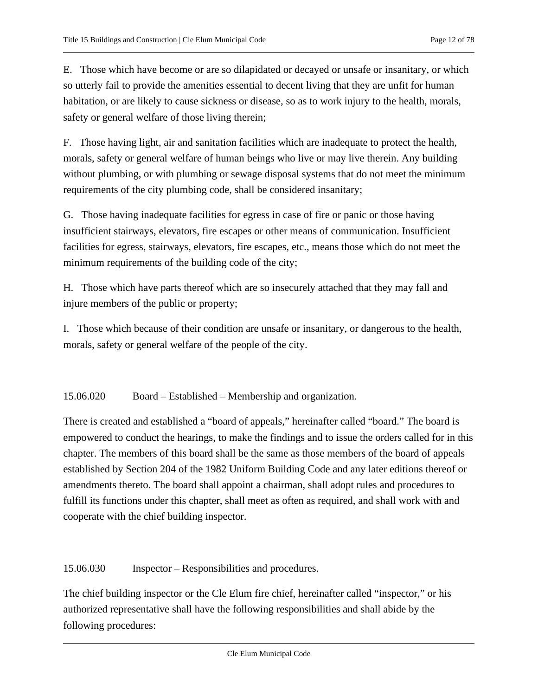E. Those which have become or are so dilapidated or decayed or unsafe or insanitary, or which so utterly fail to provide the amenities essential to decent living that they are unfit for human habitation, or are likely to cause sickness or disease, so as to work injury to the health, morals, safety or general welfare of those living therein;

F. Those having light, air and sanitation facilities which are inadequate to protect the health, morals, safety or general welfare of human beings who live or may live therein. Any building without plumbing, or with plumbing or sewage disposal systems that do not meet the minimum requirements of the city plumbing code, shall be considered insanitary;

G. Those having inadequate facilities for egress in case of fire or panic or those having insufficient stairways, elevators, fire escapes or other means of communication. Insufficient facilities for egress, stairways, elevators, fire escapes, etc., means those which do not meet the minimum requirements of the building code of the city;

H. Those which have parts thereof which are so insecurely attached that they may fall and injure members of the public or property;

I. Those which because of their condition are unsafe or insanitary, or dangerous to the health, morals, safety or general welfare of the people of the city.

<span id="page-11-0"></span>15.06.020 Board – Established – Membership and organization.

There is created and established a "board of appeals," hereinafter called "board." The board is empowered to conduct the hearings, to make the findings and to issue the orders called for in this chapter. The members of this board shall be the same as those members of the board of appeals established by Section 204 of the 1982 Uniform Building Code and any later editions thereof or amendments thereto. The board shall appoint a chairman, shall adopt rules and procedures to fulfill its functions under this chapter, shall meet as often as required, and shall work with and cooperate with the chief building inspector.

<span id="page-11-1"></span>15.06.030 Inspector – Responsibilities and procedures.

The chief building inspector or the Cle Elum fire chief, hereinafter called "inspector," or his authorized representative shall have the following responsibilities and shall abide by the following procedures: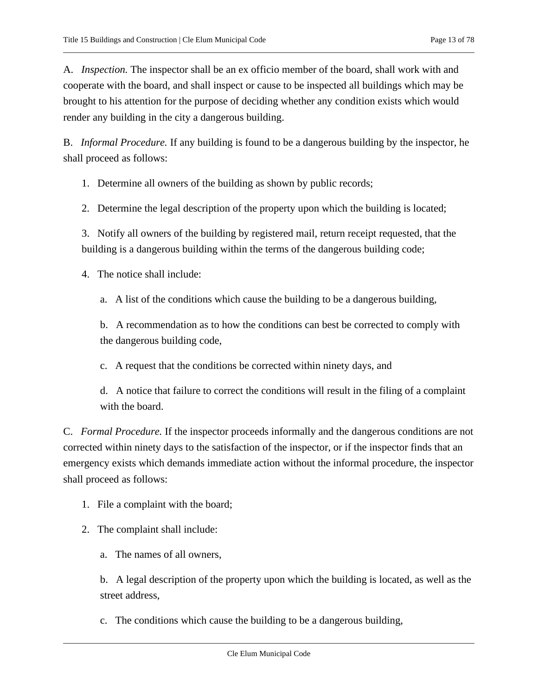A. *Inspection.* The inspector shall be an ex officio member of the board, shall work with and cooperate with the board, and shall inspect or cause to be inspected all buildings which may be brought to his attention for the purpose of deciding whether any condition exists which would render any building in the city a dangerous building.

B. *Informal Procedure.* If any building is found to be a dangerous building by the inspector, he shall proceed as follows:

1. Determine all owners of the building as shown by public records;

2. Determine the legal description of the property upon which the building is located;

3. Notify all owners of the building by registered mail, return receipt requested, that the building is a dangerous building within the terms of the dangerous building code;

4. The notice shall include:

a. A list of the conditions which cause the building to be a dangerous building,

b. A recommendation as to how the conditions can best be corrected to comply with the dangerous building code,

c. A request that the conditions be corrected within ninety days, and

d. A notice that failure to correct the conditions will result in the filing of a complaint with the board.

C. *Formal Procedure.* If the inspector proceeds informally and the dangerous conditions are not corrected within ninety days to the satisfaction of the inspector, or if the inspector finds that an emergency exists which demands immediate action without the informal procedure, the inspector shall proceed as follows:

1. File a complaint with the board;

2. The complaint shall include:

a. The names of all owners,

b. A legal description of the property upon which the building is located, as well as the street address,

c. The conditions which cause the building to be a dangerous building,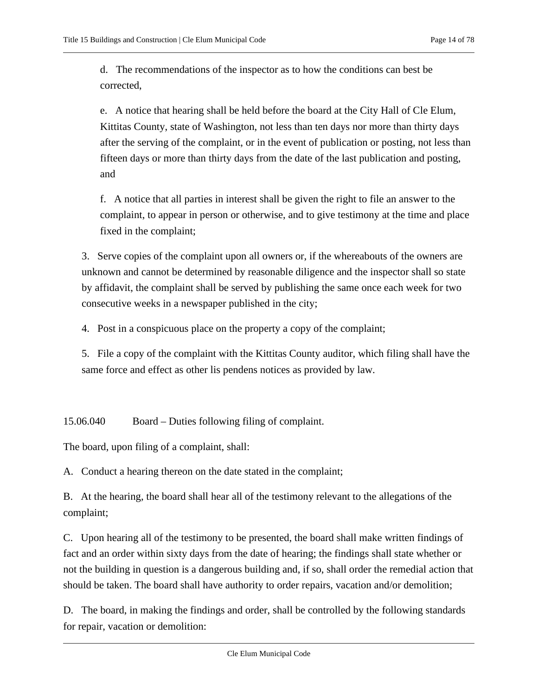d. The recommendations of the inspector as to how the conditions can best be corrected,

e. A notice that hearing shall be held before the board at the City Hall of Cle Elum, Kittitas County, state of Washington, not less than ten days nor more than thirty days after the serving of the complaint, or in the event of publication or posting, not less than fifteen days or more than thirty days from the date of the last publication and posting, and

f. A notice that all parties in interest shall be given the right to file an answer to the complaint, to appear in person or otherwise, and to give testimony at the time and place fixed in the complaint;

3. Serve copies of the complaint upon all owners or, if the whereabouts of the owners are unknown and cannot be determined by reasonable diligence and the inspector shall so state by affidavit, the complaint shall be served by publishing the same once each week for two consecutive weeks in a newspaper published in the city;

4. Post in a conspicuous place on the property a copy of the complaint;

5. File a copy of the complaint with the Kittitas County auditor, which filing shall have the same force and effect as other lis pendens notices as provided by law.

<span id="page-13-0"></span>15.06.040 Board – Duties following filing of complaint.

The board, upon filing of a complaint, shall:

A. Conduct a hearing thereon on the date stated in the complaint;

B. At the hearing, the board shall hear all of the testimony relevant to the allegations of the complaint;

C. Upon hearing all of the testimony to be presented, the board shall make written findings of fact and an order within sixty days from the date of hearing; the findings shall state whether or not the building in question is a dangerous building and, if so, shall order the remedial action that should be taken. The board shall have authority to order repairs, vacation and/or demolition;

D. The board, in making the findings and order, shall be controlled by the following standards for repair, vacation or demolition: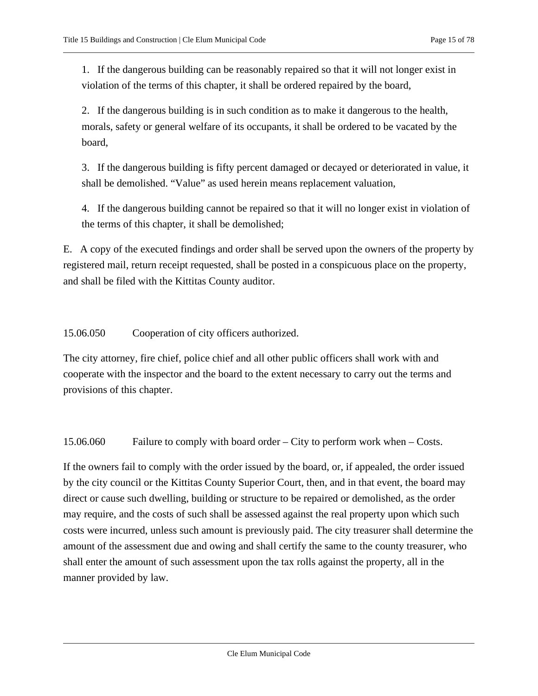1. If the dangerous building can be reasonably repaired so that it will not longer exist in violation of the terms of this chapter, it shall be ordered repaired by the board,

2. If the dangerous building is in such condition as to make it dangerous to the health, morals, safety or general welfare of its occupants, it shall be ordered to be vacated by the board,

3. If the dangerous building is fifty percent damaged or decayed or deteriorated in value, it shall be demolished. "Value" as used herein means replacement valuation,

4. If the dangerous building cannot be repaired so that it will no longer exist in violation of the terms of this chapter, it shall be demolished;

E. A copy of the executed findings and order shall be served upon the owners of the property by registered mail, return receipt requested, shall be posted in a conspicuous place on the property, and shall be filed with the Kittitas County auditor.

<span id="page-14-0"></span>15.06.050 Cooperation of city officers authorized.

The city attorney, fire chief, police chief and all other public officers shall work with and cooperate with the inspector and the board to the extent necessary to carry out the terms and provisions of this chapter.

<span id="page-14-1"></span>15.06.060 Failure to comply with board order – City to perform work when – Costs.

If the owners fail to comply with the order issued by the board, or, if appealed, the order issued by the city council or the Kittitas County Superior Court, then, and in that event, the board may direct or cause such dwelling, building or structure to be repaired or demolished, as the order may require, and the costs of such shall be assessed against the real property upon which such costs were incurred, unless such amount is previously paid. The city treasurer shall determine the amount of the assessment due and owing and shall certify the same to the county treasurer, who shall enter the amount of such assessment upon the tax rolls against the property, all in the manner provided by law.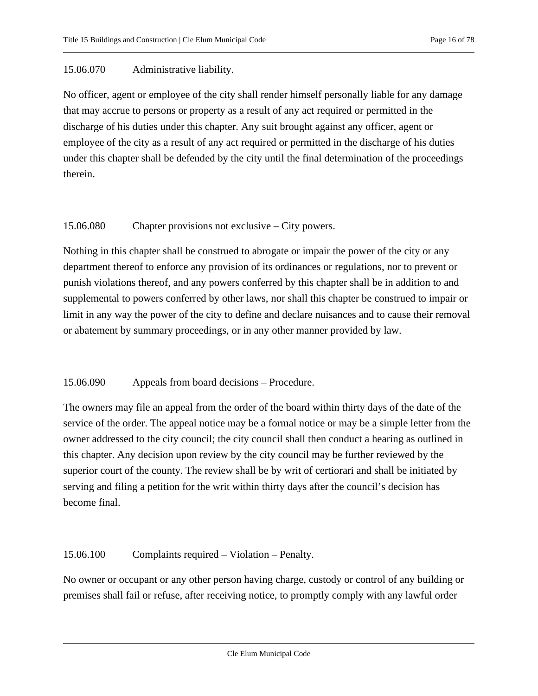#### <span id="page-15-0"></span>15.06.070 Administrative liability.

No officer, agent or employee of the city shall render himself personally liable for any damage that may accrue to persons or property as a result of any act required or permitted in the discharge of his duties under this chapter. Any suit brought against any officer, agent or employee of the city as a result of any act required or permitted in the discharge of his duties under this chapter shall be defended by the city until the final determination of the proceedings therein.

#### <span id="page-15-1"></span>15.06.080 Chapter provisions not exclusive – City powers.

Nothing in this chapter shall be construed to abrogate or impair the power of the city or any department thereof to enforce any provision of its ordinances or regulations, nor to prevent or punish violations thereof, and any powers conferred by this chapter shall be in addition to and supplemental to powers conferred by other laws, nor shall this chapter be construed to impair or limit in any way the power of the city to define and declare nuisances and to cause their removal or abatement by summary proceedings, or in any other manner provided by law.

#### <span id="page-15-2"></span>15.06.090 Appeals from board decisions – Procedure.

The owners may file an appeal from the order of the board within thirty days of the date of the service of the order. The appeal notice may be a formal notice or may be a simple letter from the owner addressed to the city council; the city council shall then conduct a hearing as outlined in this chapter. Any decision upon review by the city council may be further reviewed by the superior court of the county. The review shall be by writ of certiorari and shall be initiated by serving and filing a petition for the writ within thirty days after the council's decision has become final.

#### <span id="page-15-3"></span>15.06.100 Complaints required – Violation – Penalty.

No owner or occupant or any other person having charge, custody or control of any building or premises shall fail or refuse, after receiving notice, to promptly comply with any lawful order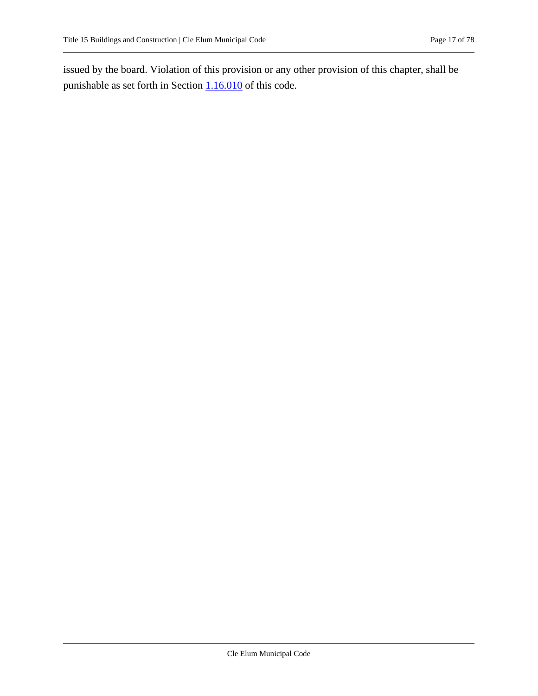issued by the board. Violation of this provision or any other provision of this chapter, shall be punishable as set forth in Section  $1.16.010$  of this code.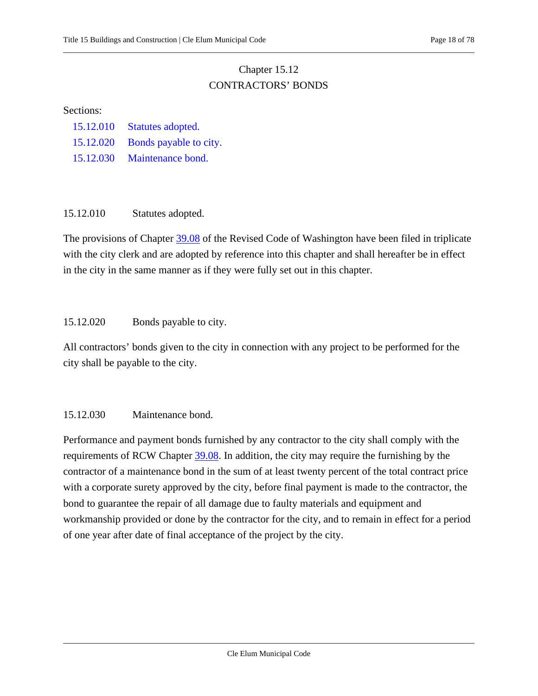## Chapter 15.12 CONTRACTORS' BONDS

#### <span id="page-17-0"></span>Sections:

- [15.12.010 Statutes adopted.](#page-17-1)
- [15.12.020 Bonds payable to city.](#page-17-2)
- <span id="page-17-1"></span>[15.12.030 Maintenance bond.](#page-17-3)

#### 15.12.010 Statutes adopted.

The provisions of Chapter [39.08](https://cleelum.municipal.codes/WA/RCW/39.08) of the Revised Code of Washington have been filed in triplicate with the city clerk and are adopted by reference into this chapter and shall hereafter be in effect in the city in the same manner as if they were fully set out in this chapter.

#### <span id="page-17-2"></span>15.12.020 Bonds payable to city.

All contractors' bonds given to the city in connection with any project to be performed for the city shall be payable to the city.

#### <span id="page-17-3"></span>15.12.030 Maintenance bond.

Performance and payment bonds furnished by any contractor to the city shall comply with the requirements of RCW Chapter [39.08.](https://cleelum.municipal.codes/WA/RCW/39.08) In addition, the city may require the furnishing by the contractor of a maintenance bond in the sum of at least twenty percent of the total contract price with a corporate surety approved by the city, before final payment is made to the contractor, the bond to guarantee the repair of all damage due to faulty materials and equipment and workmanship provided or done by the contractor for the city, and to remain in effect for a period of one year after date of final acceptance of the project by the city.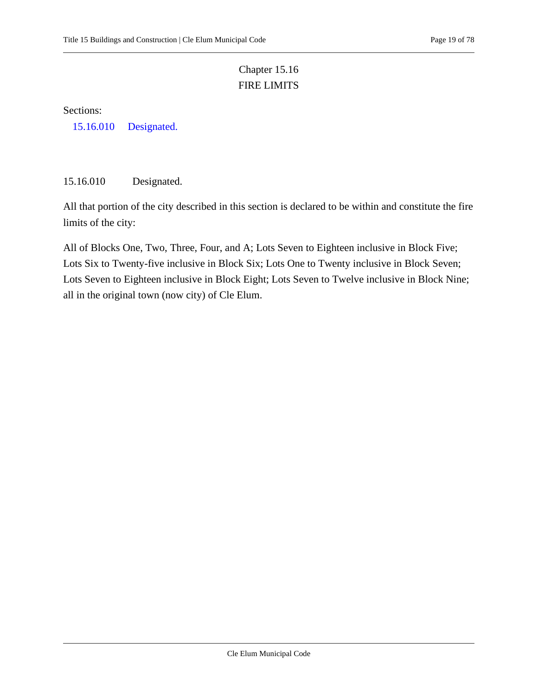# Chapter 15.16 FIRE LIMITS

<span id="page-18-0"></span>Sections:

<span id="page-18-1"></span>[15.16.010 Designated.](#page-18-1)

15.16.010 Designated.

All that portion of the city described in this section is declared to be within and constitute the fire limits of the city:

All of Blocks One, Two, Three, Four, and A; Lots Seven to Eighteen inclusive in Block Five; Lots Six to Twenty-five inclusive in Block Six; Lots One to Twenty inclusive in Block Seven; Lots Seven to Eighteen inclusive in Block Eight; Lots Seven to Twelve inclusive in Block Nine; all in the original town (now city) of Cle Elum.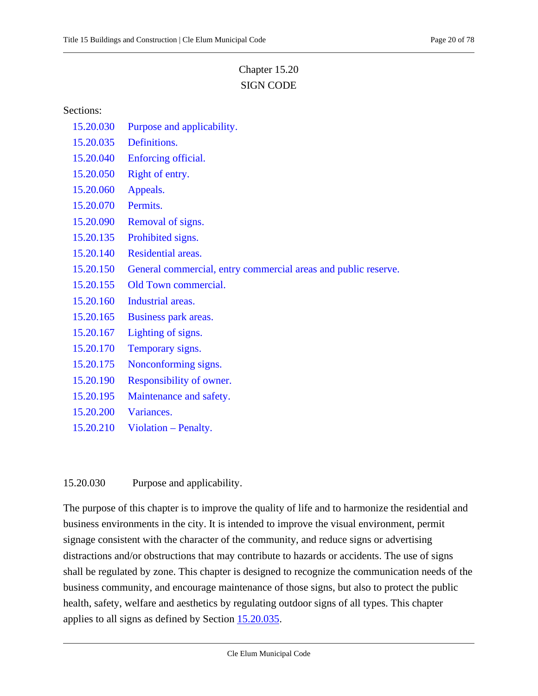# Chapter 15.20 SIGN CODE

#### <span id="page-19-0"></span>Sections:

- [15.20.030 Purpose and applicability.](#page-19-1)
- [15.20.035 Definitions.](#page-20-0)
- [15.20.040 Enforcing official.](#page-23-0)
- [15.20.050 Right of entry.](#page-23-1)
- [15.20.060 Appeals.](#page-23-2)
- [15.20.070 Permits.](#page-23-3)
- [15.20.090 Removal of signs.](#page-25-0)
- [15.20.135 Prohibited signs.](#page-25-1)
- [15.20.140 Residential areas.](#page-26-0)
- [15.20.150 General commercial, entry commercial areas and public reserve.](#page-27-0)
- [15.20.155 Old Town commercial.](#page-29-0)
- [15.20.160 Industrial areas.](#page-30-0)
- [15.20.165 Business park areas.](#page-31-0)
- [15.20.167 Lighting of signs.](#page-31-1)
- [15.20.170 Temporary signs.](#page-32-0)
- [15.20.175 Nonconforming signs.](#page-33-0)
- [15.20.190 Responsibility of owner.](#page-33-1)
- [15.20.195 Maintenance and safety.](#page-33-2)
- [15.20.200 Variances.](#page-34-0)
- <span id="page-19-1"></span>[15.20.210 Violation](#page-34-1) – Penalty.

#### 15.20.030 Purpose and applicability.

The purpose of this chapter is to improve the quality of life and to harmonize the residential and business environments in the city. It is intended to improve the visual environment, permit signage consistent with the character of the community, and reduce signs or advertising distractions and/or obstructions that may contribute to hazards or accidents. The use of signs shall be regulated by zone. This chapter is designed to recognize the communication needs of the business community, and encourage maintenance of those signs, but also to protect the public health, safety, welfare and aesthetics by regulating outdoor signs of all types. This chapter applies to all signs as defined by Section [15.20.035.](#page-20-0)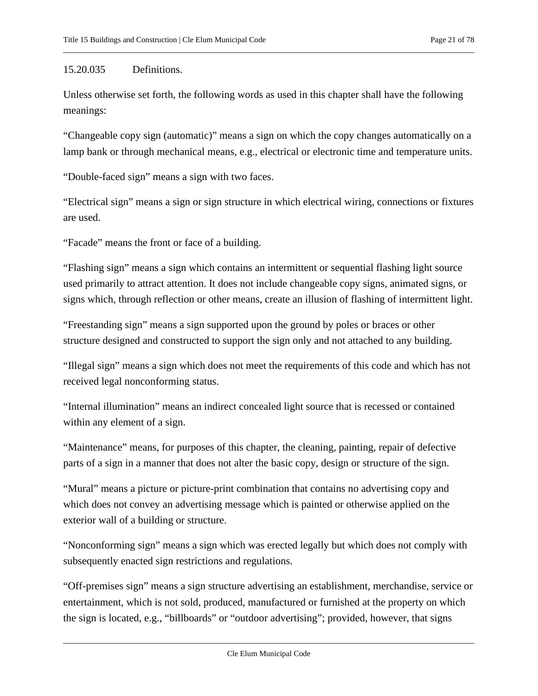### <span id="page-20-0"></span>15.20.035 Definitions.

Unless otherwise set forth, the following words as used in this chapter shall have the following meanings:

"Changeable copy sign (automatic)" means a sign on which the copy changes automatically on a lamp bank or through mechanical means, e.g., electrical or electronic time and temperature units.

"Double-faced sign" means a sign with two faces.

"Electrical sign" means a sign or sign structure in which electrical wiring, connections or fixtures are used.

"Facade" means the front or face of a building.

"Flashing sign" means a sign which contains an intermittent or sequential flashing light source used primarily to attract attention. It does not include changeable copy signs, animated signs, or signs which, through reflection or other means, create an illusion of flashing of intermittent light.

"Freestanding sign" means a sign supported upon the ground by poles or braces or other structure designed and constructed to support the sign only and not attached to any building.

"Illegal sign" means a sign which does not meet the requirements of this code and which has not received legal nonconforming status.

"Internal illumination" means an indirect concealed light source that is recessed or contained within any element of a sign.

"Maintenance" means, for purposes of this chapter, the cleaning, painting, repair of defective parts of a sign in a manner that does not alter the basic copy, design or structure of the sign.

"Mural" means a picture or picture-print combination that contains no advertising copy and which does not convey an advertising message which is painted or otherwise applied on the exterior wall of a building or structure.

"Nonconforming sign" means a sign which was erected legally but which does not comply with subsequently enacted sign restrictions and regulations.

"Off-premises sign" means a sign structure advertising an establishment, merchandise, service or entertainment, which is not sold, produced, manufactured or furnished at the property on which the sign is located, e.g., "billboards" or "outdoor advertising"; provided, however, that signs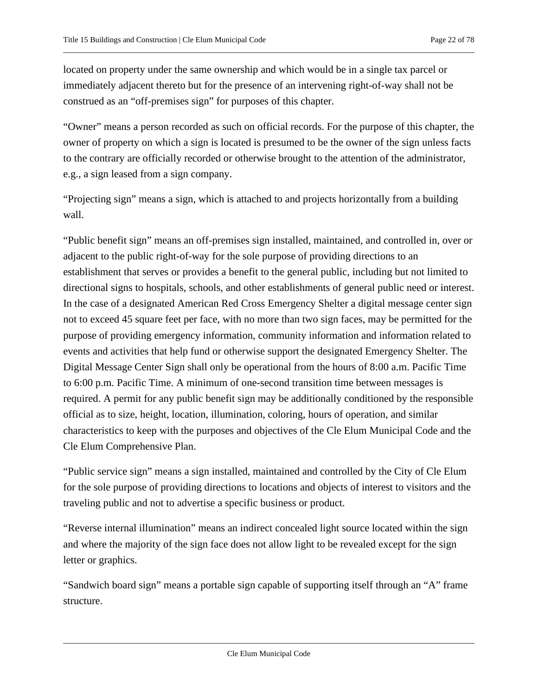located on property under the same ownership and which would be in a single tax parcel or immediately adjacent thereto but for the presence of an intervening right-of-way shall not be construed as an "off-premises sign" for purposes of this chapter.

"Owner" means a person recorded as such on official records. For the purpose of this chapter, the owner of property on which a sign is located is presumed to be the owner of the sign unless facts to the contrary are officially recorded or otherwise brought to the attention of the administrator, e.g., a sign leased from a sign company.

"Projecting sign" means a sign, which is attached to and projects horizontally from a building wall.

"Public benefit sign" means an off-premises sign installed, maintained, and controlled in, over or adjacent to the public right-of-way for the sole purpose of providing directions to an establishment that serves or provides a benefit to the general public, including but not limited to directional signs to hospitals, schools, and other establishments of general public need or interest. In the case of a designated American Red Cross Emergency Shelter a digital message center sign not to exceed 45 square feet per face, with no more than two sign faces, may be permitted for the purpose of providing emergency information, community information and information related to events and activities that help fund or otherwise support the designated Emergency Shelter. The Digital Message Center Sign shall only be operational from the hours of 8:00 a.m. Pacific Time to 6:00 p.m. Pacific Time. A minimum of one-second transition time between messages is required. A permit for any public benefit sign may be additionally conditioned by the responsible official as to size, height, location, illumination, coloring, hours of operation, and similar characteristics to keep with the purposes and objectives of the Cle Elum Municipal Code and the Cle Elum Comprehensive Plan.

"Public service sign" means a sign installed, maintained and controlled by the City of Cle Elum for the sole purpose of providing directions to locations and objects of interest to visitors and the traveling public and not to advertise a specific business or product.

"Reverse internal illumination" means an indirect concealed light source located within the sign and where the majority of the sign face does not allow light to be revealed except for the sign letter or graphics.

"Sandwich board sign" means a portable sign capable of supporting itself through an "A" frame structure.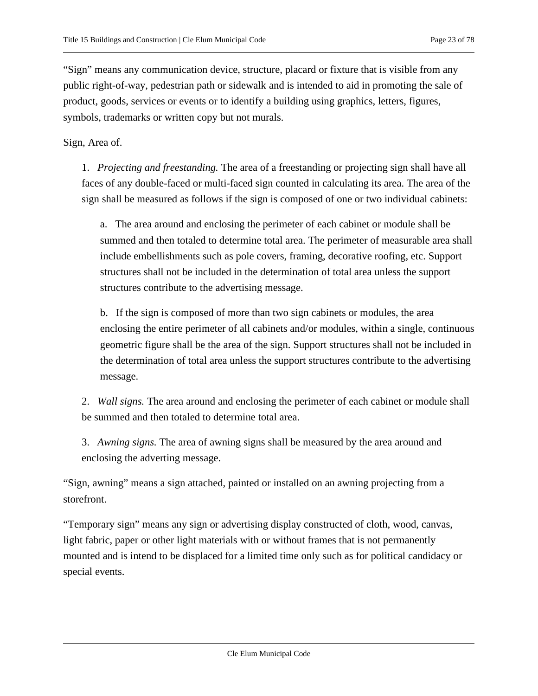"Sign" means any communication device, structure, placard or fixture that is visible from any public right-of-way, pedestrian path or sidewalk and is intended to aid in promoting the sale of product, goods, services or events or to identify a building using graphics, letters, figures, symbols, trademarks or written copy but not murals.

Sign, Area of.

1. *Projecting and freestanding.* The area of a freestanding or projecting sign shall have all faces of any double-faced or multi-faced sign counted in calculating its area. The area of the sign shall be measured as follows if the sign is composed of one or two individual cabinets:

a. The area around and enclosing the perimeter of each cabinet or module shall be summed and then totaled to determine total area. The perimeter of measurable area shall include embellishments such as pole covers, framing, decorative roofing, etc. Support structures shall not be included in the determination of total area unless the support structures contribute to the advertising message.

b. If the sign is composed of more than two sign cabinets or modules, the area enclosing the entire perimeter of all cabinets and/or modules, within a single, continuous geometric figure shall be the area of the sign. Support structures shall not be included in the determination of total area unless the support structures contribute to the advertising message.

2. *Wall signs.* The area around and enclosing the perimeter of each cabinet or module shall be summed and then totaled to determine total area.

3. *Awning signs.* The area of awning signs shall be measured by the area around and enclosing the adverting message.

"Sign, awning" means a sign attached, painted or installed on an awning projecting from a storefront.

"Temporary sign" means any sign or advertising display constructed of cloth, wood, canvas, light fabric, paper or other light materials with or without frames that is not permanently mounted and is intend to be displaced for a limited time only such as for political candidacy or special events.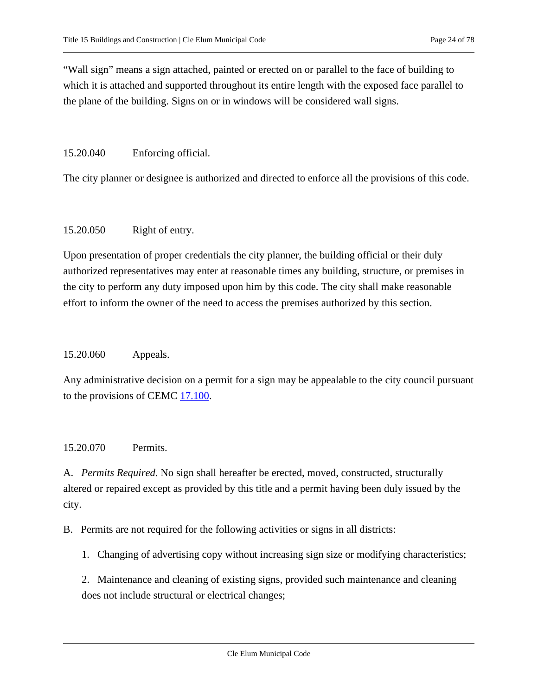"Wall sign" means a sign attached, painted or erected on or parallel to the face of building to which it is attached and supported throughout its entire length with the exposed face parallel to the plane of the building. Signs on or in windows will be considered wall signs.

#### <span id="page-23-0"></span>15.20.040 Enforcing official.

<span id="page-23-1"></span>The city planner or designee is authorized and directed to enforce all the provisions of this code.

#### 15.20.050 Right of entry.

Upon presentation of proper credentials the city planner, the building official or their duly authorized representatives may enter at reasonable times any building, structure, or premises in the city to perform any duty imposed upon him by this code. The city shall make reasonable effort to inform the owner of the need to access the premises authorized by this section.

#### <span id="page-23-2"></span>15.20.060 Appeals.

Any administrative decision on a permit for a sign may be appealable to the city council pursuant to the provisions of CEMC  $17.100$ .

#### <span id="page-23-3"></span>15.20.070 Permits.

A. *Permits Required.* No sign shall hereafter be erected, moved, constructed, structurally altered or repaired except as provided by this title and a permit having been duly issued by the city.

B. Permits are not required for the following activities or signs in all districts:

1. Changing of advertising copy without increasing sign size or modifying characteristics;

2. Maintenance and cleaning of existing signs, provided such maintenance and cleaning does not include structural or electrical changes;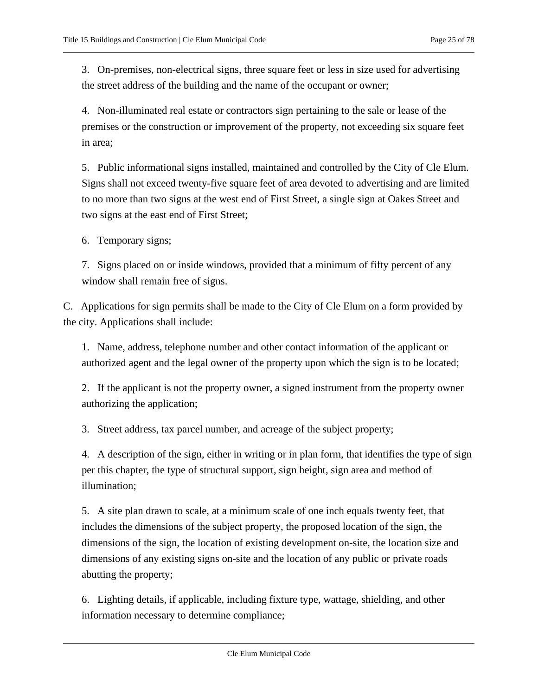3. On-premises, non-electrical signs, three square feet or less in size used for advertising the street address of the building and the name of the occupant or owner;

4. Non-illuminated real estate or contractors sign pertaining to the sale or lease of the premises or the construction or improvement of the property, not exceeding six square feet in area;

5. Public informational signs installed, maintained and controlled by the City of Cle Elum. Signs shall not exceed twenty-five square feet of area devoted to advertising and are limited to no more than two signs at the west end of First Street, a single sign at Oakes Street and two signs at the east end of First Street;

6. Temporary signs;

7. Signs placed on or inside windows, provided that a minimum of fifty percent of any window shall remain free of signs.

C. Applications for sign permits shall be made to the City of Cle Elum on a form provided by the city. Applications shall include:

1. Name, address, telephone number and other contact information of the applicant or authorized agent and the legal owner of the property upon which the sign is to be located;

2. If the applicant is not the property owner, a signed instrument from the property owner authorizing the application;

3. Street address, tax parcel number, and acreage of the subject property;

4. A description of the sign, either in writing or in plan form, that identifies the type of sign per this chapter, the type of structural support, sign height, sign area and method of illumination;

5. A site plan drawn to scale, at a minimum scale of one inch equals twenty feet, that includes the dimensions of the subject property, the proposed location of the sign, the dimensions of the sign, the location of existing development on-site, the location size and dimensions of any existing signs on-site and the location of any public or private roads abutting the property;

6. Lighting details, if applicable, including fixture type, wattage, shielding, and other information necessary to determine compliance;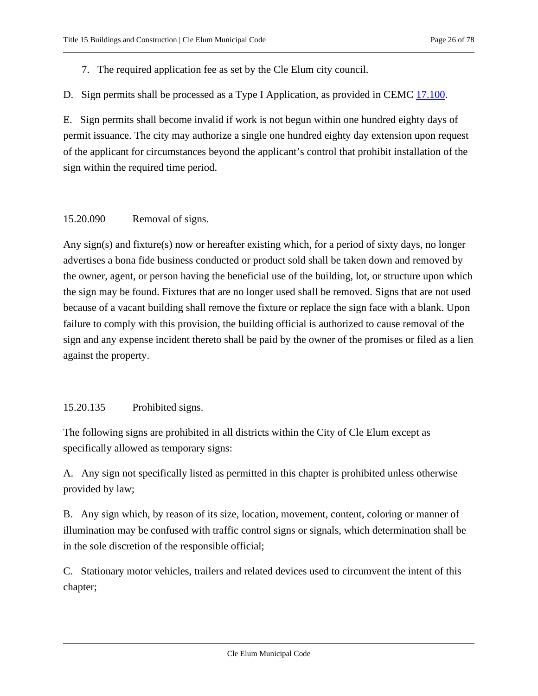7. The required application fee as set by the Cle Elum city council.

D. Sign permits shall be processed as a Type I Application, as provided in CEMC [17.100.](https://cleelum.municipal.codes/CEMC/17.100)

E. Sign permits shall become invalid if work is not begun within one hundred eighty days of permit issuance. The city may authorize a single one hundred eighty day extension upon request of the applicant for circumstances beyond the applicant's control that prohibit installation of the sign within the required time period.

### <span id="page-25-0"></span>15.20.090 Removal of signs.

Any sign(s) and fixture(s) now or hereafter existing which, for a period of sixty days, no longer advertises a bona fide business conducted or product sold shall be taken down and removed by the owner, agent, or person having the beneficial use of the building, lot, or structure upon which the sign may be found. Fixtures that are no longer used shall be removed. Signs that are not used because of a vacant building shall remove the fixture or replace the sign face with a blank. Upon failure to comply with this provision, the building official is authorized to cause removal of the sign and any expense incident thereto shall be paid by the owner of the promises or filed as a lien against the property.

### <span id="page-25-1"></span>15.20.135 Prohibited signs.

The following signs are prohibited in all districts within the City of Cle Elum except as specifically allowed as temporary signs:

A. Any sign not specifically listed as permitted in this chapter is prohibited unless otherwise provided by law;

B. Any sign which, by reason of its size, location, movement, content, coloring or manner of illumination may be confused with traffic control signs or signals, which determination shall be in the sole discretion of the responsible official;

C. Stationary motor vehicles, trailers and related devices used to circumvent the intent of this chapter;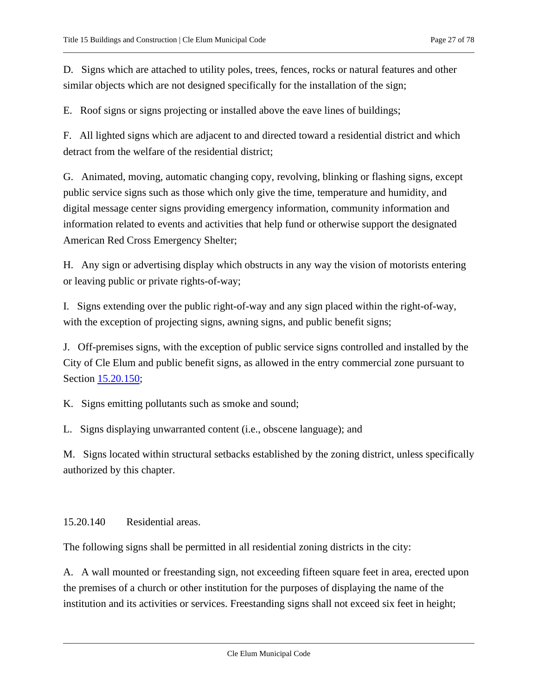D. Signs which are attached to utility poles, trees, fences, rocks or natural features and other similar objects which are not designed specifically for the installation of the sign;

E. Roof signs or signs projecting or installed above the eave lines of buildings;

F. All lighted signs which are adjacent to and directed toward a residential district and which detract from the welfare of the residential district;

G. Animated, moving, automatic changing copy, revolving, blinking or flashing signs, except public service signs such as those which only give the time, temperature and humidity, and digital message center signs providing emergency information, community information and information related to events and activities that help fund or otherwise support the designated American Red Cross Emergency Shelter;

H. Any sign or advertising display which obstructs in any way the vision of motorists entering or leaving public or private rights-of-way;

I. Signs extending over the public right-of-way and any sign placed within the right-of-way, with the exception of projecting signs, awning signs, and public benefit signs;

J. Off-premises signs, with the exception of public service signs controlled and installed by the City of Cle Elum and public benefit signs, as allowed in the entry commercial zone pursuant to Section [15.20.150;](#page-27-0)

K. Signs emitting pollutants such as smoke and sound;

L. Signs displaying unwarranted content (i.e., obscene language); and

M. Signs located within structural setbacks established by the zoning district, unless specifically authorized by this chapter.

#### <span id="page-26-0"></span>15.20.140 Residential areas.

The following signs shall be permitted in all residential zoning districts in the city:

A. A wall mounted or freestanding sign, not exceeding fifteen square feet in area, erected upon the premises of a church or other institution for the purposes of displaying the name of the institution and its activities or services. Freestanding signs shall not exceed six feet in height;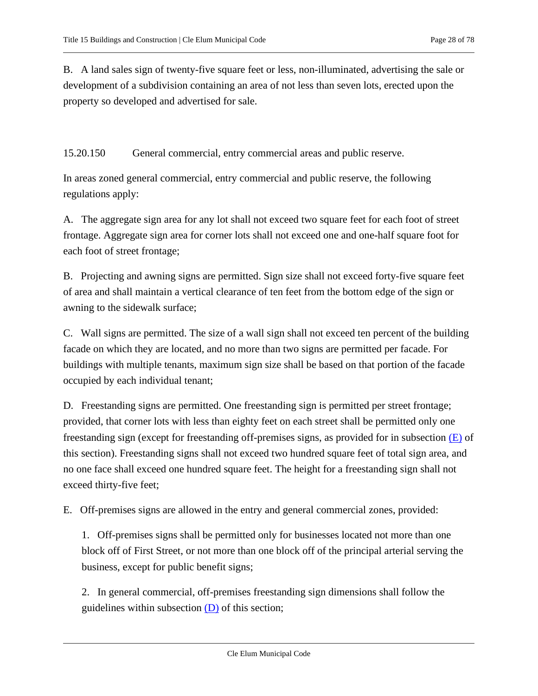B. A land sales sign of twenty-five square feet or less, non-illuminated, advertising the sale or development of a subdivision containing an area of not less than seven lots, erected upon the property so developed and advertised for sale.

<span id="page-27-0"></span>15.20.150 General commercial, entry commercial areas and public reserve.

In areas zoned general commercial, entry commercial and public reserve, the following regulations apply:

A. The aggregate sign area for any lot shall not exceed two square feet for each foot of street frontage. Aggregate sign area for corner lots shall not exceed one and one-half square foot for each foot of street frontage;

B. Projecting and awning signs are permitted. Sign size shall not exceed forty-five square feet of area and shall maintain a vertical clearance of ten feet from the bottom edge of the sign or awning to the sidewalk surface;

C. Wall signs are permitted. The size of a wall sign shall not exceed ten percent of the building facade on which they are located, and no more than two signs are permitted per facade. For buildings with multiple tenants, maximum sign size shall be based on that portion of the facade occupied by each individual tenant;

<span id="page-27-2"></span>D. Freestanding signs are permitted. One freestanding sign is permitted per street frontage; provided, that corner lots with less than eighty feet on each street shall be permitted only one freestanding sign (except for freestanding off-premises signs, as provided for in subsection  $(E)$  of this section). Freestanding signs shall not exceed two hundred square feet of total sign area, and no one face shall exceed one hundred square feet. The height for a freestanding sign shall not exceed thirty-five feet;

<span id="page-27-1"></span>E. Off-premises signs are allowed in the entry and general commercial zones, provided:

1. Off-premises signs shall be permitted only for businesses located not more than one block off of First Street, or not more than one block off of the principal arterial serving the business, except for public benefit signs;

2. In general commercial, off-premises freestanding sign dimensions shall follow the guidelines within subsection  $(D)$  of this section;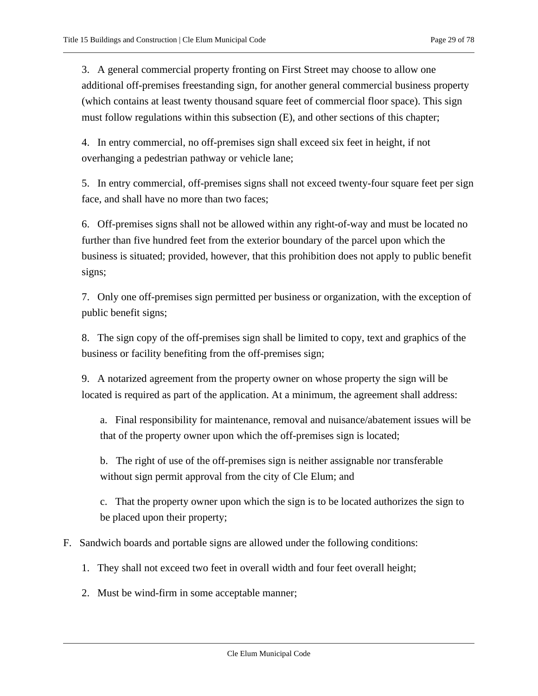3. A general commercial property fronting on First Street may choose to allow one additional off-premises freestanding sign, for another general commercial business property (which contains at least twenty thousand square feet of commercial floor space). This sign must follow regulations within this subsection (E), and other sections of this chapter;

4. In entry commercial, no off-premises sign shall exceed six feet in height, if not overhanging a pedestrian pathway or vehicle lane;

5. In entry commercial, off-premises signs shall not exceed twenty-four square feet per sign face, and shall have no more than two faces;

6. Off-premises signs shall not be allowed within any right-of-way and must be located no further than five hundred feet from the exterior boundary of the parcel upon which the business is situated; provided, however, that this prohibition does not apply to public benefit signs;

7. Only one off-premises sign permitted per business or organization, with the exception of public benefit signs;

8. The sign copy of the off-premises sign shall be limited to copy, text and graphics of the business or facility benefiting from the off-premises sign;

9. A notarized agreement from the property owner on whose property the sign will be located is required as part of the application. At a minimum, the agreement shall address:

a. Final responsibility for maintenance, removal and nuisance/abatement issues will be that of the property owner upon which the off-premises sign is located;

b. The right of use of the off-premises sign is neither assignable nor transferable without sign permit approval from the city of Cle Elum; and

c. That the property owner upon which the sign is to be located authorizes the sign to be placed upon their property;

#### F. Sandwich boards and portable signs are allowed under the following conditions:

- 1. They shall not exceed two feet in overall width and four feet overall height;
- 2. Must be wind-firm in some acceptable manner;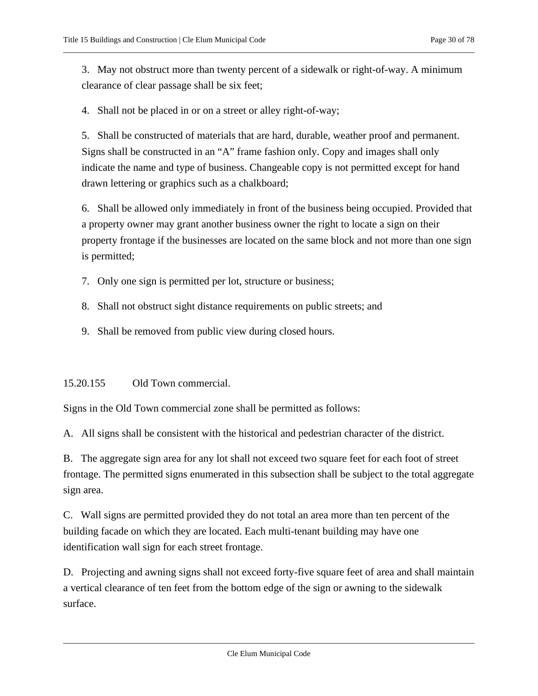3. May not obstruct more than twenty percent of a sidewalk or right-of-way. A minimum clearance of clear passage shall be six feet;

4. Shall not be placed in or on a street or alley right-of-way;

5. Shall be constructed of materials that are hard, durable, weather proof and permanent. Signs shall be constructed in an "A" frame fashion only. Copy and images shall only indicate the name and type of business. Changeable copy is not permitted except for hand drawn lettering or graphics such as a chalkboard;

6. Shall be allowed only immediately in front of the business being occupied. Provided that a property owner may grant another business owner the right to locate a sign on their property frontage if the businesses are located on the same block and not more than one sign is permitted;

- 7. Only one sign is permitted per lot, structure or business;
- 8. Shall not obstruct sight distance requirements on public streets; and
- 9. Shall be removed from public view during closed hours.

<span id="page-29-0"></span>15.20.155 Old Town commercial.

Signs in the Old Town commercial zone shall be permitted as follows:

A. All signs shall be consistent with the historical and pedestrian character of the district.

B. The aggregate sign area for any lot shall not exceed two square feet for each foot of street frontage. The permitted signs enumerated in this subsection shall be subject to the total aggregate sign area.

C. Wall signs are permitted provided they do not total an area more than ten percent of the building facade on which they are located. Each multi-tenant building may have one identification wall sign for each street frontage.

D. Projecting and awning signs shall not exceed forty-five square feet of area and shall maintain a vertical clearance of ten feet from the bottom edge of the sign or awning to the sidewalk surface.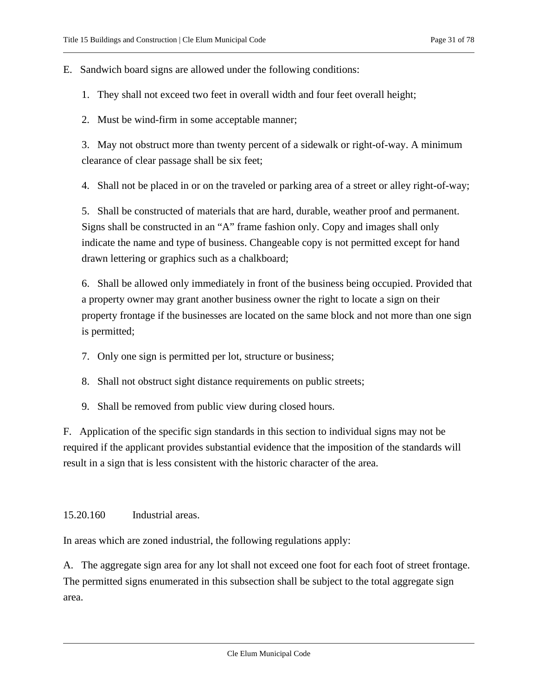E. Sandwich board signs are allowed under the following conditions:

- 1. They shall not exceed two feet in overall width and four feet overall height;
- 2. Must be wind-firm in some acceptable manner;

3. May not obstruct more than twenty percent of a sidewalk or right-of-way. A minimum clearance of clear passage shall be six feet;

4. Shall not be placed in or on the traveled or parking area of a street or alley right-of-way;

5. Shall be constructed of materials that are hard, durable, weather proof and permanent. Signs shall be constructed in an "A" frame fashion only. Copy and images shall only indicate the name and type of business. Changeable copy is not permitted except for hand drawn lettering or graphics such as a chalkboard;

6. Shall be allowed only immediately in front of the business being occupied. Provided that a property owner may grant another business owner the right to locate a sign on their property frontage if the businesses are located on the same block and not more than one sign is permitted;

- 7. Only one sign is permitted per lot, structure or business;
- 8. Shall not obstruct sight distance requirements on public streets;
- 9. Shall be removed from public view during closed hours.

F. Application of the specific sign standards in this section to individual signs may not be required if the applicant provides substantial evidence that the imposition of the standards will result in a sign that is less consistent with the historic character of the area.

<span id="page-30-0"></span>15.20.160 Industrial areas.

In areas which are zoned industrial, the following regulations apply:

<span id="page-30-1"></span>A. The aggregate sign area for any lot shall not exceed one foot for each foot of street frontage. The permitted signs enumerated in this subsection shall be subject to the total aggregate sign area.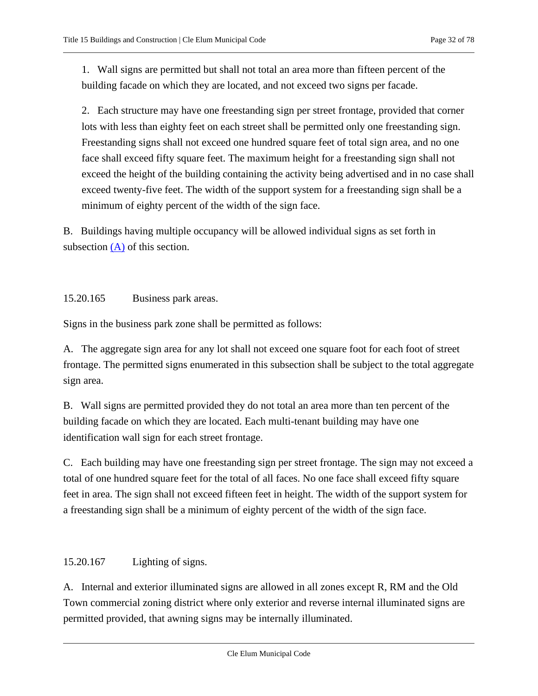1. Wall signs are permitted but shall not total an area more than fifteen percent of the building facade on which they are located, and not exceed two signs per facade.

2. Each structure may have one freestanding sign per street frontage, provided that corner lots with less than eighty feet on each street shall be permitted only one freestanding sign. Freestanding signs shall not exceed one hundred square feet of total sign area, and no one face shall exceed fifty square feet. The maximum height for a freestanding sign shall not exceed the height of the building containing the activity being advertised and in no case shall exceed twenty-five feet. The width of the support system for a freestanding sign shall be a minimum of eighty percent of the width of the sign face.

B. Buildings having multiple occupancy will be allowed individual signs as set forth in subsection [\(A\)](#page-30-1) of this section.

<span id="page-31-0"></span>15.20.165 Business park areas.

Signs in the business park zone shall be permitted as follows:

A. The aggregate sign area for any lot shall not exceed one square foot for each foot of street frontage. The permitted signs enumerated in this subsection shall be subject to the total aggregate sign area.

B. Wall signs are permitted provided they do not total an area more than ten percent of the building facade on which they are located. Each multi-tenant building may have one identification wall sign for each street frontage.

C. Each building may have one freestanding sign per street frontage. The sign may not exceed a total of one hundred square feet for the total of all faces. No one face shall exceed fifty square feet in area. The sign shall not exceed fifteen feet in height. The width of the support system for a freestanding sign shall be a minimum of eighty percent of the width of the sign face.

<span id="page-31-1"></span>15.20.167 Lighting of signs.

A. Internal and exterior illuminated signs are allowed in all zones except R, RM and the Old Town commercial zoning district where only exterior and reverse internal illuminated signs are permitted provided, that awning signs may be internally illuminated.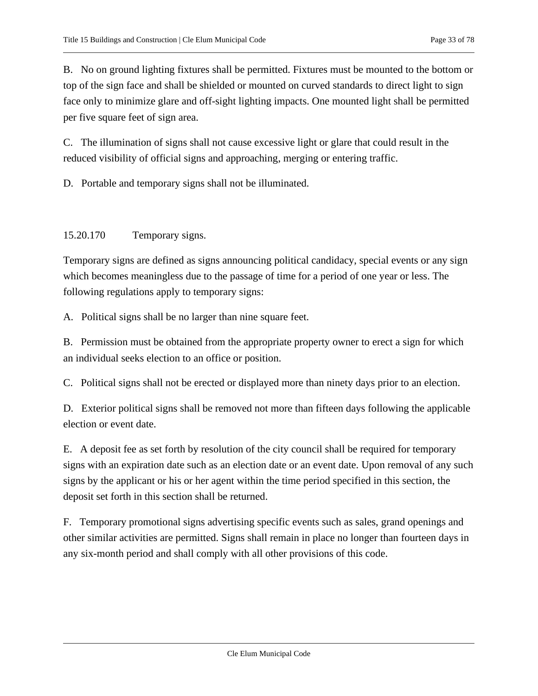B. No on ground lighting fixtures shall be permitted. Fixtures must be mounted to the bottom or top of the sign face and shall be shielded or mounted on curved standards to direct light to sign face only to minimize glare and off-sight lighting impacts. One mounted light shall be permitted per five square feet of sign area.

C. The illumination of signs shall not cause excessive light or glare that could result in the reduced visibility of official signs and approaching, merging or entering traffic.

<span id="page-32-0"></span>D. Portable and temporary signs shall not be illuminated.

#### 15.20.170 Temporary signs.

Temporary signs are defined as signs announcing political candidacy, special events or any sign which becomes meaningless due to the passage of time for a period of one year or less. The following regulations apply to temporary signs:

A. Political signs shall be no larger than nine square feet.

B. Permission must be obtained from the appropriate property owner to erect a sign for which an individual seeks election to an office or position.

C. Political signs shall not be erected or displayed more than ninety days prior to an election.

D. Exterior political signs shall be removed not more than fifteen days following the applicable election or event date.

E. A deposit fee as set forth by resolution of the city council shall be required for temporary signs with an expiration date such as an election date or an event date. Upon removal of any such signs by the applicant or his or her agent within the time period specified in this section, the deposit set forth in this section shall be returned.

F. Temporary promotional signs advertising specific events such as sales, grand openings and other similar activities are permitted. Signs shall remain in place no longer than fourteen days in any six-month period and shall comply with all other provisions of this code.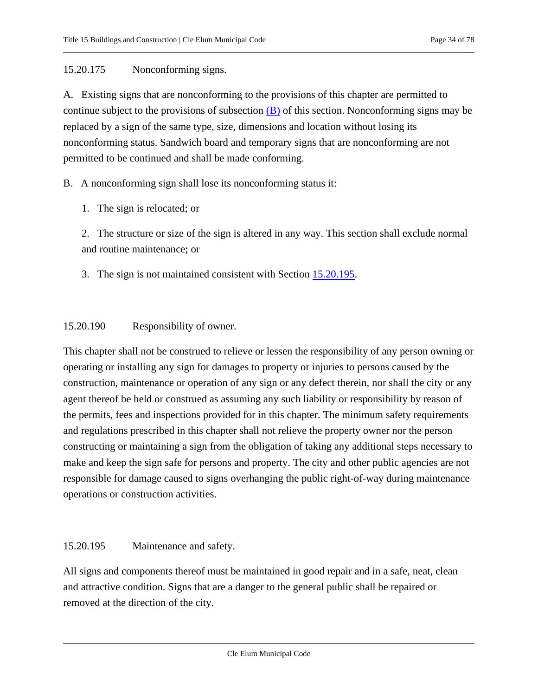### <span id="page-33-0"></span>15.20.175 Nonconforming signs.

A. Existing signs that are nonconforming to the provisions of this chapter are permitted to continue subject to the provisions of subsection  $(B)$  of this section. Nonconforming signs may be replaced by a sign of the same type, size, dimensions and location without losing its nonconforming status. Sandwich board and temporary signs that are nonconforming are not permitted to be continued and shall be made conforming.

### <span id="page-33-3"></span>B. A nonconforming sign shall lose its nonconforming status it:

1. The sign is relocated; or

2. The structure or size of the sign is altered in any way. This section shall exclude normal and routine maintenance; or

3. The sign is not maintained consistent with Section [15.20.195.](#page-33-2)

### <span id="page-33-1"></span>15.20.190 Responsibility of owner.

This chapter shall not be construed to relieve or lessen the responsibility of any person owning or operating or installing any sign for damages to property or injuries to persons caused by the construction, maintenance or operation of any sign or any defect therein, nor shall the city or any agent thereof be held or construed as assuming any such liability or responsibility by reason of the permits, fees and inspections provided for in this chapter. The minimum safety requirements and regulations prescribed in this chapter shall not relieve the property owner nor the person constructing or maintaining a sign from the obligation of taking any additional steps necessary to make and keep the sign safe for persons and property. The city and other public agencies are not responsible for damage caused to signs overhanging the public right-of-way during maintenance operations or construction activities.

#### <span id="page-33-2"></span>15.20.195 Maintenance and safety.

All signs and components thereof must be maintained in good repair and in a safe, neat, clean and attractive condition. Signs that are a danger to the general public shall be repaired or removed at the direction of the city.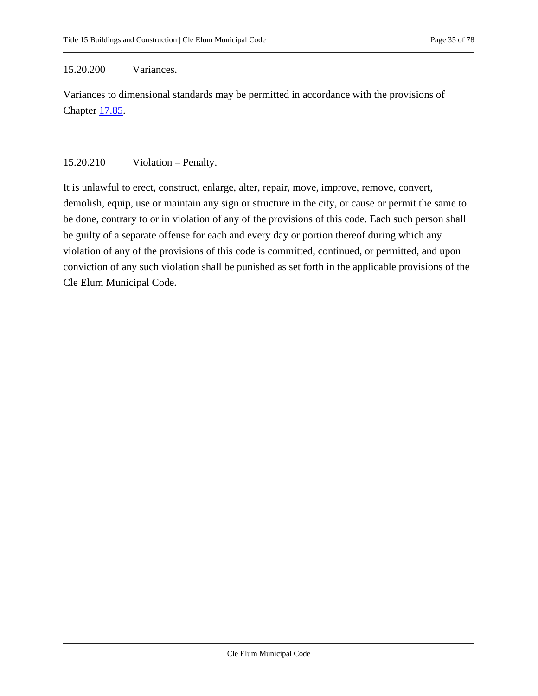#### <span id="page-34-0"></span>15.20.200 Variances.

Variances to dimensional standards may be permitted in accordance with the provisions of Chapter [17.85.](https://cleelum.municipal.codes/CEMC/17.85)

#### <span id="page-34-1"></span>15.20.210 Violation – Penalty.

It is unlawful to erect, construct, enlarge, alter, repair, move, improve, remove, convert, demolish, equip, use or maintain any sign or structure in the city, or cause or permit the same to be done, contrary to or in violation of any of the provisions of this code. Each such person shall be guilty of a separate offense for each and every day or portion thereof during which any violation of any of the provisions of this code is committed, continued, or permitted, and upon conviction of any such violation shall be punished as set forth in the applicable provisions of the Cle Elum Municipal Code.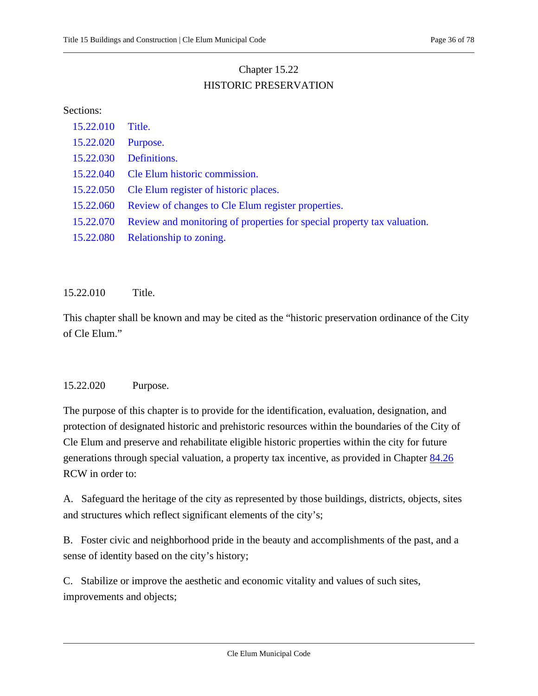# Chapter 15.22 HISTORIC PRESERVATION

#### <span id="page-35-0"></span>Sections:

| 15.22.010 | Title.                                                                  |
|-----------|-------------------------------------------------------------------------|
| 15.22.020 | Purpose.                                                                |
| 15.22.030 | Definitions.                                                            |
| 15.22.040 | Cle Elum historic commission.                                           |
| 15.22.050 | Cle Elum register of historic places.                                   |
| 15.22.060 | Review of changes to Cle Elum register properties.                      |
| 15.22.070 | Review and monitoring of properties for special property tax valuation. |
| 15.22.080 | Relationship to zoning.                                                 |

<span id="page-35-1"></span>15.22.010 Title.

This chapter shall be known and may be cited as the "historic preservation ordinance of the City of Cle Elum."

#### <span id="page-35-2"></span>15.22.020 Purpose.

The purpose of this chapter is to provide for the identification, evaluation, designation, and protection of designated historic and prehistoric resources within the boundaries of the City of Cle Elum and preserve and rehabilitate eligible historic properties within the city for future generations through special valuation, a property tax incentive, as provided in Chapter [84.26](https://cleelum.municipal.codes/WA/RCW/84.26) RCW in order to:

A. Safeguard the heritage of the city as represented by those buildings, districts, objects, sites and structures which reflect significant elements of the city's;

B. Foster civic and neighborhood pride in the beauty and accomplishments of the past, and a sense of identity based on the city's history;

C. Stabilize or improve the aesthetic and economic vitality and values of such sites, improvements and objects;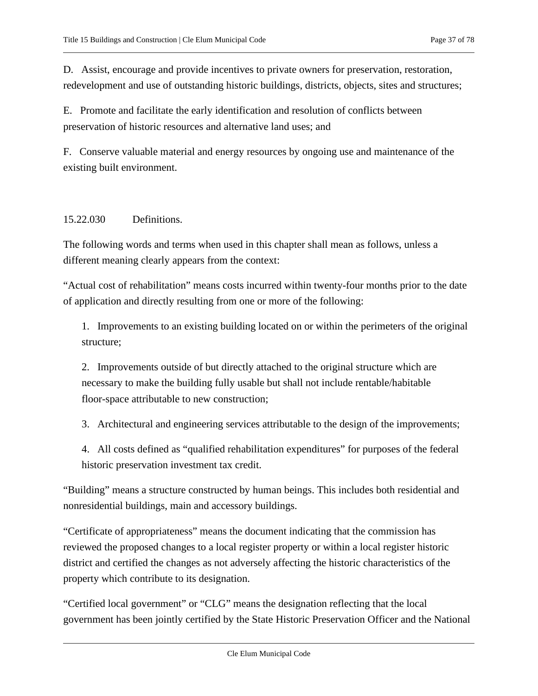D. Assist, encourage and provide incentives to private owners for preservation, restoration, redevelopment and use of outstanding historic buildings, districts, objects, sites and structures;

E. Promote and facilitate the early identification and resolution of conflicts between preservation of historic resources and alternative land uses; and

F. Conserve valuable material and energy resources by ongoing use and maintenance of the existing built environment.

# <span id="page-36-0"></span>15.22.030 Definitions.

The following words and terms when used in this chapter shall mean as follows, unless a different meaning clearly appears from the context:

"Actual cost of rehabilitation" means costs incurred within twenty-four months prior to the date of application and directly resulting from one or more of the following:

1. Improvements to an existing building located on or within the perimeters of the original structure;

2. Improvements outside of but directly attached to the original structure which are necessary to make the building fully usable but shall not include rentable/habitable floor-space attributable to new construction;

3. Architectural and engineering services attributable to the design of the improvements;

4. All costs defined as "qualified rehabilitation expenditures" for purposes of the federal historic preservation investment tax credit.

"Building" means a structure constructed by human beings. This includes both residential and nonresidential buildings, main and accessory buildings.

"Certificate of appropriateness" means the document indicating that the commission has reviewed the proposed changes to a local register property or within a local register historic district and certified the changes as not adversely affecting the historic characteristics of the property which contribute to its designation.

"Certified local government" or "CLG" means the designation reflecting that the local government has been jointly certified by the State Historic Preservation Officer and the National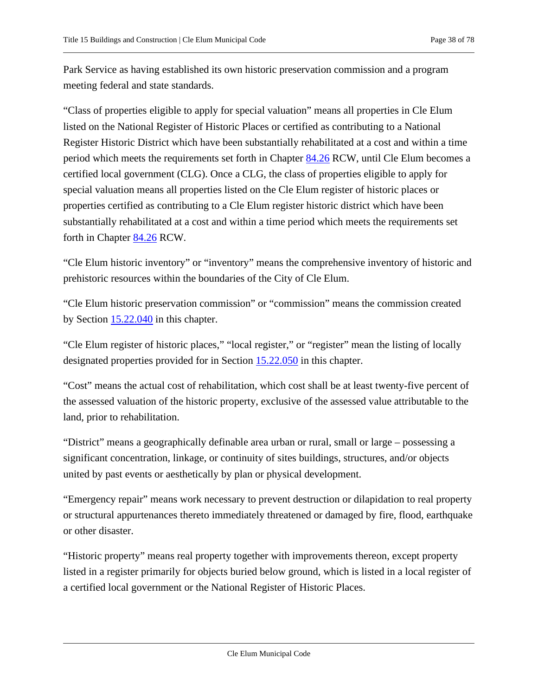Park Service as having established its own historic preservation commission and a program meeting federal and state standards.

"Class of properties eligible to apply for special valuation" means all properties in Cle Elum listed on the National Register of Historic Places or certified as contributing to a National Register Historic District which have been substantially rehabilitated at a cost and within a time period which meets the requirements set forth in Chapter [84.26](https://cleelum.municipal.codes/WA/RCW/84.26) RCW, until Cle Elum becomes a certified local government (CLG). Once a CLG, the class of properties eligible to apply for special valuation means all properties listed on the Cle Elum register of historic places or properties certified as contributing to a Cle Elum register historic district which have been substantially rehabilitated at a cost and within a time period which meets the requirements set forth in Chapter [84.26](https://cleelum.municipal.codes/WA/RCW/84.26) RCW.

"Cle Elum historic inventory" or "inventory" means the comprehensive inventory of historic and prehistoric resources within the boundaries of the City of Cle Elum.

"Cle Elum historic preservation commission" or "commission" means the commission created by Section [15.22.040](#page-40-0) in this chapter.

"Cle Elum register of historic places," "local register," or "register" mean the listing of locally designated properties provided for in Section [15.22.050](#page-43-0) in this chapter.

"Cost" means the actual cost of rehabilitation, which cost shall be at least twenty-five percent of the assessed valuation of the historic property, exclusive of the assessed value attributable to the land, prior to rehabilitation.

"District" means a geographically definable area urban or rural, small or large – possessing a significant concentration, linkage, or continuity of sites buildings, structures, and/or objects united by past events or aesthetically by plan or physical development.

"Emergency repair" means work necessary to prevent destruction or dilapidation to real property or structural appurtenances thereto immediately threatened or damaged by fire, flood, earthquake or other disaster.

"Historic property" means real property together with improvements thereon, except property listed in a register primarily for objects buried below ground, which is listed in a local register of a certified local government or the National Register of Historic Places.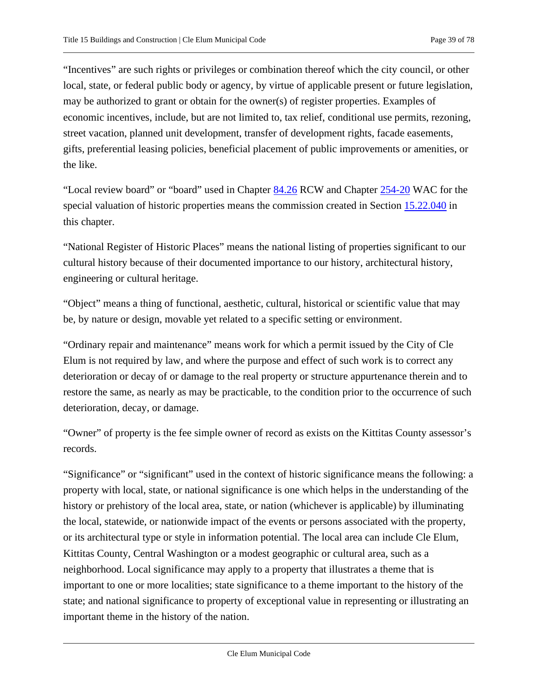"Incentives" are such rights or privileges or combination thereof which the city council, or other local, state, or federal public body or agency, by virtue of applicable present or future legislation, may be authorized to grant or obtain for the owner(s) of register properties. Examples of economic incentives, include, but are not limited to, tax relief, conditional use permits, rezoning, street vacation, planned unit development, transfer of development rights, facade easements, gifts, preferential leasing policies, beneficial placement of public improvements or amenities, or the like.

"Local review board" or "board" used in Chapter [84.26](https://cleelum.municipal.codes/WA/RCW/84.26) RCW and Chapter [254-20](https://cleelum.municipal.codes/WA/WAC/254-20) WAC for the special valuation of historic properties means the commission created in Section [15.22.040](#page-40-0) in this chapter.

"National Register of Historic Places" means the national listing of properties significant to our cultural history because of their documented importance to our history, architectural history, engineering or cultural heritage.

"Object" means a thing of functional, aesthetic, cultural, historical or scientific value that may be, by nature or design, movable yet related to a specific setting or environment.

"Ordinary repair and maintenance" means work for which a permit issued by the City of Cle Elum is not required by law, and where the purpose and effect of such work is to correct any deterioration or decay of or damage to the real property or structure appurtenance therein and to restore the same, as nearly as may be practicable, to the condition prior to the occurrence of such deterioration, decay, or damage.

"Owner" of property is the fee simple owner of record as exists on the Kittitas County assessor's records.

"Significance" or "significant" used in the context of historic significance means the following: a property with local, state, or national significance is one which helps in the understanding of the history or prehistory of the local area, state, or nation (whichever is applicable) by illuminating the local, statewide, or nationwide impact of the events or persons associated with the property, or its architectural type or style in information potential. The local area can include Cle Elum, Kittitas County, Central Washington or a modest geographic or cultural area, such as a neighborhood. Local significance may apply to a property that illustrates a theme that is important to one or more localities; state significance to a theme important to the history of the state; and national significance to property of exceptional value in representing or illustrating an important theme in the history of the nation.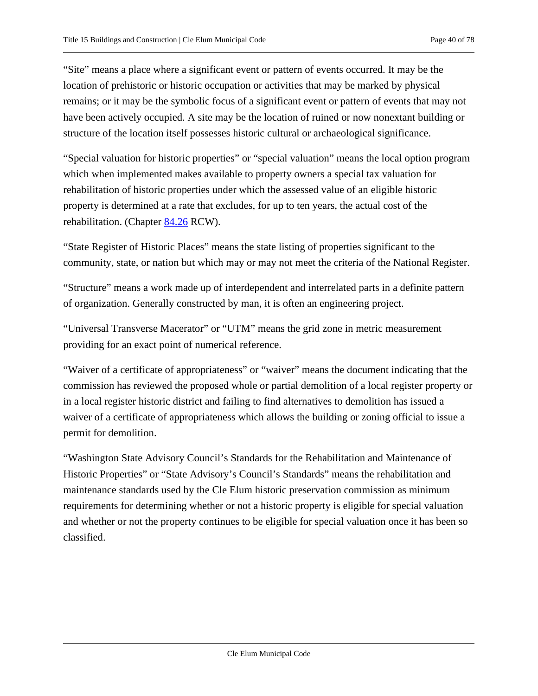"Site" means a place where a significant event or pattern of events occurred. It may be the location of prehistoric or historic occupation or activities that may be marked by physical remains; or it may be the symbolic focus of a significant event or pattern of events that may not have been actively occupied. A site may be the location of ruined or now nonextant building or structure of the location itself possesses historic cultural or archaeological significance.

"Special valuation for historic properties" or "special valuation" means the local option program which when implemented makes available to property owners a special tax valuation for rehabilitation of historic properties under which the assessed value of an eligible historic property is determined at a rate that excludes, for up to ten years, the actual cost of the rehabilitation. (Chapter [84.26](https://cleelum.municipal.codes/WA/RCW/84.26) RCW).

"State Register of Historic Places" means the state listing of properties significant to the community, state, or nation but which may or may not meet the criteria of the National Register.

"Structure" means a work made up of interdependent and interrelated parts in a definite pattern of organization. Generally constructed by man, it is often an engineering project.

"Universal Transverse Macerator" or "UTM" means the grid zone in metric measurement providing for an exact point of numerical reference.

"Waiver of a certificate of appropriateness" or "waiver" means the document indicating that the commission has reviewed the proposed whole or partial demolition of a local register property or in a local register historic district and failing to find alternatives to demolition has issued a waiver of a certificate of appropriateness which allows the building or zoning official to issue a permit for demolition.

"Washington State Advisory Council's Standards for the Rehabilitation and Maintenance of Historic Properties" or "State Advisory's Council's Standards" means the rehabilitation and maintenance standards used by the Cle Elum historic preservation commission as minimum requirements for determining whether or not a historic property is eligible for special valuation and whether or not the property continues to be eligible for special valuation once it has been so classified.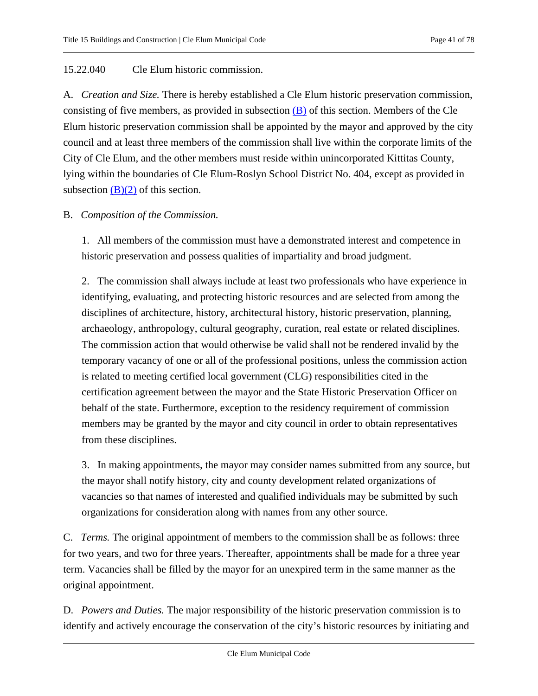# <span id="page-40-0"></span>15.22.040 Cle Elum historic commission.

A. *Creation and Size.* There is hereby established a Cle Elum historic preservation commission, consisting of five members, as provided in subsection  $(B)$  of this section. Members of the Cle Elum historic preservation commission shall be appointed by the mayor and approved by the city council and at least three members of the commission shall live within the corporate limits of the City of Cle Elum, and the other members must reside within unincorporated Kittitas County, lying within the boundaries of Cle Elum-Roslyn School District No. 404, except as provided in subsection  $(B)(2)$  of this section.

# <span id="page-40-1"></span>B. *Composition of the Commission.*

1. All members of the commission must have a demonstrated interest and competence in historic preservation and possess qualities of impartiality and broad judgment.

<span id="page-40-2"></span>2. The commission shall always include at least two professionals who have experience in identifying, evaluating, and protecting historic resources and are selected from among the disciplines of architecture, history, architectural history, historic preservation, planning, archaeology, anthropology, cultural geography, curation, real estate or related disciplines. The commission action that would otherwise be valid shall not be rendered invalid by the temporary vacancy of one or all of the professional positions, unless the commission action is related to meeting certified local government (CLG) responsibilities cited in the certification agreement between the mayor and the State Historic Preservation Officer on behalf of the state. Furthermore, exception to the residency requirement of commission members may be granted by the mayor and city council in order to obtain representatives from these disciplines.

3. In making appointments, the mayor may consider names submitted from any source, but the mayor shall notify history, city and county development related organizations of vacancies so that names of interested and qualified individuals may be submitted by such organizations for consideration along with names from any other source.

C. *Terms.* The original appointment of members to the commission shall be as follows: three for two years, and two for three years. Thereafter, appointments shall be made for a three year term. Vacancies shall be filled by the mayor for an unexpired term in the same manner as the original appointment.

D. *Powers and Duties.* The major responsibility of the historic preservation commission is to identify and actively encourage the conservation of the city's historic resources by initiating and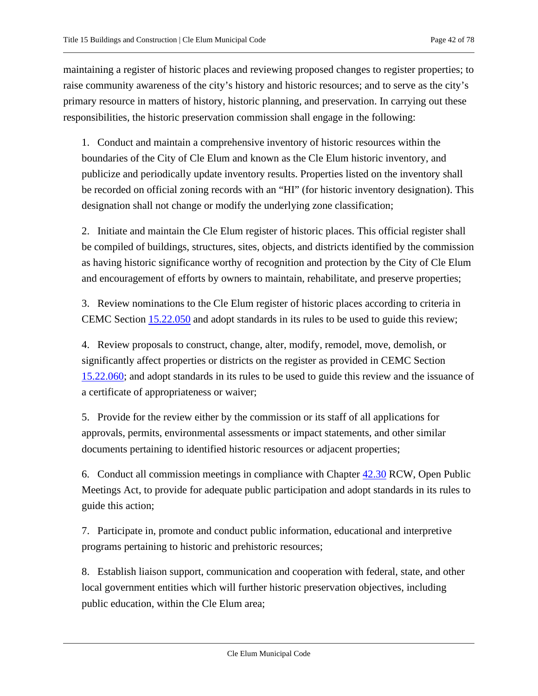maintaining a register of historic places and reviewing proposed changes to register properties; to raise community awareness of the city's history and historic resources; and to serve as the city's primary resource in matters of history, historic planning, and preservation. In carrying out these responsibilities, the historic preservation commission shall engage in the following:

1. Conduct and maintain a comprehensive inventory of historic resources within the boundaries of the City of Cle Elum and known as the Cle Elum historic inventory, and publicize and periodically update inventory results. Properties listed on the inventory shall be recorded on official zoning records with an "HI" (for historic inventory designation). This designation shall not change or modify the underlying zone classification;

2. Initiate and maintain the Cle Elum register of historic places. This official register shall be compiled of buildings, structures, sites, objects, and districts identified by the commission as having historic significance worthy of recognition and protection by the City of Cle Elum and encouragement of efforts by owners to maintain, rehabilitate, and preserve properties;

<span id="page-41-0"></span>3. Review nominations to the Cle Elum register of historic places according to criteria in CEMC Section [15.22.050](#page-43-0) and adopt standards in its rules to be used to guide this review;

<span id="page-41-1"></span>4. Review proposals to construct, change, alter, modify, remodel, move, demolish, or significantly affect properties or districts on the register as provided in CEMC Section [15.22.060;](#page-46-0) and adopt standards in its rules to be used to guide this review and the issuance of a certificate of appropriateness or waiver;

5. Provide for the review either by the commission or its staff of all applications for approvals, permits, environmental assessments or impact statements, and other similar documents pertaining to identified historic resources or adjacent properties;

<span id="page-41-2"></span>6. Conduct all commission meetings in compliance with Chapter [42.30](https://cleelum.municipal.codes/WA/RCW/42.30) RCW, Open Public Meetings Act, to provide for adequate public participation and adopt standards in its rules to guide this action;

7. Participate in, promote and conduct public information, educational and interpretive programs pertaining to historic and prehistoric resources;

8. Establish liaison support, communication and cooperation with federal, state, and other local government entities which will further historic preservation objectives, including public education, within the Cle Elum area;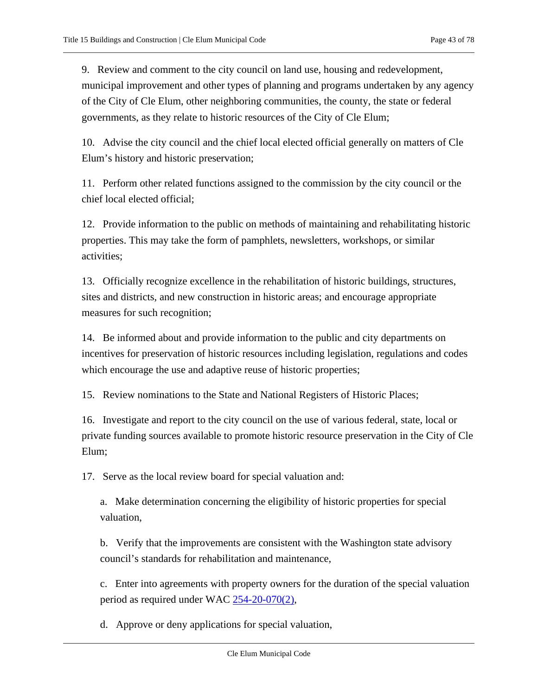9. Review and comment to the city council on land use, housing and redevelopment, municipal improvement and other types of planning and programs undertaken by any agency of the City of Cle Elum, other neighboring communities, the county, the state or federal governments, as they relate to historic resources of the City of Cle Elum;

10. Advise the city council and the chief local elected official generally on matters of Cle Elum's history and historic preservation;

11. Perform other related functions assigned to the commission by the city council or the chief local elected official;

12. Provide information to the public on methods of maintaining and rehabilitating historic properties. This may take the form of pamphlets, newsletters, workshops, or similar activities;

13. Officially recognize excellence in the rehabilitation of historic buildings, structures, sites and districts, and new construction in historic areas; and encourage appropriate measures for such recognition;

14. Be informed about and provide information to the public and city departments on incentives for preservation of historic resources including legislation, regulations and codes which encourage the use and adaptive reuse of historic properties;

15. Review nominations to the State and National Registers of Historic Places;

16. Investigate and report to the city council on the use of various federal, state, local or private funding sources available to promote historic resource preservation in the City of Cle Elum;

17. Serve as the local review board for special valuation and:

a. Make determination concerning the eligibility of historic properties for special valuation,

b. Verify that the improvements are consistent with the Washington state advisory council's standards for rehabilitation and maintenance,

c. Enter into agreements with property owners for the duration of the special valuation period as required under WAC  $254-20-070(2)$ ,

d. Approve or deny applications for special valuation,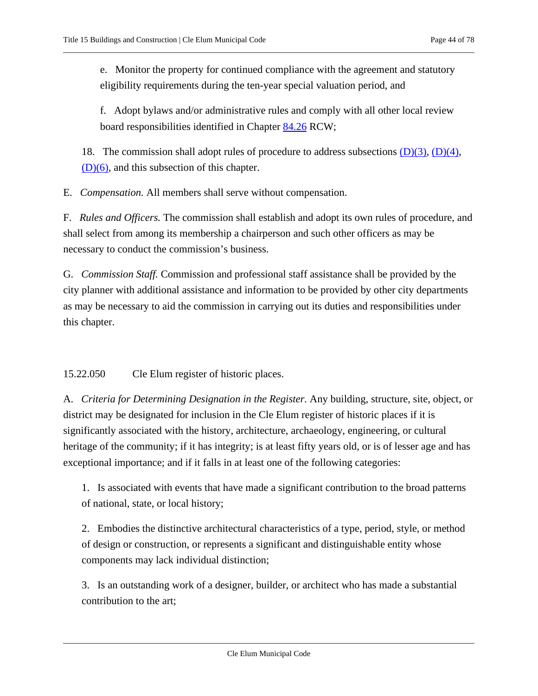e. Monitor the property for continued compliance with the agreement and statutory eligibility requirements during the ten-year special valuation period, and

f. Adopt bylaws and/or administrative rules and comply with all other local review board responsibilities identified in Chapter [84.26](https://cleelum.municipal.codes/WA/RCW/84.26) RCW;

18. The commission shall adopt rules of procedure to address subsections  $(D)(3)$ ,  $(D)(4)$ , [\(D\)\(6\),](#page-41-2) and this subsection of this chapter.

E. *Compensation.* All members shall serve without compensation.

F. *Rules and Officers.* The commission shall establish and adopt its own rules of procedure, and shall select from among its membership a chairperson and such other officers as may be necessary to conduct the commission's business.

G. *Commission Staff.* Commission and professional staff assistance shall be provided by the city planner with additional assistance and information to be provided by other city departments as may be necessary to aid the commission in carrying out its duties and responsibilities under this chapter.

<span id="page-43-0"></span>15.22.050 Cle Elum register of historic places.

<span id="page-43-1"></span>A. *Criteria for Determining Designation in the Register.* Any building, structure, site, object, or district may be designated for inclusion in the Cle Elum register of historic places if it is significantly associated with the history, architecture, archaeology, engineering, or cultural heritage of the community; if it has integrity; is at least fifty years old, or is of lesser age and has exceptional importance; and if it falls in at least one of the following categories:

1. Is associated with events that have made a significant contribution to the broad patterns of national, state, or local history;

2. Embodies the distinctive architectural characteristics of a type, period, style, or method of design or construction, or represents a significant and distinguishable entity whose components may lack individual distinction;

3. Is an outstanding work of a designer, builder, or architect who has made a substantial contribution to the art;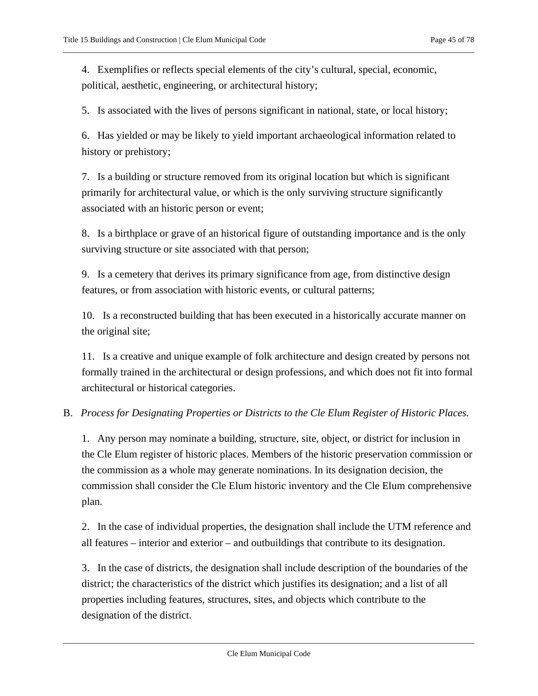4. Exemplifies or reflects special elements of the city's cultural, special, economic, political, aesthetic, engineering, or architectural history;

5. Is associated with the lives of persons significant in national, state, or local history;

6. Has yielded or may be likely to yield important archaeological information related to history or prehistory;

7. Is a building or structure removed from its original location but which is significant primarily for architectural value, or which is the only surviving structure significantly associated with an historic person or event;

8. Is a birthplace or grave of an historical figure of outstanding importance and is the only surviving structure or site associated with that person;

9. Is a cemetery that derives its primary significance from age, from distinctive design features, or from association with historic events, or cultural patterns;

10. Is a reconstructed building that has been executed in a historically accurate manner on the original site;

11. Is a creative and unique example of folk architecture and design created by persons not formally trained in the architectural or design professions, and which does not fit into formal architectural or historical categories.

# <span id="page-44-0"></span>B. *Process for Designating Properties or Districts to the Cle Elum Register of Historic Places.*

1. Any person may nominate a building, structure, site, object, or district for inclusion in the Cle Elum register of historic places. Members of the historic preservation commission or the commission as a whole may generate nominations. In its designation decision, the commission shall consider the Cle Elum historic inventory and the Cle Elum comprehensive plan.

2. In the case of individual properties, the designation shall include the UTM reference and all features – interior and exterior – and outbuildings that contribute to its designation.

3. In the case of districts, the designation shall include description of the boundaries of the district; the characteristics of the district which justifies its designation; and a list of all properties including features, structures, sites, and objects which contribute to the designation of the district.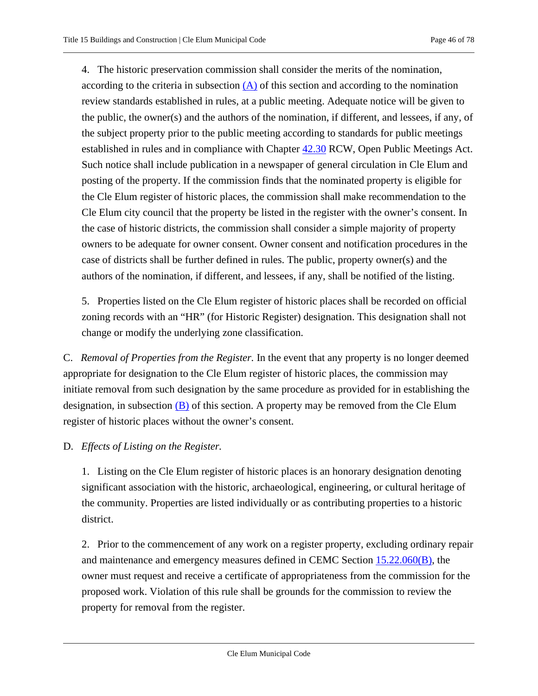4. The historic preservation commission shall consider the merits of the nomination, according to the criteria in subsection  $(A)$  of this section and according to the nomination review standards established in rules, at a public meeting. Adequate notice will be given to the public, the owner(s) and the authors of the nomination, if different, and lessees, if any, of the subject property prior to the public meeting according to standards for public meetings established in rules and in compliance with Chapter [42.30](https://cleelum.municipal.codes/WA/RCW/42.30) RCW, Open Public Meetings Act. Such notice shall include publication in a newspaper of general circulation in Cle Elum and posting of the property. If the commission finds that the nominated property is eligible for the Cle Elum register of historic places, the commission shall make recommendation to the Cle Elum city council that the property be listed in the register with the owner's consent. In the case of historic districts, the commission shall consider a simple majority of property owners to be adequate for owner consent. Owner consent and notification procedures in the case of districts shall be further defined in rules. The public, property owner(s) and the authors of the nomination, if different, and lessees, if any, shall be notified of the listing.

5. Properties listed on the Cle Elum register of historic places shall be recorded on official zoning records with an "HR" (for Historic Register) designation. This designation shall not change or modify the underlying zone classification.

C. *Removal of Properties from the Register.* In the event that any property is no longer deemed appropriate for designation to the Cle Elum register of historic places, the commission may initiate removal from such designation by the same procedure as provided for in establishing the designation, in subsection  $(B)$  of this section. A property may be removed from the Cle Elum register of historic places without the owner's consent.

## D. *Effects of Listing on the Register.*

1. Listing on the Cle Elum register of historic places is an honorary designation denoting significant association with the historic, archaeological, engineering, or cultural heritage of the community. Properties are listed individually or as contributing properties to a historic district.

2. Prior to the commencement of any work on a register property, excluding ordinary repair and maintenance and emergency measures defined in CEMC Section [15.22.060\(B\),](#page-46-1) the owner must request and receive a certificate of appropriateness from the commission for the proposed work. Violation of this rule shall be grounds for the commission to review the property for removal from the register.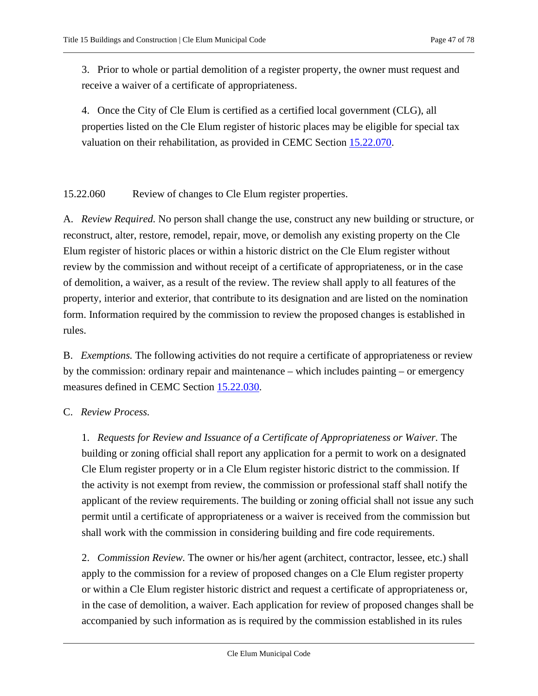3. Prior to whole or partial demolition of a register property, the owner must request and receive a waiver of a certificate of appropriateness.

4. Once the City of Cle Elum is certified as a certified local government (CLG), all properties listed on the Cle Elum register of historic places may be eligible for special tax valuation on their rehabilitation, as provided in CEMC Section [15.22.070.](#page-48-0)

<span id="page-46-0"></span>15.22.060 Review of changes to Cle Elum register properties.

A. *Review Required.* No person shall change the use, construct any new building or structure, or reconstruct, alter, restore, remodel, repair, move, or demolish any existing property on the Cle Elum register of historic places or within a historic district on the Cle Elum register without review by the commission and without receipt of a certificate of appropriateness, or in the case of demolition, a waiver, as a result of the review. The review shall apply to all features of the property, interior and exterior, that contribute to its designation and are listed on the nomination form. Information required by the commission to review the proposed changes is established in rules.

<span id="page-46-1"></span>B. *Exemptions.* The following activities do not require a certificate of appropriateness or review by the commission: ordinary repair and maintenance – which includes painting – or emergency measures defined in CEMC Section [15.22.030.](#page-36-0)

### C. *Review Process.*

1. *Requests for Review and Issuance of a Certificate of Appropriateness or Waiver.* The building or zoning official shall report any application for a permit to work on a designated Cle Elum register property or in a Cle Elum register historic district to the commission. If the activity is not exempt from review, the commission or professional staff shall notify the applicant of the review requirements. The building or zoning official shall not issue any such permit until a certificate of appropriateness or a waiver is received from the commission but shall work with the commission in considering building and fire code requirements.

2. *Commission Review.* The owner or his/her agent (architect, contractor, lessee, etc.) shall apply to the commission for a review of proposed changes on a Cle Elum register property or within a Cle Elum register historic district and request a certificate of appropriateness or, in the case of demolition, a waiver. Each application for review of proposed changes shall be accompanied by such information as is required by the commission established in its rules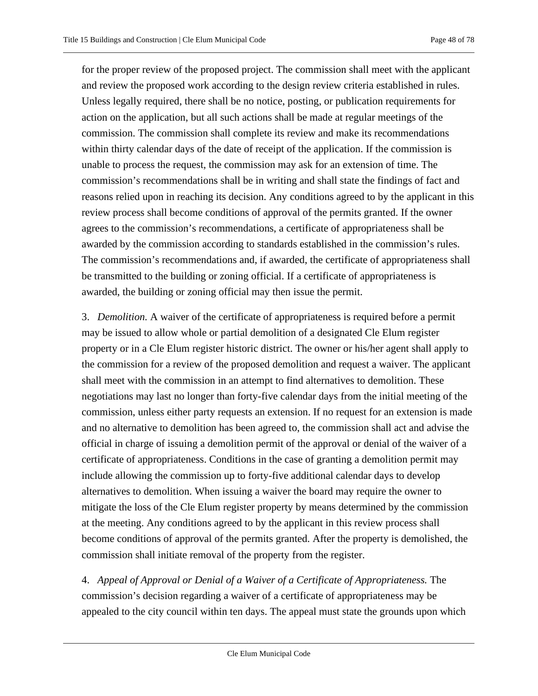for the proper review of the proposed project. The commission shall meet with the applicant and review the proposed work according to the design review criteria established in rules. Unless legally required, there shall be no notice, posting, or publication requirements for action on the application, but all such actions shall be made at regular meetings of the commission. The commission shall complete its review and make its recommendations within thirty calendar days of the date of receipt of the application. If the commission is unable to process the request, the commission may ask for an extension of time. The commission's recommendations shall be in writing and shall state the findings of fact and reasons relied upon in reaching its decision. Any conditions agreed to by the applicant in this review process shall become conditions of approval of the permits granted. If the owner agrees to the commission's recommendations, a certificate of appropriateness shall be awarded by the commission according to standards established in the commission's rules. The commission's recommendations and, if awarded, the certificate of appropriateness shall be transmitted to the building or zoning official. If a certificate of appropriateness is awarded, the building or zoning official may then issue the permit.

3. *Demolition.* A waiver of the certificate of appropriateness is required before a permit may be issued to allow whole or partial demolition of a designated Cle Elum register property or in a Cle Elum register historic district. The owner or his/her agent shall apply to the commission for a review of the proposed demolition and request a waiver. The applicant shall meet with the commission in an attempt to find alternatives to demolition. These negotiations may last no longer than forty-five calendar days from the initial meeting of the commission, unless either party requests an extension. If no request for an extension is made and no alternative to demolition has been agreed to, the commission shall act and advise the official in charge of issuing a demolition permit of the approval or denial of the waiver of a certificate of appropriateness. Conditions in the case of granting a demolition permit may include allowing the commission up to forty-five additional calendar days to develop alternatives to demolition. When issuing a waiver the board may require the owner to mitigate the loss of the Cle Elum register property by means determined by the commission at the meeting. Any conditions agreed to by the applicant in this review process shall become conditions of approval of the permits granted. After the property is demolished, the commission shall initiate removal of the property from the register.

4. *Appeal of Approval or Denial of a Waiver of a Certificate of Appropriateness.* The commission's decision regarding a waiver of a certificate of appropriateness may be appealed to the city council within ten days. The appeal must state the grounds upon which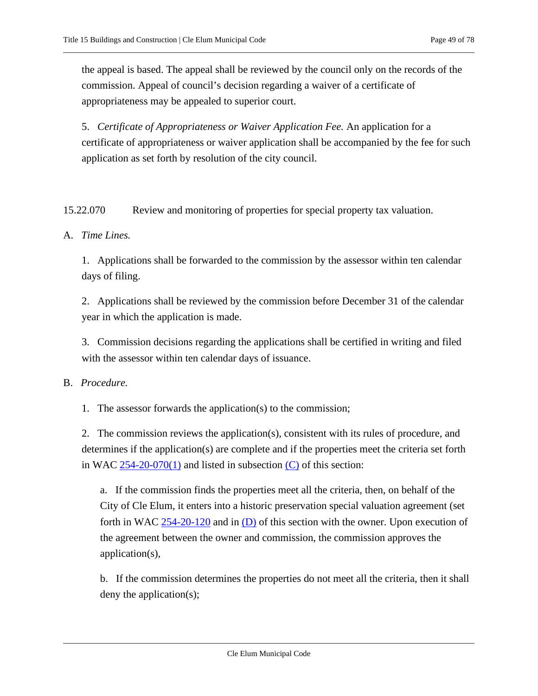the appeal is based. The appeal shall be reviewed by the council only on the records of the commission. Appeal of council's decision regarding a waiver of a certificate of appropriateness may be appealed to superior court.

5. *Certificate of Appropriateness or Waiver Application Fee.* An application for a certificate of appropriateness or waiver application shall be accompanied by the fee for such application as set forth by resolution of the city council.

<span id="page-48-0"></span>15.22.070 Review and monitoring of properties for special property tax valuation.

### A. *Time Lines.*

1. Applications shall be forwarded to the commission by the assessor within ten calendar days of filing.

2. Applications shall be reviewed by the commission before December 31 of the calendar year in which the application is made.

3. Commission decisions regarding the applications shall be certified in writing and filed with the assessor within ten calendar days of issuance.

B. *Procedure.*

1. The assessor forwards the application(s) to the commission;

2. The commission reviews the application(s), consistent with its rules of procedure, and determines if the application(s) are complete and if the properties meet the criteria set forth in WAC  $254-20-070(1)$  and listed in subsection [\(C\)](#page-49-0) of this section:

a. If the commission finds the properties meet all the criteria, then, on behalf of the City of Cle Elum, it enters into a historic preservation special valuation agreement (set forth in WAC  $254-20-120$  and in  $(D)$  of this section with the owner. Upon execution of the agreement between the owner and commission, the commission approves the application(s),

b. If the commission determines the properties do not meet all the criteria, then it shall deny the application(s);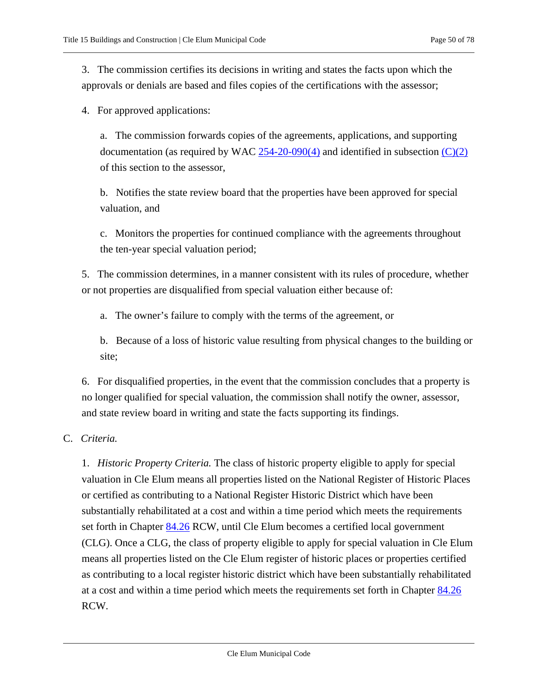3. The commission certifies its decisions in writing and states the facts upon which the approvals or denials are based and files copies of the certifications with the assessor;

4. For approved applications:

a. The commission forwards copies of the agreements, applications, and supporting documentation (as required by WAC  $254-20-090(4)$  and identified in subsection  $(C)(2)$ of this section to the assessor,

b. Notifies the state review board that the properties have been approved for special valuation, and

c. Monitors the properties for continued compliance with the agreements throughout the ten-year special valuation period;

5. The commission determines, in a manner consistent with its rules of procedure, whether or not properties are disqualified from special valuation either because of:

a. The owner's failure to comply with the terms of the agreement, or

b. Because of a loss of historic value resulting from physical changes to the building or site;

6. For disqualified properties, in the event that the commission concludes that a property is no longer qualified for special valuation, the commission shall notify the owner, assessor, and state review board in writing and state the facts supporting its findings.

## <span id="page-49-0"></span>C. *Criteria.*

1. *Historic Property Criteria.* The class of historic property eligible to apply for special valuation in Cle Elum means all properties listed on the National Register of Historic Places or certified as contributing to a National Register Historic District which have been substantially rehabilitated at a cost and within a time period which meets the requirements set forth in Chapter [84.26](https://cleelum.municipal.codes/WA/RCW/84.26) RCW, until Cle Elum becomes a certified local government (CLG). Once a CLG, the class of property eligible to apply for special valuation in Cle Elum means all properties listed on the Cle Elum register of historic places or properties certified as contributing to a local register historic district which have been substantially rehabilitated at a cost and within a time period which meets the requirements set forth in Chapter [84.26](https://cleelum.municipal.codes/WA/RCW/84.26) RCW.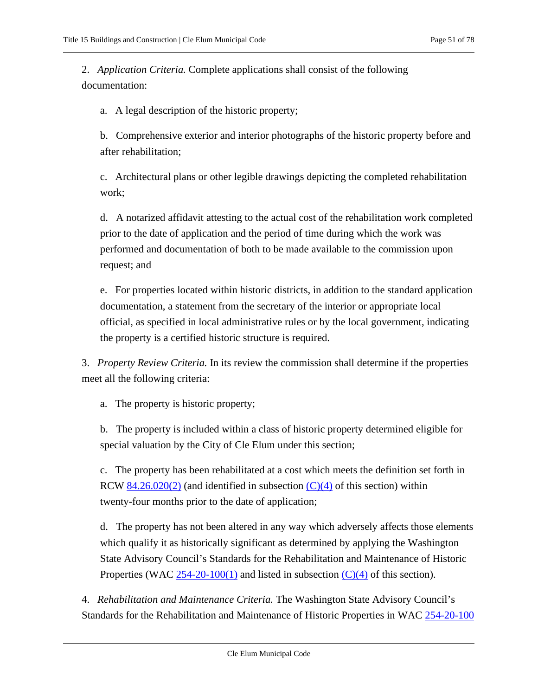<span id="page-50-0"></span>2. *Application Criteria.* Complete applications shall consist of the following documentation:

a. A legal description of the historic property;

b. Comprehensive exterior and interior photographs of the historic property before and after rehabilitation;

c. Architectural plans or other legible drawings depicting the completed rehabilitation work;

d. A notarized affidavit attesting to the actual cost of the rehabilitation work completed prior to the date of application and the period of time during which the work was performed and documentation of both to be made available to the commission upon request; and

e. For properties located within historic districts, in addition to the standard application documentation, a statement from the secretary of the interior or appropriate local official, as specified in local administrative rules or by the local government, indicating the property is a certified historic structure is required.

3. *Property Review Criteria.* In its review the commission shall determine if the properties meet all the following criteria:

a. The property is historic property;

b. The property is included within a class of historic property determined eligible for special valuation by the City of Cle Elum under this section;

c. The property has been rehabilitated at a cost which meets the definition set forth in RCW [84.26.020\(2\)](https://cleelum.municipal.codes/WA/RCW/84.26.020(2)) (and identified in subsection  $(C)(4)$  of this section) within twenty-four months prior to the date of application;

d. The property has not been altered in any way which adversely affects those elements which qualify it as historically significant as determined by applying the Washington State Advisory Council's Standards for the Rehabilitation and Maintenance of Historic Properties (WAC  $254-20-100(1)$  and listed in subsection  $(C)(4)$  of this section).

<span id="page-50-1"></span>4. *Rehabilitation and Maintenance Criteria.* The Washington State Advisory Council's Standards for the Rehabilitation and Maintenance of Historic Properties in WAC [254-20-100](https://cleelum.municipal.codes/WA/WAC/254-20-100)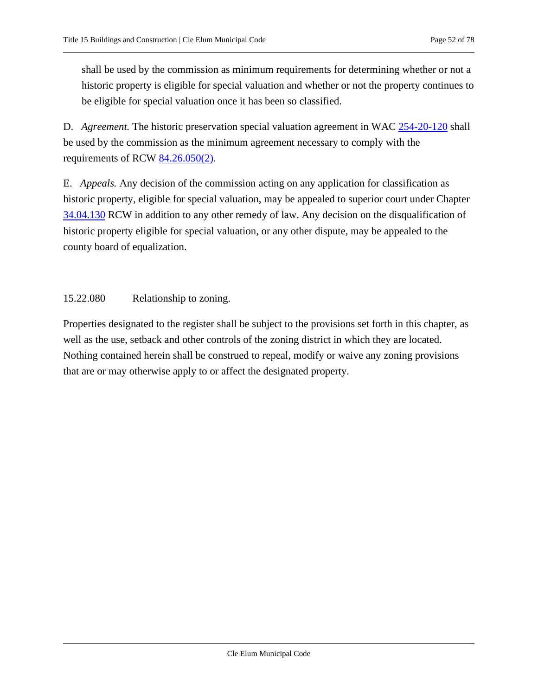shall be used by the commission as minimum requirements for determining whether or not a historic property is eligible for special valuation and whether or not the property continues to be eligible for special valuation once it has been so classified.

<span id="page-51-0"></span>D. *Agreement.* The historic preservation special valuation agreement in WAC [254-20-120](https://cleelum.municipal.codes/WA/WAC/254-20-120) shall be used by the commission as the minimum agreement necessary to comply with the requirements of RCW [84.26.050\(2\).](https://cleelum.municipal.codes/WA/RCW/84.26.050(2))

E. *Appeals.* Any decision of the commission acting on any application for classification as historic property, eligible for special valuation, may be appealed to superior court under Chapter [34.04.130](https://cleelum.municipal.codes/WA/RCW/34.04.130) RCW in addition to any other remedy of law. Any decision on the disqualification of historic property eligible for special valuation, or any other dispute, may be appealed to the county board of equalization.

15.22.080 Relationship to zoning.

Properties designated to the register shall be subject to the provisions set forth in this chapter, as well as the use, setback and other controls of the zoning district in which they are located. Nothing contained herein shall be construed to repeal, modify or waive any zoning provisions that are or may otherwise apply to or affect the designated property.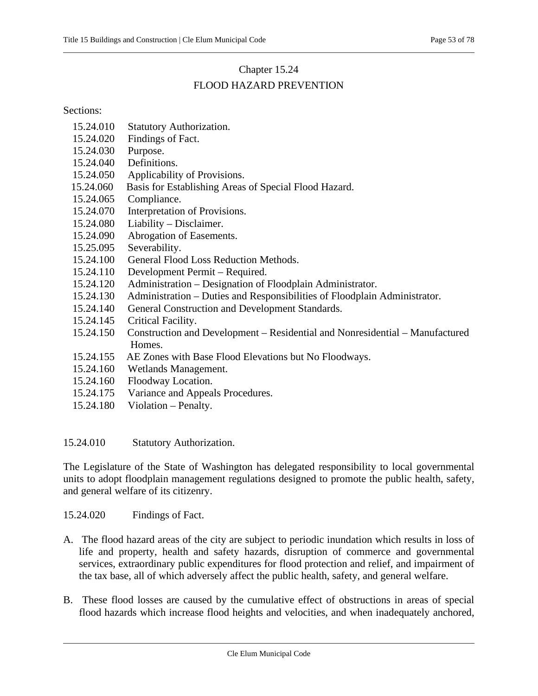# Chapter 15.24

# FLOOD HAZARD PREVENTION

Sections:

- [15.24.010 Statutory Authorization.](#page-52-0)
- [15.24.020 Findings of Fact.](#page-52-1)
- [15.24.030 Purpose.](#page-53-0)
- [15.24.040 Definitions.](#page-53-1)
- [15.24.050 Applicability of Provisions.](#page-58-0)
- [15.24.060 Basis for Establishing Areas of Special Flood Hazard.](#page-58-1)
- 15.24.065 Compliance.
- [15.24.070 Interpretation of Provisions.](#page-58-2)
- [15.24.080 Liability](#page-58-3) Disclaimer.
- [15.24.090 Abrogation of Easements.](#page-59-0)
- 15.25.095 Severability.
- [15.24.100 General Flood Loss Reduction Methods.](#page-59-1)
- [15.24.110 Development Permit](#page-59-2) Required.
- 15.24.120 Administration [Designation of Floodplain Administrator.](#page-60-0)
- 15.24.130 Administration [Duties and Responsibilities of Floodplain Administrator.](#page-60-1)
- [15.24.140 General Construction and Development Standards.](#page-62-0)
- [15.24.145 Critical Facility.](#page-63-0)
- [15.24.150 Construction and Development](#page-64-0) Residential and Nonresidential Manufactured [Homes.](#page-64-0)
- 15.24.155 AE Zones with Base Flood Elevations but No Floodways.
- [15.24.160 Wetlands Management.](#page-68-0)
- [15.24.160 Floodway Location.](#page-68-1)
- 15.24.175 Variance and Appeals Procedures.
- [15.24.180 Violation](#page-72-0) Penalty.

<span id="page-52-0"></span>15.24.010 Statutory Authorization.

The Legislature of the State of Washington has delegated responsibility to local governmental units to adopt floodplain management regulations designed to promote the public health, safety, and general welfare of its citizenry.

<span id="page-52-1"></span>15.24.020 Findings of Fact.

- A. The flood hazard areas of the city are subject to periodic inundation which results in loss of life and property, health and safety hazards, disruption of commerce and governmental services, extraordinary public expenditures for flood protection and relief, and impairment of the tax base, all of which adversely affect the public health, safety, and general welfare.
- B. These flood losses are caused by the cumulative effect of obstructions in areas of special flood hazards which increase flood heights and velocities, and when inadequately anchored,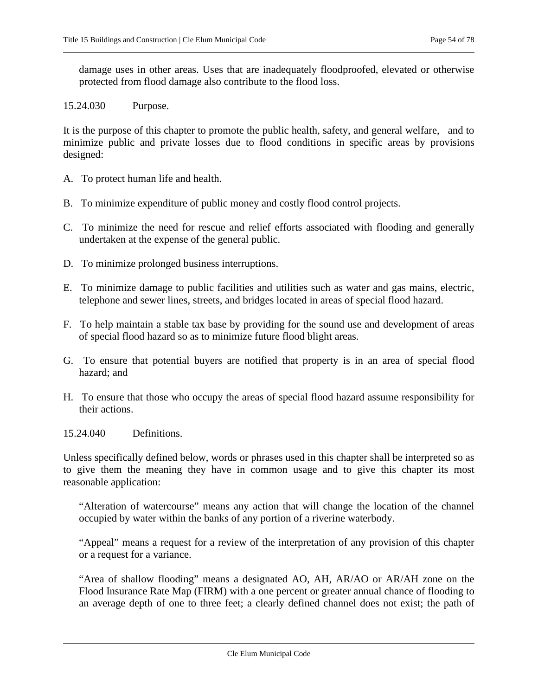damage uses in other areas. Uses that are inadequately floodproofed, elevated or otherwise protected from flood damage also contribute to the flood loss.

### <span id="page-53-0"></span>15.24.030 Purpose.

It is the purpose of this chapter to promote the public health, safety, and general welfare, and to minimize public and private losses due to flood conditions in specific areas by provisions designed:

- A. To protect human life and health.
- B. To minimize expenditure of public money and costly flood control projects.
- C. To minimize the need for rescue and relief efforts associated with flooding and generally undertaken at the expense of the general public.
- D. To minimize prolonged business interruptions.
- E. To minimize damage to public facilities and utilities such as water and gas mains, electric, telephone and sewer lines, streets, and bridges located in areas of special flood hazard.
- F. To help maintain a stable tax base by providing for the sound use and development of areas of special flood hazard so as to minimize future flood blight areas.
- G. To ensure that potential buyers are notified that property is in an area of special flood hazard; and
- H. To ensure that those who occupy the areas of special flood hazard assume responsibility for their actions.
- <span id="page-53-1"></span>15.24.040 Definitions.

Unless specifically defined below, words or phrases used in this chapter shall be interpreted so as to give them the meaning they have in common usage and to give this chapter its most reasonable application:

"Alteration of watercourse" means any action that will change the location of the channel occupied by water within the banks of any portion of a riverine waterbody.

"Appeal" means a request for a review of the interpretation of any provision of this chapter or a request for a variance.

"Area of shallow flooding" means a designated AO, AH, AR/AO or AR/AH zone on the Flood Insurance Rate Map (FIRM) with a one percent or greater annual chance of flooding to an average depth of one to three feet; a clearly defined channel does not exist; the path of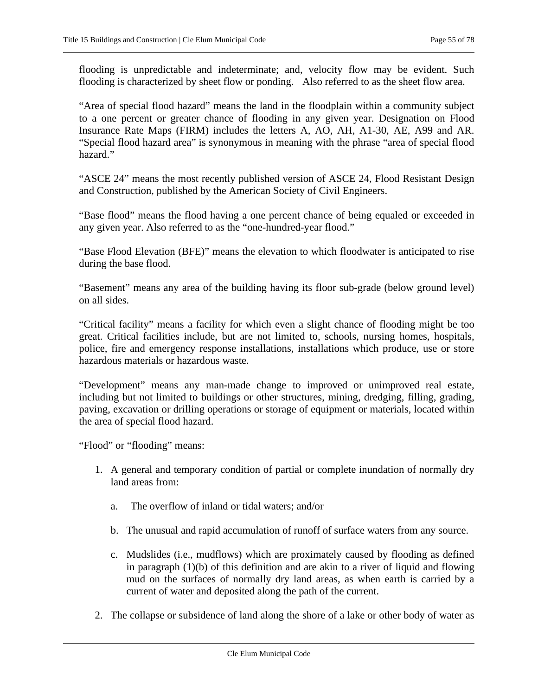flooding is unpredictable and indeterminate; and, velocity flow may be evident. Such flooding is characterized by sheet flow or ponding. Also referred to as the sheet flow area.

"Area of special flood hazard" means the land in the floodplain within a community subject to a one percent or greater chance of flooding in any given year. Designation on Flood Insurance Rate Maps (FIRM) includes the letters A, AO, AH, A1-30, AE, A99 and AR. "Special flood hazard area" is synonymous in meaning with the phrase "area of special flood hazard."

"ASCE 24" means the most recently published version of ASCE 24, Flood Resistant Design and Construction, published by the American Society of Civil Engineers.

"Base flood" means the flood having a one percent chance of being equaled or exceeded in any given year. Also referred to as the "one-hundred-year flood."

"Base Flood Elevation (BFE)" means the elevation to which floodwater is anticipated to rise during the base flood.

"Basement" means any area of the building having its floor sub-grade (below ground level) on all sides.

"Critical facility" means a facility for which even a slight chance of flooding might be too great. Critical facilities include, but are not limited to, schools, nursing homes, hospitals, police, fire and emergency response installations, installations which produce, use or store hazardous materials or hazardous waste.

"Development" means any man-made change to improved or unimproved real estate, including but not limited to buildings or other structures, mining, dredging, filling, grading, paving, excavation or drilling operations or storage of equipment or materials, located within the area of special flood hazard.

"Flood" or "flooding" means:

- 1. A general and temporary condition of partial or complete inundation of normally dry land areas from:
	- a. The overflow of inland or tidal waters; and/or
	- b. The unusual and rapid accumulation of runoff of surface waters from any source.
	- c. Mudslides (i.e., mudflows) which are proximately caused by flooding as defined in paragraph (1)(b) of this definition and are akin to a river of liquid and flowing mud on the surfaces of normally dry land areas, as when earth is carried by a current of water and deposited along the path of the current.
- 2. The collapse or subsidence of land along the shore of a lake or other body of water as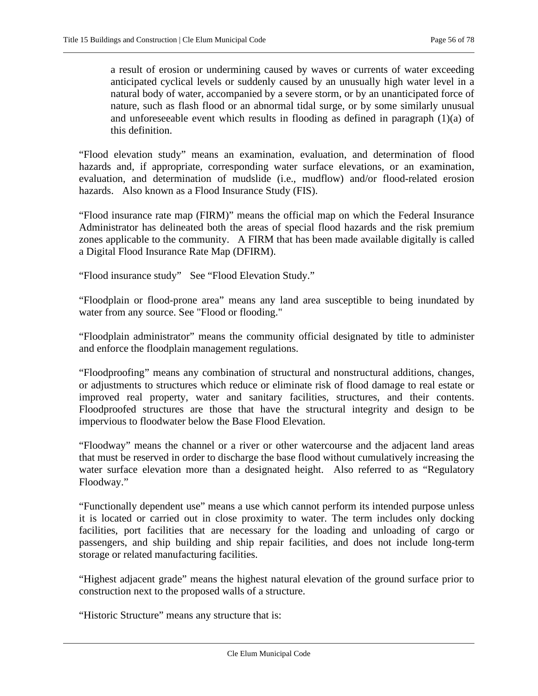a result of erosion or undermining caused by waves or currents of water exceeding anticipated cyclical levels or suddenly caused by an unusually high water level in a natural body of water, accompanied by a severe storm, or by an unanticipated force of nature, such as flash flood or an abnormal tidal surge, or by some similarly unusual and unforeseeable event which results in flooding as defined in paragraph (1)(a) of this definition.

"Flood elevation study" means an examination, evaluation, and determination of flood hazards and, if appropriate, corresponding water surface elevations, or an examination, evaluation, and determination of mudslide (i.e., mudflow) and/or flood-related erosion hazards. Also known as a Flood Insurance Study (FIS).

"Flood insurance rate map (FIRM)" means the official map on which the Federal Insurance Administrator has delineated both the areas of special flood hazards and the risk premium zones applicable to the community. A FIRM that has been made available digitally is called a Digital Flood Insurance Rate Map (DFIRM).

"Flood insurance study" See "Flood Elevation Study."

"Floodplain or flood-prone area" means any land area susceptible to being inundated by water from any source. See "Flood or flooding."

"Floodplain administrator" means the community official designated by title to administer and enforce the floodplain management regulations.

"Floodproofing" means any combination of structural and nonstructural additions, changes, or adjustments to structures which reduce or eliminate risk of flood damage to real estate or improved real property, water and sanitary facilities*,* structures, and their contents. Floodproofed structures are those that have the structural integrity and design to be impervious to floodwater below the Base Flood Elevation.

"Floodway" means the channel or a river or other watercourse and the adjacent land areas that must be reserved in order to discharge the base flood without cumulatively increasing the water surface elevation more than a designated height. Also referred to as "Regulatory Floodway."

"Functionally dependent use" means a use which cannot perform its intended purpose unless it is located or carried out in close proximity to water. The term includes only docking facilities, port facilities that are necessary for the loading and unloading of cargo or passengers, and ship building and ship repair facilities, and does not include long-term storage or related manufacturing facilities.

"Highest adjacent grade" means the highest natural elevation of the ground surface prior to construction next to the proposed walls of a structure.

"Historic Structure" means any structure that is: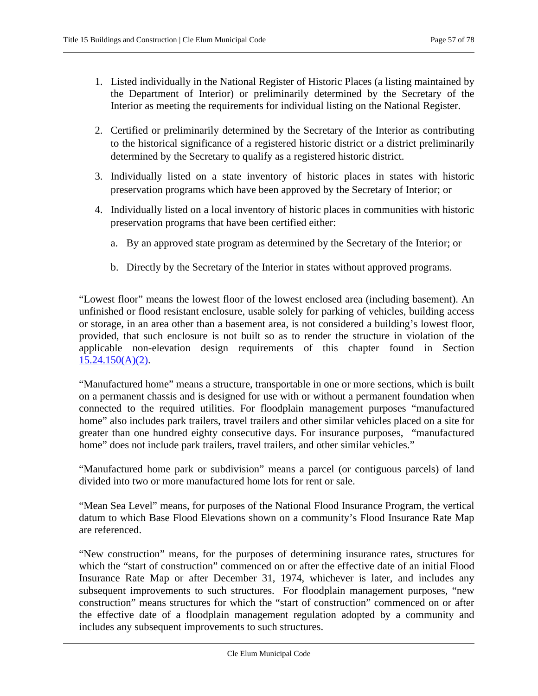- 1. Listed individually in the National Register of Historic Places (a listing maintained by the Department of Interior) or preliminarily determined by the Secretary of the Interior as meeting the requirements for individual listing on the National Register.
- 2. Certified or preliminarily determined by the Secretary of the Interior as contributing to the historical significance of a registered historic district or a district preliminarily determined by the Secretary to qualify as a registered historic district.
- 3. Individually listed on a state inventory of historic places in states with historic preservation programs which have been approved by the Secretary of Interior; or
- 4. Individually listed on a local inventory of historic places in communities with historic preservation programs that have been certified either:
	- a. By an approved state program as determined by the Secretary of the Interior; or
	- b. Directly by the Secretary of the Interior in states without approved programs.

"Lowest floor" means the lowest floor of the lowest enclosed area (including basement). An unfinished or flood resistant enclosure, usable solely for parking of vehicles, building access or storage, in an area other than a basement area, is not considered a building's lowest floor, provided, that such enclosure is not built so as to render the structure in violation of the applicable non-elevation design requirements of this chapter found in Section 15.24.150(A)(2).

"Manufactured home" means a structure, transportable in one or more sections, which is built on a permanent chassis and is designed for use with or without a permanent foundation when connected to the required utilities. For floodplain management purposes "manufactured home" also includes park trailers, travel trailers and other similar vehicles placed on a site for greater than one hundred eighty consecutive days. For insurance purposes, "manufactured home" does not include park trailers, travel trailers, and other similar vehicles."

"Manufactured home park or subdivision" means a parcel (or contiguous parcels) of land divided into two or more manufactured home lots for rent or sale.

"Mean Sea Level" means, for purposes of the National Flood Insurance Program, the vertical datum to which Base Flood Elevations shown on a community's Flood Insurance Rate Map are referenced.

"New construction" means, for the purposes of determining insurance rates, structures for which the "start of construction" commenced on or after the effective date of an initial Flood Insurance Rate Map or after December 31, 1974, whichever is later, and includes any subsequent improvements to such structures. For floodplain management purposes, "new construction" means structures for which the "start of construction" commenced on or after the effective date of a floodplain management regulation adopted by a community and includes any subsequent improvements to such structures.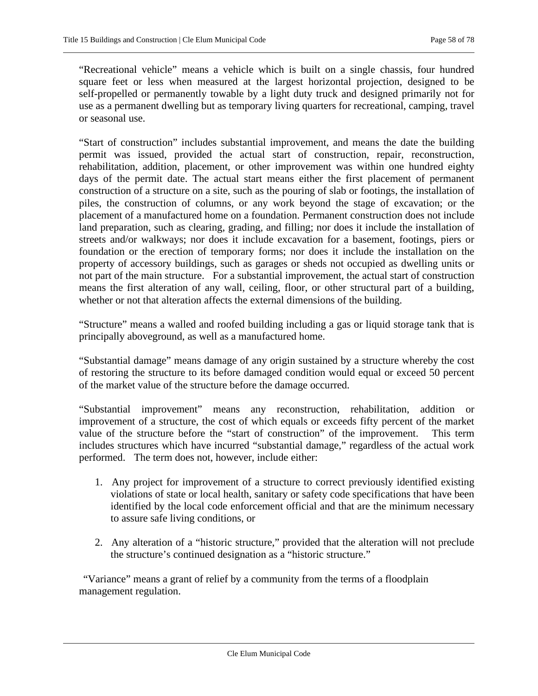"Recreational vehicle" means a vehicle which is built on a single chassis, four hundred square feet or less when measured at the largest horizontal projection, designed to be self-propelled or permanently towable by a light duty truck and designed primarily not for use as a permanent dwelling but as temporary living quarters for recreational, camping, travel or seasonal use.

"Start of construction" includes substantial improvement, and means the date the building permit was issued, provided the actual start of construction, repair, reconstruction, rehabilitation, addition, placement, or other improvement was within one hundred eighty days of the permit date. The actual start means either the first placement of permanent construction of a structure on a site, such as the pouring of slab or footings, the installation of piles, the construction of columns, or any work beyond the stage of excavation; or the placement of a manufactured home on a foundation. Permanent construction does not include land preparation, such as clearing, grading, and filling; nor does it include the installation of streets and/or walkways; nor does it include excavation for a basement, footings, piers or foundation or the erection of temporary forms; nor does it include the installation on the property of accessory buildings, such as garages or sheds not occupied as dwelling units or not part of the main structure. For a substantial improvement, the actual start of construction means the first alteration of any wall, ceiling, floor, or other structural part of a building, whether or not that alteration affects the external dimensions of the building.

"Structure" means a walled and roofed building including a gas or liquid storage tank that is principally aboveground, as well as a manufactured home.

"Substantial damage" means damage of any origin sustained by a structure whereby the cost of restoring the structure to its before damaged condition would equal or exceed 50 percent of the market value of the structure before the damage occurred.

"Substantial improvement" means any reconstruction, rehabilitation, addition or improvement of a structure, the cost of which equals or exceeds fifty percent of the market value of the structure before the "start of construction" of the improvement. This term includes structures which have incurred "substantial damage," regardless of the actual work performed. The term does not, however, include either:

- 1. Any project for improvement of a structure to correct previously identified existing violations of state or local health, sanitary or safety code specifications that have been identified by the local code enforcement official and that are the minimum necessary to assure safe living conditions, or
- 2. Any alteration of a "historic structure," provided that the alteration will not preclude the structure's continued designation as a "historic structure."

"Variance" means a grant of relief by a community from the terms of a floodplain management regulation.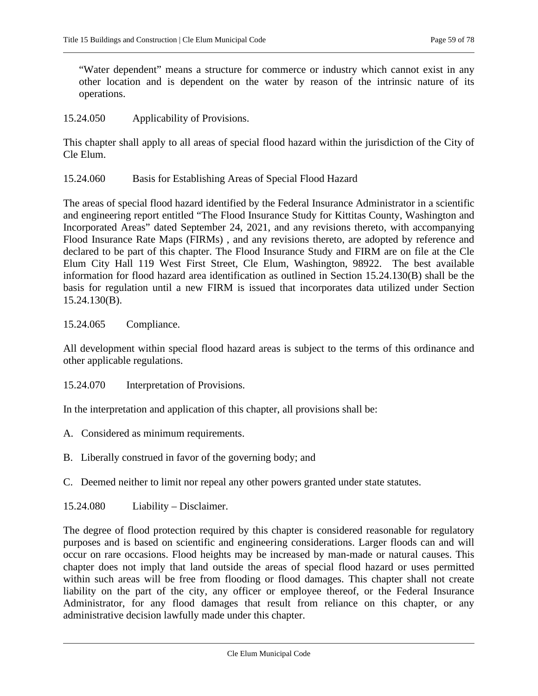"Water dependent" means a structure for commerce or industry which cannot exist in any other location and is dependent on the water by reason of the intrinsic nature of its operations.

<span id="page-58-0"></span>15.24.050 Applicability of Provisions.

This chapter shall apply to all areas of special flood hazard within the jurisdiction of the City of Cle Elum.

<span id="page-58-1"></span>15.24.060 Basis for Establishing Areas of Special Flood Hazard

The areas of special flood hazard identified by the Federal Insurance Administrator in a scientific and engineering report entitled "The Flood Insurance Study for Kittitas County, Washington and Incorporated Areas" dated September 24, 2021, and any revisions thereto, with accompanying Flood Insurance Rate Maps (FIRMs) , and any revisions thereto, are adopted by reference and declared to be part of this chapter. The Flood Insurance Study and FIRM are on file at the Cle Elum City Hall 119 West First Street, Cle Elum, Washington, 98922. The best available information for flood hazard area identification as outlined in Section 15.24.130(B) shall be the basis for regulation until a new FIRM is issued that incorporates data utilized under Section 15.24.130(B).

# 15.24.065 Compliance.

All development within special flood hazard areas is subject to the terms of this ordinance and other applicable regulations.

<span id="page-58-2"></span>15.24.070 Interpretation of Provisions.

In the interpretation and application of this chapter, all provisions shall be:

- A. Considered as minimum requirements.
- B. Liberally construed in favor of the governing body; and
- C. Deemed neither to limit nor repeal any other powers granted under state statutes.
- <span id="page-58-3"></span>15.24.080 Liability – Disclaimer.

The degree of flood protection required by this chapter is considered reasonable for regulatory purposes and is based on scientific and engineering considerations. Larger floods can and will occur on rare occasions. Flood heights may be increased by man-made or natural causes. This chapter does not imply that land outside the areas of special flood hazard or uses permitted within such areas will be free from flooding or flood damages. This chapter shall not create liability on the part of the city, any officer or employee thereof, or the Federal Insurance Administrator, for any flood damages that result from reliance on this chapter, or any administrative decision lawfully made under this chapter.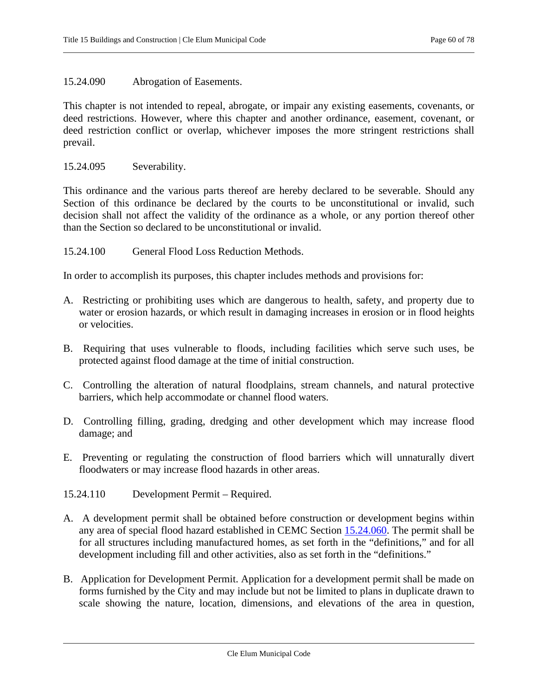### <span id="page-59-0"></span>15.24.090 Abrogation of Easements.

This chapter is not intended to repeal, abrogate, or impair any existing easements, covenants, or deed restrictions. However, where this chapter and another ordinance, easement, covenant, or deed restriction conflict or overlap, whichever imposes the more stringent restrictions shall prevail.

15.24.095 Severability.

This ordinance and the various parts thereof are hereby declared to be severable. Should any Section of this ordinance be declared by the courts to be unconstitutional or invalid, such decision shall not affect the validity of the ordinance as a whole, or any portion thereof other than the Section so declared to be unconstitutional or invalid.

<span id="page-59-1"></span>15.24.100 General Flood Loss Reduction Methods.

In order to accomplish its purposes, this chapter includes methods and provisions for:

- A. Restricting or prohibiting uses which are dangerous to health, safety, and property due to water or erosion hazards, or which result in damaging increases in erosion or in flood heights or velocities.
- B. Requiring that uses vulnerable to floods, including facilities which serve such uses, be protected against flood damage at the time of initial construction.
- C. Controlling the alteration of natural floodplains, stream channels, and natural protective barriers, which help accommodate or channel flood waters.
- D. Controlling filling, grading, dredging and other development which may increase flood damage; and
- E. Preventing or regulating the construction of flood barriers which will unnaturally divert floodwaters or may increase flood hazards in other areas.
- <span id="page-59-2"></span>15.24.110 Development Permit – Required.
- A. A development permit shall be obtained before construction or development begins within any area of special flood hazard established in CEMC Section [15.24.060.](#page-58-1) The permit shall be for all structures including manufactured homes, as set forth in the "definitions," and for all development including fill and other activities, also as set forth in the "definitions."
- B. Application for Development Permit. Application for a development permit shall be made on forms furnished by the City and may include but not be limited to plans in duplicate drawn to scale showing the nature, location, dimensions, and elevations of the area in question,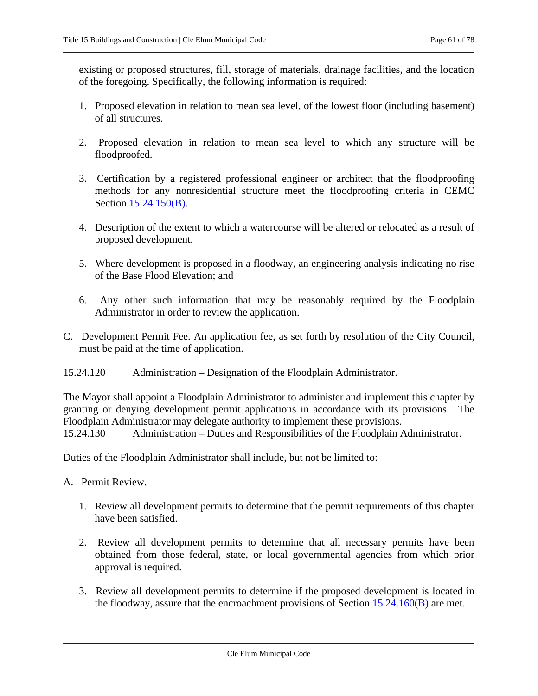existing or proposed structures, fill, storage of materials, drainage facilities, and the location of the foregoing. Specifically, the following information is required:

- 1. Proposed elevation in relation to mean sea level, of the lowest floor (including basement) of all structures.
- 2. Proposed elevation in relation to mean sea level to which any structure will be floodproofed.
- <span id="page-60-2"></span>3. Certification by a registered professional engineer or architect that the floodproofing methods for any nonresidential structure meet the floodproofing criteria in CEMC Section 15.24.150(B).
- 4. Description of the extent to which a watercourse will be altered or relocated as a result of proposed development.
- 5. Where development is proposed in a floodway, an engineering analysis indicating no rise of the Base Flood Elevation; and
- 6. Any other such information that may be reasonably required by the Floodplain Administrator in order to review the application.
- C. Development Permit Fee. An application fee, as set forth by resolution of the City Council, must be paid at the time of application.
- <span id="page-60-0"></span>15.24.120 Administration – Designation of the Floodplain Administrator.

The Mayor shall appoint a Floodplain Administrator to administer and implement this chapter by granting or denying development permit applications in accordance with its provisions. The Floodplain Administrator may delegate authority to implement these provisions.

<span id="page-60-1"></span>15.24.130 Administration – Duties and Responsibilities of the Floodplain Administrator.

Duties of the Floodplain Administrator shall include, but not be limited to:

- A. Permit Review.
	- 1. Review all development permits to determine that the permit requirements of this chapter have been satisfied.
	- 2. Review all development permits to determine that all necessary permits have been obtained from those federal, state, or local governmental agencies from which prior approval is required.
	- 3. Review all development permits to determine if the proposed development is located in the floodway, assure that the encroachment provisions of Section [15.24.160\(B\)](#page-69-0) are met.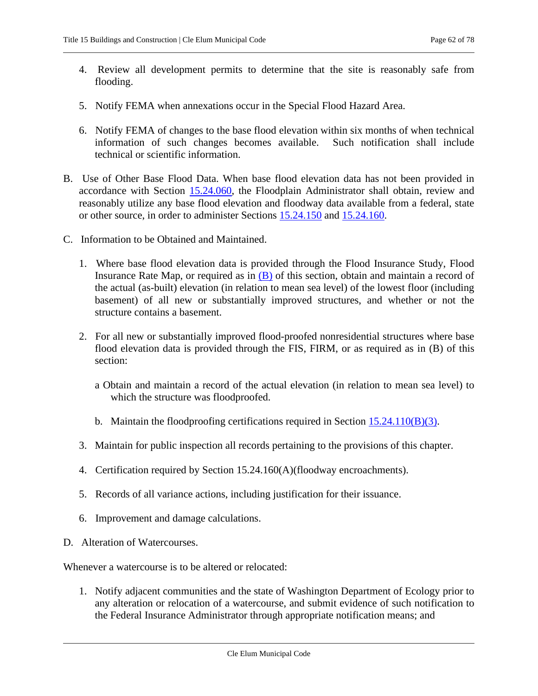- 4. Review all development permits to determine that the site is reasonably safe from flooding.
- 5. Notify FEMA when annexations occur in the Special Flood Hazard Area.
- 6. Notify FEMA of changes to the base flood elevation within six months of when technical information of such changes becomes available. Such notification shall include technical or scientific information.
- <span id="page-61-0"></span>B. Use of Other Base Flood Data. When base flood elevation data has not been provided in accordance with Section [15.24.060,](#page-58-1) the Floodplain Administrator shall obtain, review and reasonably utilize any base flood elevation and floodway data available from a federal, state or other source, in order to administer Sections [15.24.150](#page-64-0) and [15.24.160.](#page-68-1)
- <span id="page-61-1"></span>C. Information to be Obtained and Maintained.
	- 1. Where base flood elevation data is provided through the Flood Insurance Study, Flood Insurance Rate Map, or required as in  $(B)$  of this section, obtain and maintain a record of the actual (as-built) elevation (in relation to mean sea level) of the lowest floor (including basement) of all new or substantially improved structures, and whether or not the structure contains a basement.
	- 2. For all new or substantially improved flood-proofed nonresidential structures where base flood elevation data is provided through the FIS, FIRM, or as required as in (B) of this section:
		- a Obtain and maintain a record of the actual elevation (in relation to mean sea level) to which the structure was floodproofed.
		- b. Maintain the floodproofing certifications required in Section  $15.24.110(B)(3)$ .
	- 3. Maintain for public inspection all records pertaining to the provisions of this chapter.
	- 4. Certification required by Section 15.24.160(A)(floodway encroachments).
	- 5. Records of all variance actions, including justification for their issuance.
	- 6. Improvement and damage calculations.
- D. Alteration of Watercourses.

Whenever a watercourse is to be altered or relocated:

1. Notify adjacent communities and the state of Washington Department of Ecology prior to any alteration or relocation of a watercourse, and submit evidence of such notification to the Federal Insurance Administrator through appropriate notification means; and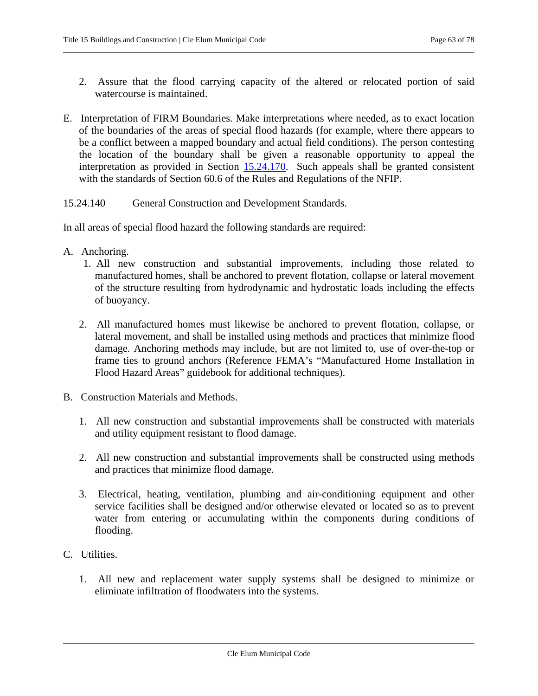- 2. Assure that the flood carrying capacity of the altered or relocated portion of said watercourse is maintained.
- E. Interpretation of FIRM Boundaries. Make interpretations where needed, as to exact location of the boundaries of the areas of special flood hazards (for example, where there appears to be a conflict between a mapped boundary and actual field conditions). The person contesting the location of the boundary shall be given a reasonable opportunity to appeal the interpretation as provided in Section 15.24.170. Such appeals shall be granted consistent with the standards of Section 60.6 of the Rules and Regulations of the NFIP.
- <span id="page-62-0"></span>15.24.140 General Construction and Development Standards.

In all areas of special flood hazard the following standards are required:

- <span id="page-62-1"></span>A. Anchoring.
	- 1. All new construction and substantial improvements, including those related to manufactured homes, shall be anchored to prevent flotation, collapse or lateral movement of the structure resulting from hydrodynamic and hydrostatic loads including the effects of buoyancy.
	- 2. All manufactured homes must likewise be anchored to prevent flotation, collapse, or lateral movement, and shall be installed using methods and practices that minimize flood damage. Anchoring methods may include, but are not limited to, use of over-the-top or frame ties to ground anchors (Reference FEMA's "Manufactured Home Installation in Flood Hazard Areas" guidebook for additional techniques).
- B. Construction Materials and Methods.
	- 1. All new construction and substantial improvements shall be constructed with materials and utility equipment resistant to flood damage.
	- 2. All new construction and substantial improvements shall be constructed using methods and practices that minimize flood damage.
	- 3. Electrical, heating, ventilation, plumbing and air-conditioning equipment and other service facilities shall be designed and/or otherwise elevated or located so as to prevent water from entering or accumulating within the components during conditions of flooding.
- C. Utilities.
	- 1. All new and replacement water supply systems shall be designed to minimize or eliminate infiltration of floodwaters into the systems.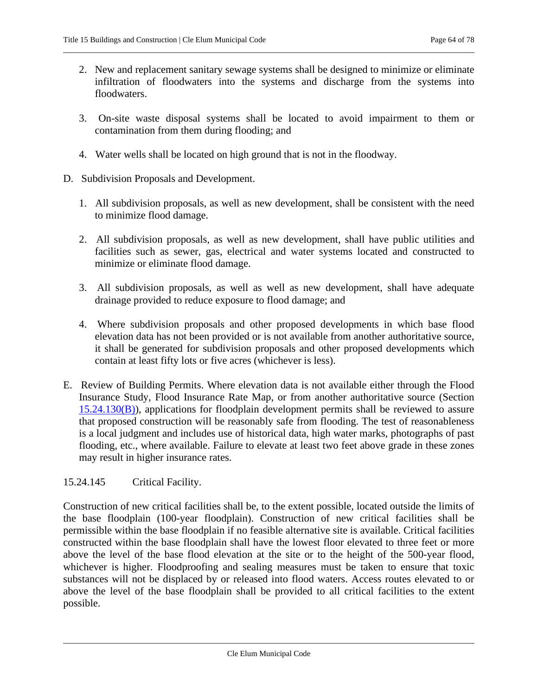- 2. New and replacement sanitary sewage systems shall be designed to minimize or eliminate infiltration of floodwaters into the systems and discharge from the systems into floodwaters.
- 3. On-site waste disposal systems shall be located to avoid impairment to them or contamination from them during flooding; and
- 4. Water wells shall be located on high ground that is not in the floodway.
- D. Subdivision Proposals and Development.
	- 1. All subdivision proposals, as well as new development, shall be consistent with the need to minimize flood damage.
	- 2. All subdivision proposals, as well as new development, shall have public utilities and facilities such as sewer, gas, electrical and water systems located and constructed to minimize or eliminate flood damage.
	- 3. All subdivision proposals, as well as well as new development, shall have adequate drainage provided to reduce exposure to flood damage; and
	- 4. Where subdivision proposals and other proposed developments in which base flood elevation data has not been provided or is not available from another authoritative source, it shall be generated for subdivision proposals and other proposed developments which contain at least fifty lots or five acres (whichever is less).
- E. Review of Building Permits. Where elevation data is not available either through the Flood Insurance Study, Flood Insurance Rate Map, or from another authoritative source (Section  $15.24.130(B)$ ), applications for floodplain development permits shall be reviewed to assure that proposed construction will be reasonably safe from flooding. The test of reasonableness is a local judgment and includes use of historical data, high water marks, photographs of past flooding, etc., where available. Failure to elevate at least two feet above grade in these zones may result in higher insurance rates.

## <span id="page-63-0"></span>15.24.145 Critical Facility.

Construction of new critical facilities shall be, to the extent possible, located outside the limits of the base floodplain (100-year floodplain). Construction of new critical facilities shall be permissible within the base floodplain if no feasible alternative site is available. Critical facilities constructed within the base floodplain shall have the lowest floor elevated to three feet or more above the level of the base flood elevation at the site or to the height of the 500-year flood, whichever is higher. Floodproofing and sealing measures must be taken to ensure that toxic substances will not be displaced by or released into flood waters. Access routes elevated to or above the level of the base floodplain shall be provided to all critical facilities to the extent possible.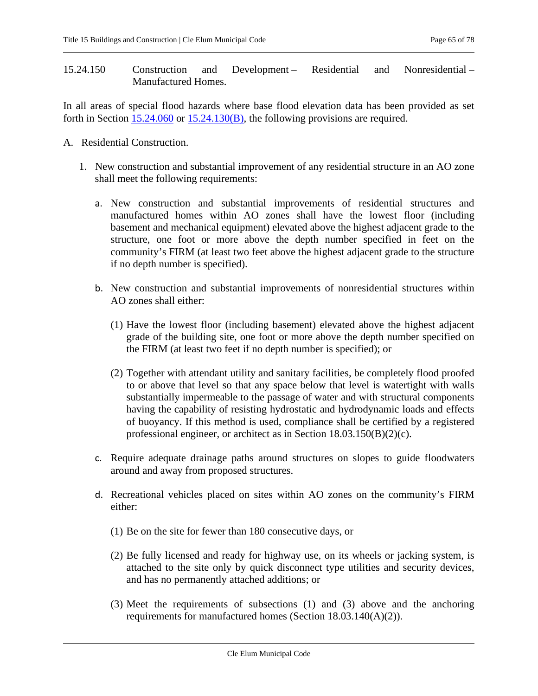<span id="page-64-0"></span>15.24.150 Construction and Development – Residential and Nonresidential – Manufactured Homes.

In all areas of special flood hazards where base flood elevation data has been provided as set forth in Section [15.24.060](#page-58-1) or [15.24.130\(B\),](#page-61-0) the following provisions are required.

- A. Residential Construction.
	- 1. New construction and substantial improvement of any residential structure in an AO zone shall meet the following requirements:
		- a. New construction and substantial improvements of residential structures and manufactured homes within AO zones shall have the lowest floor (including basement and mechanical equipment) elevated above the highest adjacent grade to the structure, one foot or more above the depth number specified in feet on the community's FIRM (at least two feet above the highest adjacent grade to the structure if no depth number is specified).
		- b. New construction and substantial improvements of nonresidential structures within AO zones shall either:
			- (1) Have the lowest floor (including basement) elevated above the highest adjacent grade of the building site, one foot or more above the depth number specified on the FIRM (at least two feet if no depth number is specified); or
			- (2) Together with attendant utility and sanitary facilities, be completely flood proofed to or above that level so that any space below that level is watertight with walls substantially impermeable to the passage of water and with structural components having the capability of resisting hydrostatic and hydrodynamic loads and effects of buoyancy. If this method is used, compliance shall be certified by a registered professional engineer, or architect as in Section 18.03.150(B)(2)(c).
		- c. Require adequate drainage paths around structures on slopes to guide floodwaters around and away from proposed structures.
		- d. Recreational vehicles placed on sites within AO zones on the community's FIRM either:
			- (1) Be on the site for fewer than 180 consecutive days, or
			- (2) Be fully licensed and ready for highway use, on its wheels or jacking system, is attached to the site only by quick disconnect type utilities and security devices, and has no permanently attached additions; or
			- (3) Meet the requirements of subsections (1) and (3) above and the anchoring requirements for manufactured homes (Section 18.03.140(A)(2)).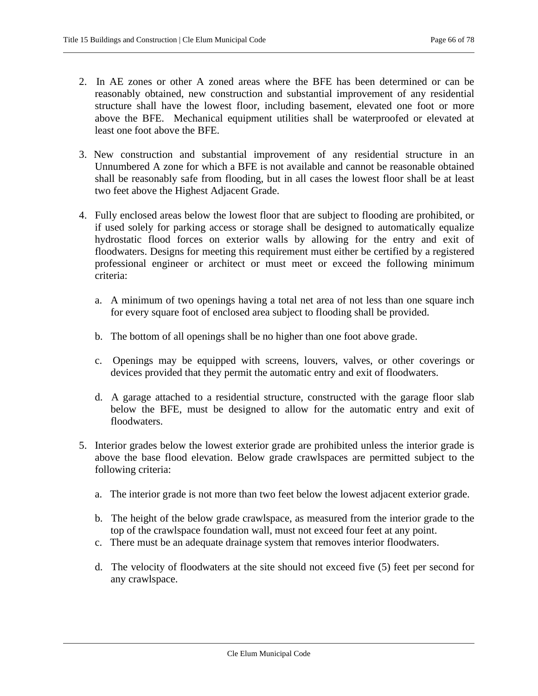- 2. In AE zones or other A zoned areas where the BFE has been determined or can be reasonably obtained, new construction and substantial improvement of any residential structure shall have the lowest floor, including basement, elevated one foot or more above the BFE. Mechanical equipment utilities shall be waterproofed or elevated at least one foot above the BFE.
- 3. New construction and substantial improvement of any residential structure in an Unnumbered A zone for which a BFE is not available and cannot be reasonable obtained shall be reasonably safe from flooding, but in all cases the lowest floor shall be at least two feet above the Highest Adjacent Grade.
- 4. Fully enclosed areas below the lowest floor that are subject to flooding are prohibited, or if used solely for parking access or storage shall be designed to automatically equalize hydrostatic flood forces on exterior walls by allowing for the entry and exit of floodwaters. Designs for meeting this requirement must either be certified by a registered professional engineer or architect or must meet or exceed the following minimum criteria:
	- a. A minimum of two openings having a total net area of not less than one square inch for every square foot of enclosed area subject to flooding shall be provided.
	- b. The bottom of all openings shall be no higher than one foot above grade.
	- c. Openings may be equipped with screens, louvers, valves, or other coverings or devices provided that they permit the automatic entry and exit of floodwaters.
	- d. A garage attached to a residential structure, constructed with the garage floor slab below the BFE, must be designed to allow for the automatic entry and exit of floodwaters.
- 5. Interior grades below the lowest exterior grade are prohibited unless the interior grade is above the base flood elevation. Below grade crawlspaces are permitted subject to the following criteria:
	- a. The interior grade is not more than two feet below the lowest adjacent exterior grade.
	- b. The height of the below grade crawlspace, as measured from the interior grade to the top of the crawlspace foundation wall, must not exceed four feet at any point.
	- c. There must be an adequate drainage system that removes interior floodwaters.
	- d. The velocity of floodwaters at the site should not exceed five (5) feet per second for any crawlspace.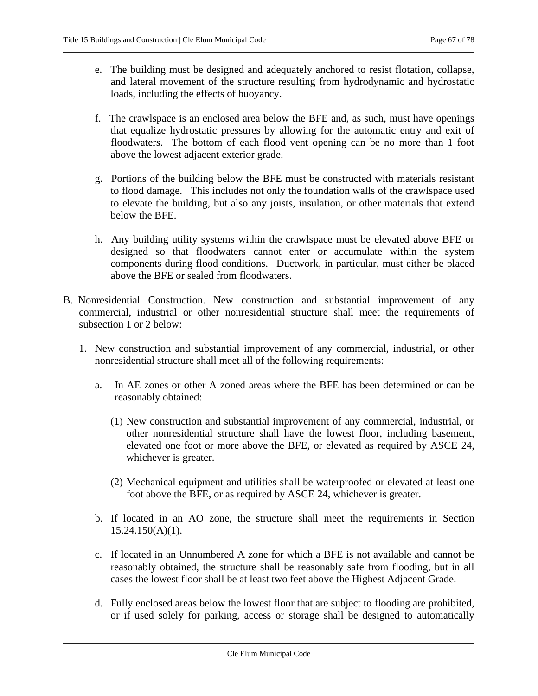- e. The building must be designed and adequately anchored to resist flotation, collapse, and lateral movement of the structure resulting from hydrodynamic and hydrostatic loads, including the effects of buoyancy.
- f. The crawlspace is an enclosed area below the BFE and, as such, must have openings that equalize hydrostatic pressures by allowing for the automatic entry and exit of floodwaters. The bottom of each flood vent opening can be no more than 1 foot above the lowest adjacent exterior grade.
- g. Portions of the building below the BFE must be constructed with materials resistant to flood damage. This includes not only the foundation walls of the crawlspace used to elevate the building, but also any joists, insulation, or other materials that extend below the BFE.
- h. Any building utility systems within the crawlspace must be elevated above BFE or designed so that floodwaters cannot enter or accumulate within the system components during flood conditions. Ductwork, in particular, must either be placed above the BFE or sealed from floodwaters.
- B. Nonresidential Construction. New construction and substantial improvement of any commercial, industrial or other nonresidential structure shall meet the requirements of subsection 1 or 2 below:
	- 1. New construction and substantial improvement of any commercial, industrial, or other nonresidential structure shall meet all of the following requirements:
		- a. In AE zones or other A zoned areas where the BFE has been determined or can be reasonably obtained:
			- (1) New construction and substantial improvement of any commercial, industrial, or other nonresidential structure shall have the lowest floor, including basement, elevated one foot or more above the BFE, or elevated as required by ASCE 24, whichever is greater.
			- (2) Mechanical equipment and utilities shall be waterproofed or elevated at least one foot above the BFE, or as required by ASCE 24, whichever is greater.
		- b. If located in an AO zone, the structure shall meet the requirements in Section  $15.24.150(A)(1)$ .
		- c. If located in an Unnumbered A zone for which a BFE is not available and cannot be reasonably obtained, the structure shall be reasonably safe from flooding, but in all cases the lowest floor shall be at least two feet above the Highest Adjacent Grade.
		- d. Fully enclosed areas below the lowest floor that are subject to flooding are prohibited, or if used solely for parking, access or storage shall be designed to automatically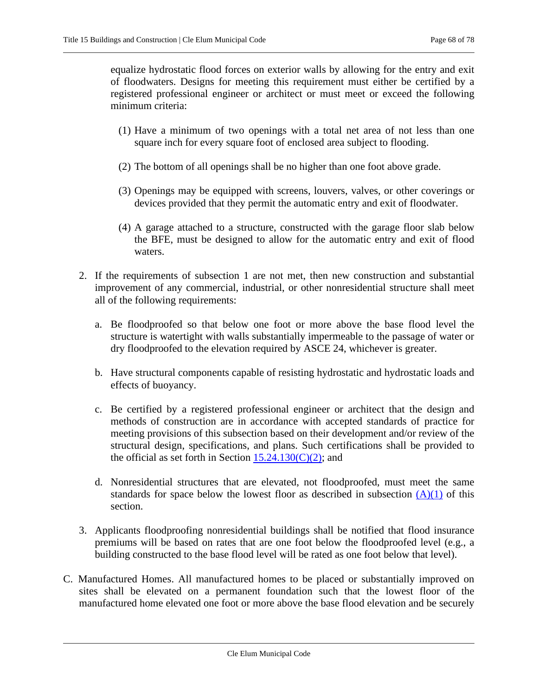equalize hydrostatic flood forces on exterior walls by allowing for the entry and exit of floodwaters. Designs for meeting this requirement must either be certified by a registered professional engineer or architect or must meet or exceed the following minimum criteria:

- (1) Have a minimum of two openings with a total net area of not less than one square inch for every square foot of enclosed area subject to flooding.
- (2) The bottom of all openings shall be no higher than one foot above grade.
- (3) Openings may be equipped with screens, louvers, valves, or other coverings or devices provided that they permit the automatic entry and exit of floodwater.
- (4) A garage attached to a structure, constructed with the garage floor slab below the BFE, must be designed to allow for the automatic entry and exit of flood waters.
- 2. If the requirements of subsection 1 are not met, then new construction and substantial improvement of any commercial, industrial, or other nonresidential structure shall meet all of the following requirements:
	- a. Be floodproofed so that below one foot or more above the base flood level the structure is watertight with walls substantially impermeable to the passage of water or dry floodproofed to the elevation required by ASCE 24, whichever is greater.
	- b. Have structural components capable of resisting hydrostatic and hydrostatic loads and effects of buoyancy.
	- c. Be certified by a registered professional engineer or architect that the design and methods of construction are in accordance with accepted standards of practice for meeting provisions of this subsection based on their development and/or review of the structural design, specifications, and plans. Such certifications shall be provided to the official as set forth in Section  $15.24.130(C)(2)$ ; and
	- d. Nonresidential structures that are elevated, not floodproofed, must meet the same standards for space below the lowest floor as described in subsection  $(A)(1)$  of this section.
- 3. Applicants floodproofing nonresidential buildings shall be notified that flood insurance premiums will be based on rates that are one foot below the floodproofed level (e.g., a building constructed to the base flood level will be rated as one foot below that level).
- C. Manufactured Homes. All manufactured homes to be placed or substantially improved on sites shall be elevated on a permanent foundation such that the lowest floor of the manufactured home elevated one foot or more above the base flood elevation and be securely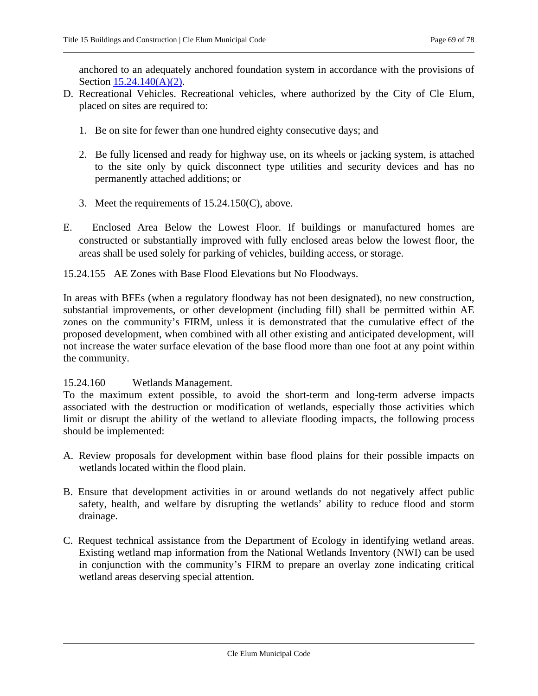anchored to an adequately anchored foundation system in accordance with the provisions of Section [15.24.140\(A\)\(2\).](#page-62-1)

- D. Recreational Vehicles. Recreational vehicles, where authorized by the City of Cle Elum, placed on sites are required to:
	- 1. Be on site for fewer than one hundred eighty consecutive days; and
	- 2. Be fully licensed and ready for highway use, on its wheels or jacking system, is attached to the site only by quick disconnect type utilities and security devices and has no permanently attached additions; or
	- 3. Meet the requirements of 15.24.150(C), above.
- E. Enclosed Area Below the Lowest Floor. If buildings or manufactured homes are constructed or substantially improved with fully enclosed areas below the lowest floor, the areas shall be used solely for parking of vehicles, building access, or storage.
- <span id="page-68-0"></span>15.24.155 AE Zones with Base Flood Elevations but No Floodways.

In areas with BFEs (when a regulatory floodway has not been designated), no new construction, substantial improvements, or other development (including fill) shall be permitted within AE zones on the community's FIRM, unless it is demonstrated that the cumulative effect of the proposed development, when combined with all other existing and anticipated development, will not increase the water surface elevation of the base flood more than one foot at any point within the community.

## <span id="page-68-1"></span>15.24.160 Wetlands Management.

To the maximum extent possible, to avoid the short-term and long-term adverse impacts associated with the destruction or modification of wetlands, especially those activities which limit or disrupt the ability of the wetland to alleviate flooding impacts, the following process should be implemented:

- A. Review proposals for development within base flood plains for their possible impacts on wetlands located within the flood plain.
- B. Ensure that development activities in or around wetlands do not negatively affect public safety, health, and welfare by disrupting the wetlands' ability to reduce flood and storm drainage.
- C. Request technical assistance from the Department of Ecology in identifying wetland areas. Existing wetland map information from the National Wetlands Inventory (NWI) can be used in conjunction with the community's FIRM to prepare an overlay zone indicating critical wetland areas deserving special attention.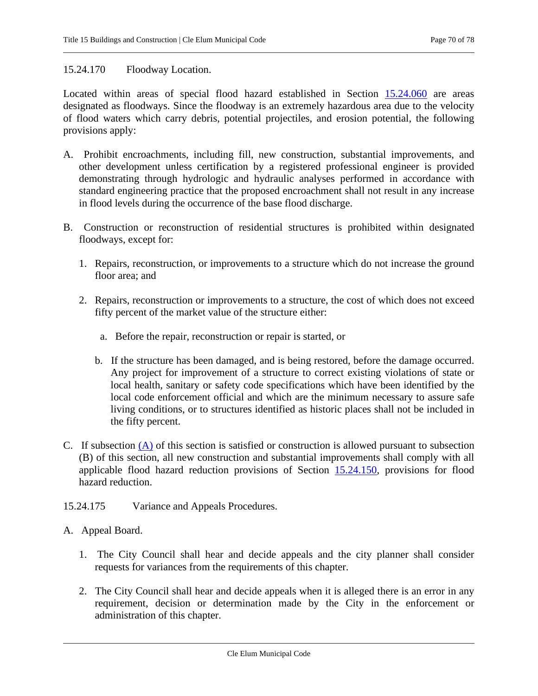## 15.24.170 Floodway Location.

Located within areas of special flood hazard established in Section [15.24.060](#page-58-1) are areas designated as floodways. Since the floodway is an extremely hazardous area due to the velocity of flood waters which carry debris, potential projectiles, and erosion potential, the following provisions apply:

- A. Prohibit encroachments, including fill, new construction, substantial improvements, and other development unless certification by a registered professional engineer is provided demonstrating through hydrologic and hydraulic analyses performed in accordance with standard engineering practice that the proposed encroachment shall not result in any increase in flood levels during the occurrence of the base flood discharge.
- <span id="page-69-0"></span>B. Construction or reconstruction of residential structures is prohibited within designated floodways, except for:
	- 1. Repairs, reconstruction, or improvements to a structure which do not increase the ground floor area; and
	- 2. Repairs, reconstruction or improvements to a structure, the cost of which does not exceed fifty percent of the market value of the structure either:
		- a. Before the repair, reconstruction or repair is started, or
		- b. If the structure has been damaged, and is being restored, before the damage occurred. Any project for improvement of a structure to correct existing violations of state or local health, sanitary or safety code specifications which have been identified by the local code enforcement official and which are the minimum necessary to assure safe living conditions, or to structures identified as historic places shall not be included in the fifty percent.
- C. If subsection (A) of this section is satisfied or construction is allowed pursuant to subsection (B) of this section, all new construction and substantial improvements shall comply with all applicable flood hazard reduction provisions of Section [15.24.150,](#page-64-0) provisions for flood hazard reduction.
- 15.24.175 Variance and Appeals Procedures.
- <span id="page-69-1"></span>A. Appeal Board.
	- 1. The City Council shall hear and decide appeals and the city planner shall consider requests for variances from the requirements of this chapter.
	- 2. The City Council shall hear and decide appeals when it is alleged there is an error in any requirement, decision or determination made by the City in the enforcement or administration of this chapter.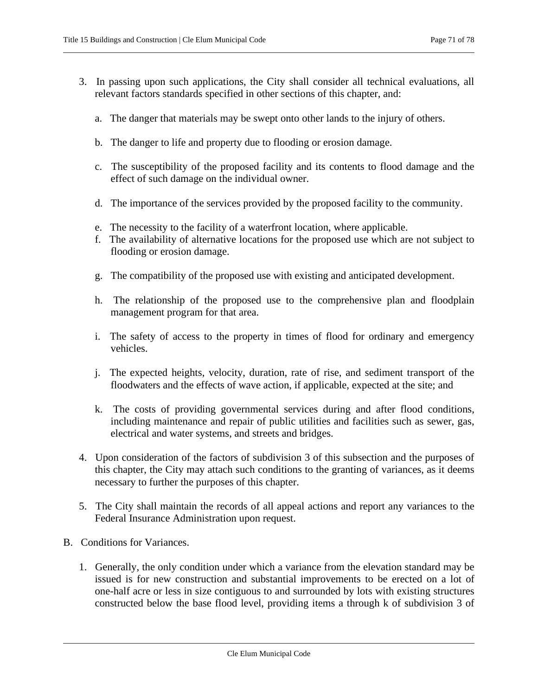- <span id="page-70-0"></span>3. In passing upon such applications, the City shall consider all technical evaluations, all relevant factors standards specified in other sections of this chapter, and:
	- a. The danger that materials may be swept onto other lands to the injury of others.
	- b. The danger to life and property due to flooding or erosion damage.
	- c. The susceptibility of the proposed facility and its contents to flood damage and the effect of such damage on the individual owner.
	- d. The importance of the services provided by the proposed facility to the community.
	- e. The necessity to the facility of a waterfront location, where applicable.
	- f. The availability of alternative locations for the proposed use which are not subject to flooding or erosion damage.
	- g. The compatibility of the proposed use with existing and anticipated development.
	- h. The relationship of the proposed use to the comprehensive plan and floodplain management program for that area.
	- i. The safety of access to the property in times of flood for ordinary and emergency vehicles.
	- j. The expected heights, velocity, duration, rate of rise, and sediment transport of the floodwaters and the effects of wave action, if applicable, expected at the site; and
	- k. The costs of providing governmental services during and after flood conditions, including maintenance and repair of public utilities and facilities such as sewer, gas, electrical and water systems, and streets and bridges.
- 4. Upon consideration of the factors of subdivision 3 of this subsection and the purposes of this chapter, the City may attach such conditions to the granting of variances, as it deems necessary to further the purposes of this chapter.
- 5. The City shall maintain the records of all appeal actions and report any variances to the Federal Insurance Administration upon request.
- B. Conditions for Variances.
	- 1. Generally, the only condition under which a variance from the elevation standard may be issued is for new construction and substantial improvements to be erected on a lot of one-half acre or less in size contiguous to and surrounded by lots with existing structures constructed below the base flood level, providing items a through k of subdivision 3 of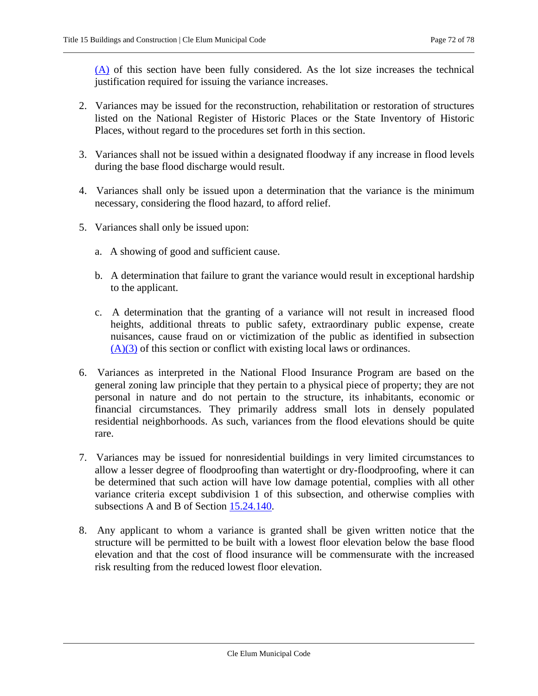[\(A\)](#page-69-1) of this section have been fully considered. As the lot size increases the technical justification required for issuing the variance increases.

- 2. Variances may be issued for the reconstruction, rehabilitation or restoration of structures listed on the National Register of Historic Places or the State Inventory of Historic Places, without regard to the procedures set forth in this section.
- 3. Variances shall not be issued within a designated floodway if any increase in flood levels during the base flood discharge would result.
- 4. Variances shall only be issued upon a determination that the variance is the minimum necessary, considering the flood hazard, to afford relief.
- 5. Variances shall only be issued upon:
	- a. A showing of good and sufficient cause.
	- b. A determination that failure to grant the variance would result in exceptional hardship to the applicant.
	- c. A determination that the granting of a variance will not result in increased flood heights, additional threats to public safety, extraordinary public expense, create nuisances, cause fraud on or victimization of the public as identified in subsection  $(A)(3)$  of this section or conflict with existing local laws or ordinances.
- 6. Variances as interpreted in the National Flood Insurance Program are based on the general zoning law principle that they pertain to a physical piece of property; they are not personal in nature and do not pertain to the structure, its inhabitants, economic or financial circumstances. They primarily address small lots in densely populated residential neighborhoods. As such, variances from the flood elevations should be quite rare.
- 7. Variances may be issued for nonresidential buildings in very limited circumstances to allow a lesser degree of floodproofing than watertight or dry-floodproofing, where it can be determined that such action will have low damage potential, complies with all other variance criteria except subdivision 1 of this subsection, and otherwise complies with subsections A and B of Section [15.24.140.](#page-62-0)
- 8. Any applicant to whom a variance is granted shall be given written notice that the structure will be permitted to be built with a lowest floor elevation below the base flood elevation and that the cost of flood insurance will be commensurate with the increased risk resulting from the reduced lowest floor elevation.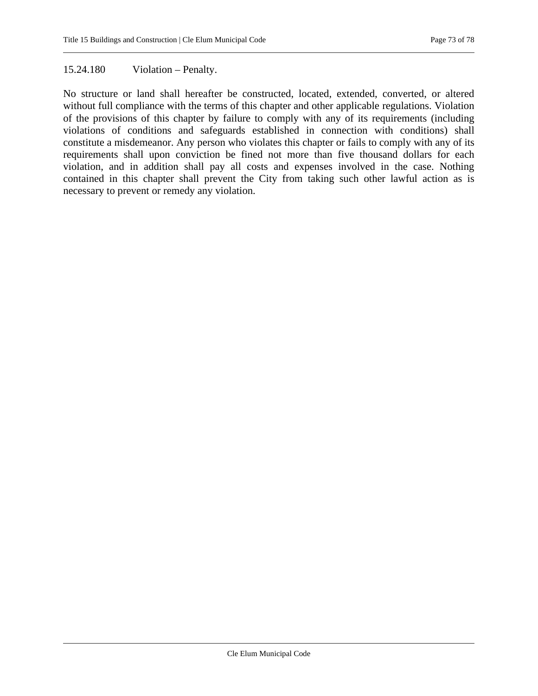### 15.24.180 Violation – Penalty.

No structure or land shall hereafter be constructed, located, extended, converted, or altered without full compliance with the terms of this chapter and other applicable regulations. Violation of the provisions of this chapter by failure to comply with any of its requirements (including violations of conditions and safeguards established in connection with conditions) shall constitute a misdemeanor. Any person who violates this chapter or fails to comply with any of its requirements shall upon conviction be fined not more than five thousand dollars for each violation, and in addition shall pay all costs and expenses involved in the case. Nothing contained in this chapter shall prevent the City from taking such other lawful action as is necessary to prevent or remedy any violation.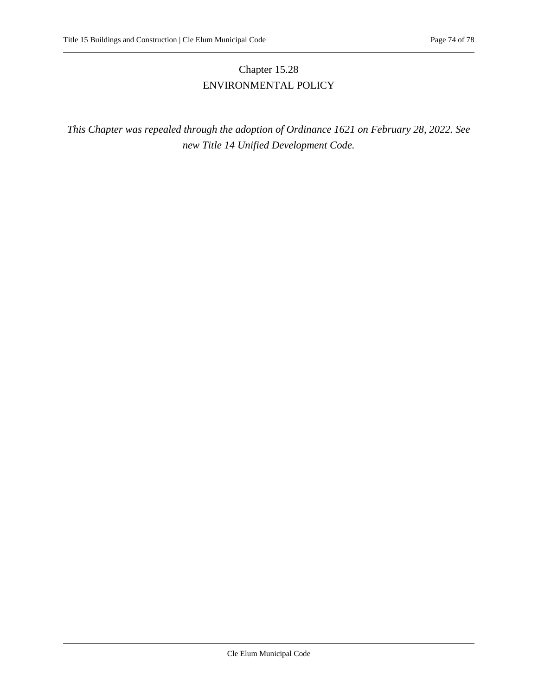# Chapter 15.28 ENVIRONMENTAL POLICY

*This Chapter was repealed through the adoption of Ordinance 1621 on February 28, 2022. See new Title 14 Unified Development Code.*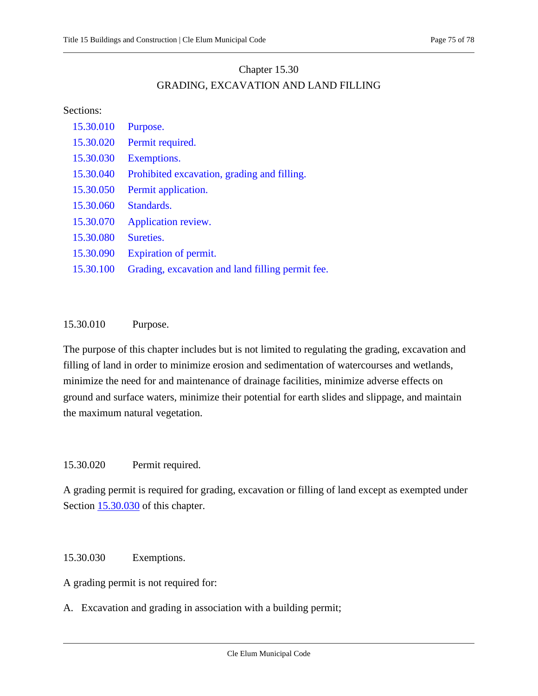## Chapter 15.30 GRADING, EXCAVATION AND LAND FILLING

### Sections:

| 15.30.010 | Purpose.                                         |
|-----------|--------------------------------------------------|
| 15.30.020 | Permit required.                                 |
| 15.30.030 | Exemptions.                                      |
| 15.30.040 | Prohibited excavation, grading and filling.      |
| 15.30.050 | Permit application.                              |
| 15.30.060 | Standards.                                       |
| 15.30.070 | Application review.                              |
| 15.30.080 | Sureties.                                        |
| 15.30.090 | Expiration of permit.                            |
| 15.30.100 | Grading, excavation and land filling permit fee. |
|           |                                                  |

## <span id="page-74-0"></span>15.30.010 Purpose.

The purpose of this chapter includes but is not limited to regulating the grading, excavation and filling of land in order to minimize erosion and sedimentation of watercourses and wetlands, minimize the need for and maintenance of drainage facilities, minimize adverse effects on ground and surface waters, minimize their potential for earth slides and slippage, and maintain the maximum natural vegetation.

## <span id="page-74-1"></span>15.30.020 Permit required.

A grading permit is required for grading, excavation or filling of land except as exempted under Section [15.30.030](#page-74-2) of this chapter.

## <span id="page-74-2"></span>15.30.030 Exemptions.

A grading permit is not required for:

A. Excavation and grading in association with a building permit;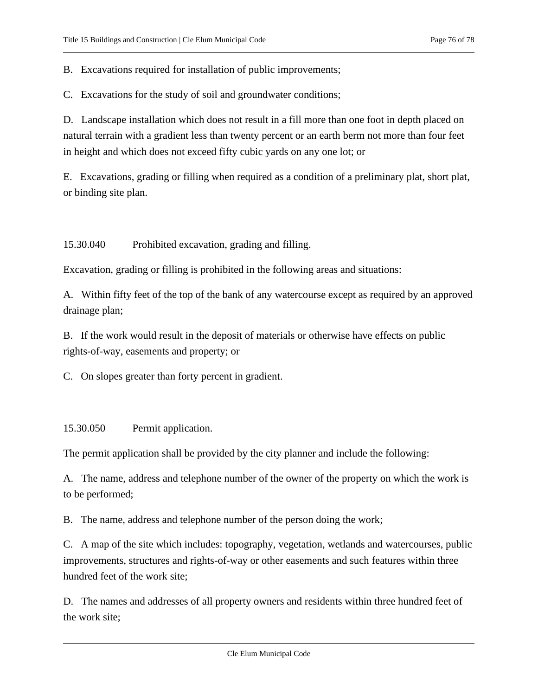B. Excavations required for installation of public improvements;

C. Excavations for the study of soil and groundwater conditions;

D. Landscape installation which does not result in a fill more than one foot in depth placed on natural terrain with a gradient less than twenty percent or an earth berm not more than four feet in height and which does not exceed fifty cubic yards on any one lot; or

E. Excavations, grading or filling when required as a condition of a preliminary plat, short plat, or binding site plan.

<span id="page-75-0"></span>15.30.040 Prohibited excavation, grading and filling.

Excavation, grading or filling is prohibited in the following areas and situations:

A. Within fifty feet of the top of the bank of any watercourse except as required by an approved drainage plan;

B. If the work would result in the deposit of materials or otherwise have effects on public rights-of-way, easements and property; or

<span id="page-75-1"></span>C. On slopes greater than forty percent in gradient.

#### 15.30.050 Permit application.

The permit application shall be provided by the city planner and include the following:

A. The name, address and telephone number of the owner of the property on which the work is to be performed;

B. The name, address and telephone number of the person doing the work;

C. A map of the site which includes: topography, vegetation, wetlands and watercourses, public improvements, structures and rights-of-way or other easements and such features within three hundred feet of the work site;

D. The names and addresses of all property owners and residents within three hundred feet of the work site;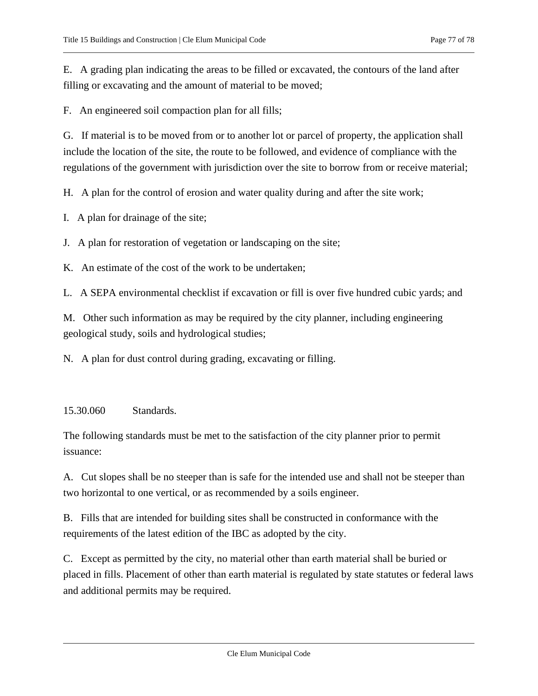E. A grading plan indicating the areas to be filled or excavated, the contours of the land after filling or excavating and the amount of material to be moved;

F. An engineered soil compaction plan for all fills;

G. If material is to be moved from or to another lot or parcel of property, the application shall include the location of the site, the route to be followed, and evidence of compliance with the regulations of the government with jurisdiction over the site to borrow from or receive material;

H. A plan for the control of erosion and water quality during and after the site work;

I. A plan for drainage of the site;

J. A plan for restoration of vegetation or landscaping on the site;

K. An estimate of the cost of the work to be undertaken;

L. A SEPA environmental checklist if excavation or fill is over five hundred cubic yards; and

M. Other such information as may be required by the city planner, including engineering geological study, soils and hydrological studies;

<span id="page-76-0"></span>N. A plan for dust control during grading, excavating or filling.

## 15.30.060 Standards.

The following standards must be met to the satisfaction of the city planner prior to permit issuance:

A. Cut slopes shall be no steeper than is safe for the intended use and shall not be steeper than two horizontal to one vertical, or as recommended by a soils engineer.

B. Fills that are intended for building sites shall be constructed in conformance with the requirements of the latest edition of the IBC as adopted by the city.

C. Except as permitted by the city, no material other than earth material shall be buried or placed in fills. Placement of other than earth material is regulated by state statutes or federal laws and additional permits may be required.